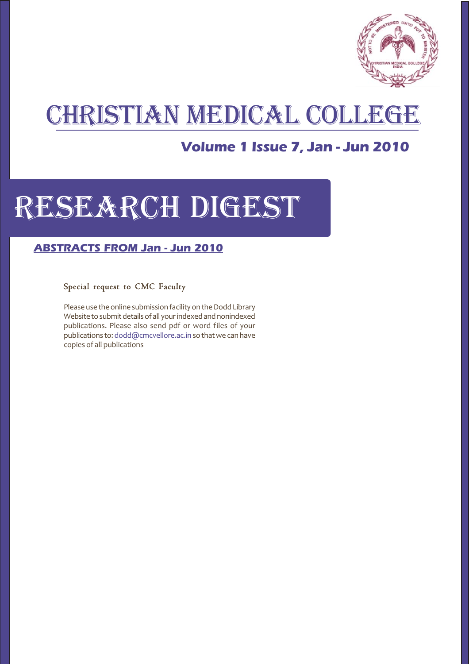

## chRistian meDical college

## **Volume 1 Issue 7, Jan - Jun 2010**

# RESEARCH DIGEST

## **ABSTRACTS FROM Jan - Jun 2010**

#### Special request to CMC Faculty

Please use the online submission facility on the Dodd Library Website to submit details of all your indexed and nonindexed publications. Please also send pdf or word files of your publications to: dodd@cmcvellore.ac.in so that we can have copies of all publications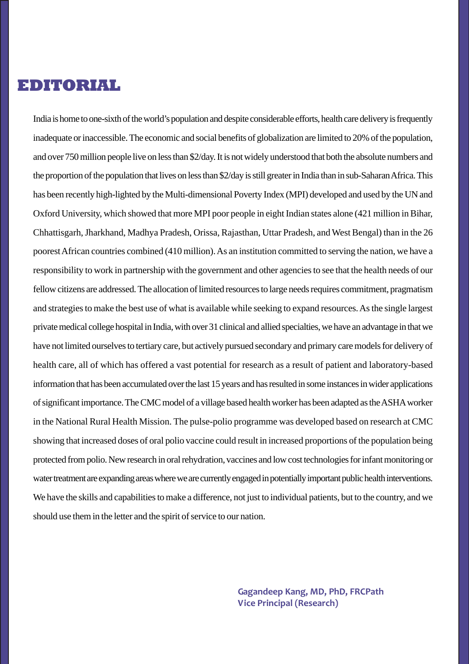## **EDITORIAL**

India is home to one-sixth of the world's population and despite considerable efforts, health care delivery is frequently inadequate or inaccessible. The economic and social benefits of globalization are limited to 20% of the population, and over 750 million people live on less than \$2/day. It is not widely understood that both the absolute numbers and the proportion of the population that lives on less than \$2/day is still greater in India than in sub-Saharan Africa. This has been recently high-lighted by the Multi-dimensional Poverty Index (MPI) developed and used by the UN and Oxford University, which showed that more MPI poor people in eight Indian states alone (421 million in Bihar, Chhattisgarh, Jharkhand, Madhya Pradesh, Orissa, Rajasthan, Uttar Pradesh, and West Bengal) than in the 26 poorest African countries combined (410 million). As an institution committed to serving the nation, we have a responsibility to work in partnership with the government and other agencies to see that the health needs of our fellow citizens are addressed. The allocation of limited resources to large needs requires commitment, pragmatism and strategies to make the best use of what is available while seeking to expand resources. As the single largest private medical college hospital in India, with over 31 clinical and allied specialties, we have an advantage in that we have not limited ourselves to tertiary care, but actively pursued secondary and primary care models for delivery of health care, all of which has offered a vast potential for research as a result of patient and laboratory-based information that has been accumulated over the last 15 years and has resulted in some instances in wider applications of significant importance. The CMC model of a village based health worker has been adapted as the ASHA worker in the National Rural Health Mission. The pulse-polio programme was developed based on research at CMC showing that increased doses of oral polio vaccine could result in increased proportions of the population being protected from polio. New research in oral rehydration, vaccines and low cost technologies for infant monitoring or water treatment are expanding areas where we are currently engaged in potentially important public health interventions. We have the skills and capabilities to make a difference, not just to individual patients, but to the country, and we should use them in the letter and the spirit of service to our nation.

> **Gagandeep Kang, MD, PhD, FRCPath Vice Principal (Research)**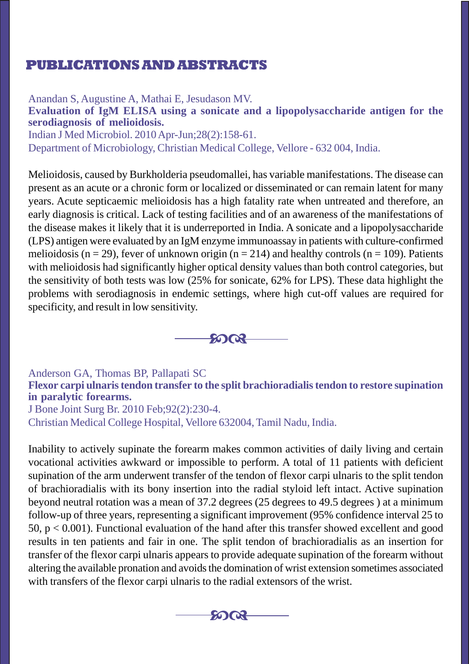## **PUBLICATIONS AND ABSTRACTS**

Anandan S, Augustine A, Mathai E, Jesudason MV. **Evaluation of IgM ELISA using a sonicate and a lipopolysaccharide antigen for the serodiagnosis of melioidosis.** Indian J Med Microbiol. 2010 Apr-Jun;28(2):158-61. Department of Microbiology, Christian Medical College, Vellore - 632 004, India.

Melioidosis, caused by Burkholderia pseudomallei, has variable manifestations. The disease can present as an acute or a chronic form or localized or disseminated or can remain latent for many years. Acute septicaemic melioidosis has a high fatality rate when untreated and therefore, an early diagnosis is critical. Lack of testing facilities and of an awareness of the manifestations of the disease makes it likely that it is underreported in India. A sonicate and a lipopolysaccharide (LPS) antigen were evaluated by an IgM enzyme immunoassay in patients with culture-confirmed melioidosis (n = 29), fever of unknown origin (n = 214) and healthy controls (n = 109). Patients with melioidosis had significantly higher optical density values than both control categories, but the sensitivity of both tests was low (25% for sonicate, 62% for LPS). These data highlight the problems with serodiagnosis in endemic settings, where high cut-off values are required for specificity, and result in low sensitivity.

Anderson GA, Thomas BP, Pallapati SC **Flexor carpi ulnaris tendon transfer to the split brachioradialis tendon to restore supination in paralytic forearms.** J Bone Joint Surg Br. 2010 Feb;92(2):230-4. Christian Medical College Hospital, Vellore 632004, Tamil Nadu, India.

 $-50$  Q2 $-$ 

Inability to actively supinate the forearm makes common activities of daily living and certain vocational activities awkward or impossible to perform. A total of 11 patients with deficient supination of the arm underwent transfer of the tendon of flexor carpi ulnaris to the split tendon of brachioradialis with its bony insertion into the radial styloid left intact. Active supination beyond neutral rotation was a mean of 37.2 degrees (25 degrees to 49.5 degrees ) at a minimum follow-up of three years, representing a significant improvement (95% confidence interval 25 to 50,  $p < 0.001$ ). Functional evaluation of the hand after this transfer showed excellent and good results in ten patients and fair in one. The split tendon of brachioradialis as an insertion for transfer of the flexor carpi ulnaris appears to provide adequate supination of the forearm without altering the available pronation and avoids the domination of wrist extension sometimes associated with transfers of the flexor carpi ulnaris to the radial extensors of the wrist.

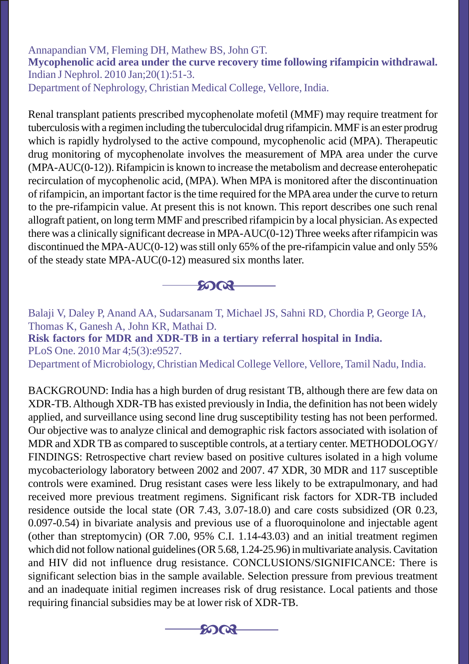Annapandian VM, Fleming DH, Mathew BS, John GT. **Mycophenolic acid area under the curve recovery time following rifampicin withdrawal.** Indian J Nephrol. 2010 Jan;20(1):51-3. Department of Nephrology, Christian Medical College, Vellore, India.

Renal transplant patients prescribed mycophenolate mofetil (MMF) may require treatment for tuberculosis with a regimen including the tuberculocidal drug rifampicin. MMF is an ester prodrug which is rapidly hydrolysed to the active compound, mycophenolic acid (MPA). Therapeutic drug monitoring of mycophenolate involves the measurement of MPA area under the curve (MPA-AUC(0-12)). Rifampicin is known to increase the metabolism and decrease enterohepatic recirculation of mycophenolic acid, (MPA). When MPA is monitored after the discontinuation of rifampicin, an important factor is the time required for the MPA area under the curve to return to the pre-rifampicin value. At present this is not known. This report describes one such renal allograft patient, on long term MMF and prescribed rifampicin by a local physician. As expected there was a clinically significant decrease in MPA-AUC(0-12) Three weeks after rifampicin was discontinued the MPA-AUC(0-12) was still only 65% of the pre-rifampicin value and only 55% of the steady state MPA-AUC(0-12) measured six months later.



Balaji V, Daley P, Anand AA, Sudarsanam T, Michael JS, Sahni RD, Chordia P, George IA, Thomas K, Ganesh A, John KR, Mathai D. **Risk factors for MDR and XDR-TB in a tertiary referral hospital in India.**

PLoS One. 2010 Mar 4;5(3):e9527.

Department of Microbiology, Christian Medical College Vellore, Vellore, Tamil Nadu, India.

BACKGROUND: India has a high burden of drug resistant TB, although there are few data on XDR-TB. Although XDR-TB has existed previously in India, the definition has not been widely applied, and surveillance using second line drug susceptibility testing has not been performed. Our objective was to analyze clinical and demographic risk factors associated with isolation of MDR and XDR TB as compared to susceptible controls, at a tertiary center. METHODOLOGY/ FINDINGS: Retrospective chart review based on positive cultures isolated in a high volume mycobacteriology laboratory between 2002 and 2007. 47 XDR, 30 MDR and 117 susceptible controls were examined. Drug resistant cases were less likely to be extrapulmonary, and had received more previous treatment regimens. Significant risk factors for XDR-TB included residence outside the local state (OR 7.43, 3.07-18.0) and care costs subsidized (OR 0.23, 0.097-0.54) in bivariate analysis and previous use of a fluoroquinolone and injectable agent (other than streptomycin) (OR 7.00, 95% C.I. 1.14-43.03) and an initial treatment regimen which did not follow national guidelines (OR 5.68, 1.24-25.96) in multivariate analysis. Cavitation and HIV did not influence drug resistance. CONCLUSIONS/SIGNIFICANCE: There is significant selection bias in the sample available. Selection pressure from previous treatment and an inadequate initial regimen increases risk of drug resistance. Local patients and those requiring financial subsidies may be at lower risk of XDR-TB.

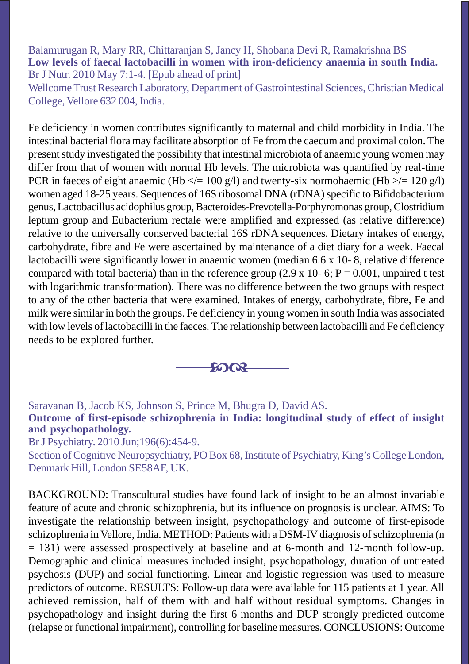Balamurugan R, Mary RR, Chittaranjan S, Jancy H, Shobana Devi R, Ramakrishna BS **Low levels of faecal lactobacilli in women with iron-deficiency anaemia in south India.** Br J Nutr. 2010 May 7:1-4. [Epub ahead of print]

Wellcome Trust Research Laboratory, Department of Gastrointestinal Sciences, Christian Medical College, Vellore 632 004, India.

Fe deficiency in women contributes significantly to maternal and child morbidity in India. The intestinal bacterial flora may facilitate absorption of Fe from the caecum and proximal colon. The present study investigated the possibility that intestinal microbiota of anaemic young women may differ from that of women with normal Hb levels. The microbiota was quantified by real-time PCR in faeces of eight anaemic (Hb  $\ll$  = 100 g/l) and twenty-six normohaemic (Hb  $\gg$  = 120 g/l) women aged 18-25 years. Sequences of 16S ribosomal DNA (rDNA) specific to Bifidobacterium genus, Lactobacillus acidophilus group, Bacteroides-Prevotella-Porphyromonas group, Clostridium leptum group and Eubacterium rectale were amplified and expressed (as relative difference) relative to the universally conserved bacterial 16S rDNA sequences. Dietary intakes of energy, carbohydrate, fibre and Fe were ascertained by maintenance of a diet diary for a week. Faecal lactobacilli were significantly lower in anaemic women (median 6.6 x 10- 8, relative difference compared with total bacteria) than in the reference group (2.9 x 10- 6;  $P = 0.001$ , unpaired t test with logarithmic transformation). There was no difference between the two groups with respect to any of the other bacteria that were examined. Intakes of energy, carbohydrate, fibre, Fe and milk were similar in both the groups. Fe deficiency in young women in south India was associated with low levels of lactobacilli in the faeces. The relationship between lactobacilli and Fe deficiency needs to be explored further.



Saravanan B, Jacob KS, Johnson S, Prince M, Bhugra D, David AS. **Outcome of first-episode schizophrenia in India: longitudinal study of effect of insight and psychopathology.** Br J Psychiatry. 2010 Jun;196(6):454-9.

Section of Cognitive Neuropsychiatry, PO Box 68, Institute of Psychiatry, King's College London, Denmark Hill, London SE58AF, UK.

BACKGROUND: Transcultural studies have found lack of insight to be an almost invariable feature of acute and chronic schizophrenia, but its influence on prognosis is unclear. AIMS: To investigate the relationship between insight, psychopathology and outcome of first-episode schizophrenia in Vellore, India. METHOD: Patients with a DSM-IV diagnosis of schizophrenia (n  $= 131$ ) were assessed prospectively at baseline and at 6-month and 12-month follow-up. Demographic and clinical measures included insight, psychopathology, duration of untreated psychosis (DUP) and social functioning. Linear and logistic regression was used to measure predictors of outcome. RESULTS: Follow-up data were available for 115 patients at 1 year. All achieved remission, half of them with and half without residual symptoms. Changes in psychopathology and insight during the first 6 months and DUP strongly predicted outcome (relapse or functional impairment), controlling for baseline measures. CONCLUSIONS: Outcome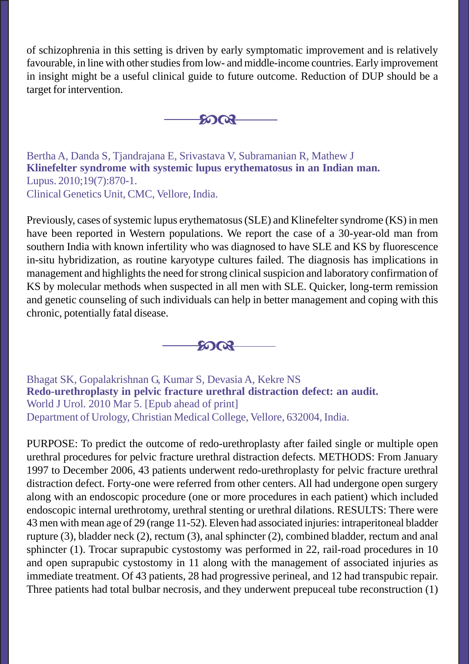of schizophrenia in this setting is driven by early symptomatic improvement and is relatively favourable, in line with other studies from low- and middle-income countries. Early improvement in insight might be a useful clinical guide to future outcome. Reduction of DUP should be a target for intervention.



Bertha A, Danda S, Tjandrajana E, Srivastava V, Subramanian R, Mathew J **Klinefelter syndrome with systemic lupus erythematosus in an Indian man.** Lupus. 2010;19(7):870-1. Clinical Genetics Unit, CMC, Vellore, India.

Previously, cases of systemic lupus erythematosus (SLE) and Klinefelter syndrome (KS) in men have been reported in Western populations. We report the case of a 30-year-old man from southern India with known infertility who was diagnosed to have SLE and KS by fluorescence in-situ hybridization, as routine karyotype cultures failed. The diagnosis has implications in management and highlights the need for strong clinical suspicion and laboratory confirmation of KS by molecular methods when suspected in all men with SLE. Quicker, long-term remission and genetic counseling of such individuals can help in better management and coping with this chronic, potentially fatal disease.



Bhagat SK, Gopalakrishnan G, Kumar S, Devasia A, Kekre NS **Redo-urethroplasty in pelvic fracture urethral distraction defect: an audit.** World J Urol. 2010 Mar 5. [Epub ahead of print] Department of Urology, Christian Medical College, Vellore, 632004, India.

PURPOSE: To predict the outcome of redo-urethroplasty after failed single or multiple open urethral procedures for pelvic fracture urethral distraction defects. METHODS: From January 1997 to December 2006, 43 patients underwent redo-urethroplasty for pelvic fracture urethral distraction defect. Forty-one were referred from other centers. All had undergone open surgery along with an endoscopic procedure (one or more procedures in each patient) which included endoscopic internal urethrotomy, urethral stenting or urethral dilations. RESULTS: There were 43 men with mean age of 29 (range 11-52). Eleven had associated injuries: intraperitoneal bladder rupture (3), bladder neck (2), rectum (3), anal sphincter (2), combined bladder, rectum and anal sphincter (1). Trocar suprapubic cystostomy was performed in 22, rail-road procedures in 10 and open suprapubic cystostomy in 11 along with the management of associated injuries as immediate treatment. Of 43 patients, 28 had progressive perineal, and 12 had transpubic repair. Three patients had total bulbar necrosis, and they underwent prepuceal tube reconstruction (1)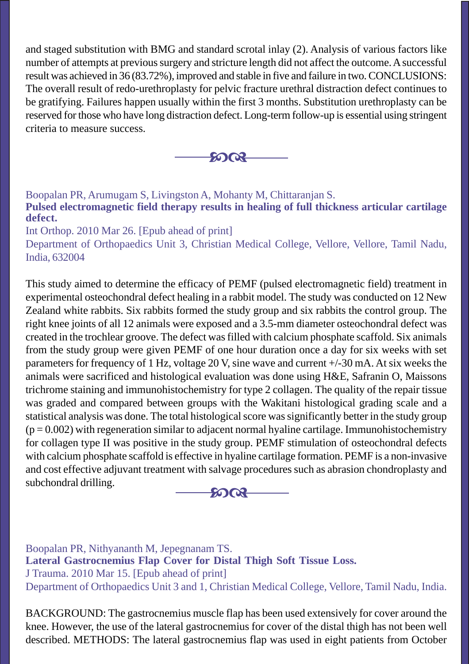and staged substitution with BMG and standard scrotal inlay (2). Analysis of various factors like number of attempts at previous surgery and stricture length did not affect the outcome. A successful result was achieved in 36 (83.72%), improved and stable in five and failure in two. CONCLUSIONS: The overall result of redo-urethroplasty for pelvic fracture urethral distraction defect continues to be gratifying. Failures happen usually within the first 3 months. Substitution urethroplasty can be reserved for those who have long distraction defect. Long-term follow-up is essential using stringent criteria to measure success.



## Boopalan PR, Arumugam S, Livingston A, Mohanty M, Chittaranjan S. **Pulsed electromagnetic field therapy results in healing of full thickness articular cartilage defect.**

Int Orthop. 2010 Mar 26. [Epub ahead of print]

Department of Orthopaedics Unit 3, Christian Medical College, Vellore, Vellore, Tamil Nadu, India, 632004

This study aimed to determine the efficacy of PEMF (pulsed electromagnetic field) treatment in experimental osteochondral defect healing in a rabbit model. The study was conducted on 12 New Zealand white rabbits. Six rabbits formed the study group and six rabbits the control group. The right knee joints of all 12 animals were exposed and a 3.5-mm diameter osteochondral defect was created in the trochlear groove. The defect was filled with calcium phosphate scaffold. Six animals from the study group were given PEMF of one hour duration once a day for six weeks with set parameters for frequency of 1 Hz, voltage 20 V, sine wave and current +/-30 mA. At six weeks the animals were sacrificed and histological evaluation was done using H&E, Safranin O, Maissons trichrome staining and immunohistochemistry for type 2 collagen. The quality of the repair tissue was graded and compared between groups with the Wakitani histological grading scale and a statistical analysis was done. The total histological score was significantly better in the study group  $(p = 0.002)$  with regeneration similar to adjacent normal hyaline cartilage. Immunohistochemistry for collagen type II was positive in the study group. PEMF stimulation of osteochondral defects with calcium phosphate scaffold is effective in hyaline cartilage formation. PEMF is a non-invasive and cost effective adjuvant treatment with salvage procedures such as abrasion chondroplasty and subchondral drilling.



Boopalan PR, Nithyananth M, Jepegnanam TS. **Lateral Gastrocnemius Flap Cover for Distal Thigh Soft Tissue Loss.** J Trauma. 2010 Mar 15. [Epub ahead of print] Department of Orthopaedics Unit 3 and 1, Christian Medical College, Vellore, Tamil Nadu, India.

BACKGROUND: The gastrocnemius muscle flap has been used extensively for cover around the knee. However, the use of the lateral gastrocnemius for cover of the distal thigh has not been well described. METHODS: The lateral gastrocnemius flap was used in eight patients from October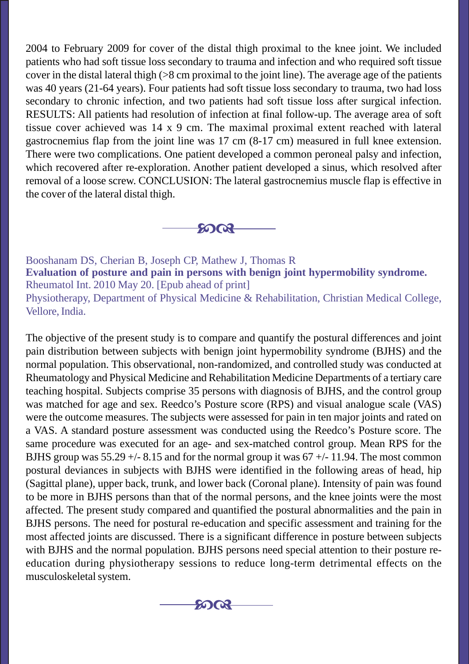2004 to February 2009 for cover of the distal thigh proximal to the knee joint. We included patients who had soft tissue loss secondary to trauma and infection and who required soft tissue cover in the distal lateral thigh (>8 cm proximal to the joint line). The average age of the patients was 40 years (21-64 years). Four patients had soft tissue loss secondary to trauma, two had loss secondary to chronic infection, and two patients had soft tissue loss after surgical infection. RESULTS: All patients had resolution of infection at final follow-up. The average area of soft tissue cover achieved was 14 x 9 cm. The maximal proximal extent reached with lateral gastrocnemius flap from the joint line was 17 cm (8-17 cm) measured in full knee extension. There were two complications. One patient developed a common peroneal palsy and infection, which recovered after re-exploration. Another patient developed a sinus, which resolved after removal of a loose screw. CONCLUSION: The lateral gastrocnemius muscle flap is effective in the cover of the lateral distal thigh.

 $-50$   $Q$ 

Booshanam DS, Cherian B, Joseph CP, Mathew J, Thomas R **Evaluation of posture and pain in persons with benign joint hypermobility syndrome.** Rheumatol Int. 2010 May 20. [Epub ahead of print] Physiotherapy, Department of Physical Medicine & Rehabilitation, Christian Medical College, Vellore, India.

The objective of the present study is to compare and quantify the postural differences and joint pain distribution between subjects with benign joint hypermobility syndrome (BJHS) and the normal population. This observational, non-randomized, and controlled study was conducted at Rheumatology and Physical Medicine and Rehabilitation Medicine Departments of a tertiary care teaching hospital. Subjects comprise 35 persons with diagnosis of BJHS, and the control group was matched for age and sex. Reedco's Posture score (RPS) and visual analogue scale (VAS) were the outcome measures. The subjects were assessed for pain in ten major joints and rated on a VAS. A standard posture assessment was conducted using the Reedco's Posture score. The same procedure was executed for an age- and sex-matched control group. Mean RPS for the BJHS group was  $55.29 + (-8.15)$  and for the normal group it was  $67 + (-11.94)$ . The most common postural deviances in subjects with BJHS were identified in the following areas of head, hip (Sagittal plane), upper back, trunk, and lower back (Coronal plane). Intensity of pain was found to be more in BJHS persons than that of the normal persons, and the knee joints were the most affected. The present study compared and quantified the postural abnormalities and the pain in BJHS persons. The need for postural re-education and specific assessment and training for the most affected joints are discussed. There is a significant difference in posture between subjects with BJHS and the normal population. BJHS persons need special attention to their posture reeducation during physiotherapy sessions to reduce long-term detrimental effects on the musculoskeletal system.

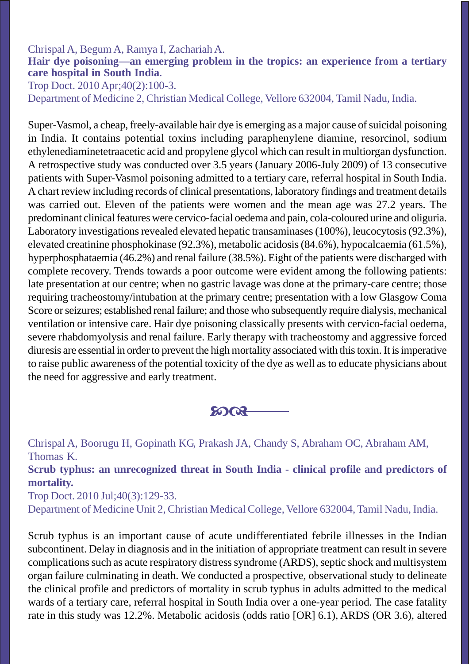#### Chrispal A, Begum A, Ramya I, Zachariah A. **Hair dye poisoning—an emerging problem in the tropics: an experience from a tertiary care hospital in South India**. Trop Doct. 2010 Apr;40(2):100-3.

Department of Medicine 2, Christian Medical College, Vellore 632004, Tamil Nadu, India.

Super-Vasmol, a cheap, freely-available hair dye is emerging as a major cause of suicidal poisoning in India. It contains potential toxins including paraphenylene diamine, resorcinol, sodium ethylenediaminetetraacetic acid and propylene glycol which can result in multiorgan dysfunction. A retrospective study was conducted over 3.5 years (January 2006-July 2009) of 13 consecutive patients with Super-Vasmol poisoning admitted to a tertiary care, referral hospital in South India. A chart review including records of clinical presentations, laboratory findings and treatment details was carried out. Eleven of the patients were women and the mean age was 27.2 years. The predominant clinical features were cervico-facial oedema and pain, cola-coloured urine and oliguria. Laboratory investigations revealed elevated hepatic transaminases (100%), leucocytosis (92.3%), elevated creatinine phosphokinase (92.3%), metabolic acidosis (84.6%), hypocalcaemia (61.5%), hyperphosphataemia (46.2%) and renal failure (38.5%). Eight of the patients were discharged with complete recovery. Trends towards a poor outcome were evident among the following patients: late presentation at our centre; when no gastric lavage was done at the primary-care centre; those requiring tracheostomy/intubation at the primary centre; presentation with a low Glasgow Coma Score or seizures; established renal failure; and those who subsequently require dialysis, mechanical ventilation or intensive care. Hair dye poisoning classically presents with cervico-facial oedema, severe rhabdomyolysis and renal failure. Early therapy with tracheostomy and aggressive forced diuresis are essential in order to prevent the high mortality associated with this toxin. It is imperative to raise public awareness of the potential toxicity of the dye as well as to educate physicians about the need for aggressive and early treatment.



Chrispal A, Boorugu H, Gopinath KG, Prakash JA, Chandy S, Abraham OC, Abraham AM, Thomas K.

**Scrub typhus: an unrecognized threat in South India - clinical profile and predictors of mortality.**

#### Trop Doct. 2010 Jul;40(3):129-33.

Department of Medicine Unit 2, Christian Medical College, Vellore 632004, Tamil Nadu, India.

Scrub typhus is an important cause of acute undifferentiated febrile illnesses in the Indian subcontinent. Delay in diagnosis and in the initiation of appropriate treatment can result in severe complications such as acute respiratory distress syndrome (ARDS), septic shock and multisystem organ failure culminating in death. We conducted a prospective, observational study to delineate the clinical profile and predictors of mortality in scrub typhus in adults admitted to the medical wards of a tertiary care, referral hospital in South India over a one-year period. The case fatality rate in this study was 12.2%. Metabolic acidosis (odds ratio [OR] 6.1), ARDS (OR 3.6), altered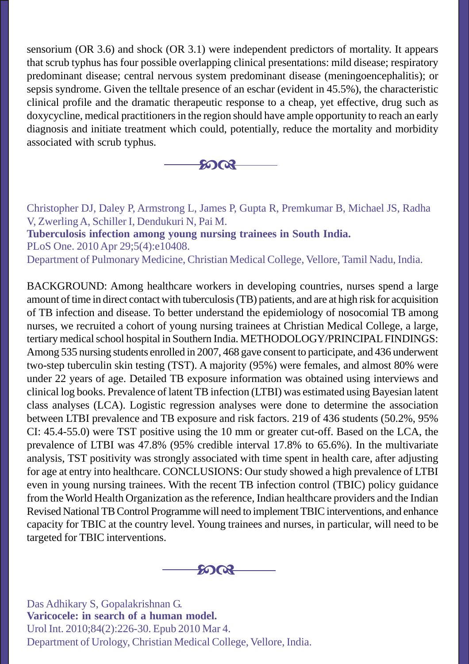sensorium (OR 3.6) and shock (OR 3.1) were independent predictors of mortality. It appears that scrub typhus has four possible overlapping clinical presentations: mild disease; respiratory predominant disease; central nervous system predominant disease (meningoencephalitis); or sepsis syndrome. Given the telltale presence of an eschar (evident in 45.5%), the characteristic clinical profile and the dramatic therapeutic response to a cheap, yet effective, drug such as doxycycline, medical practitioners in the region should have ample opportunity to reach an early diagnosis and initiate treatment which could, potentially, reduce the mortality and morbidity associated with scrub typhus.



Christopher DJ, Daley P, Armstrong L, James P, Gupta R, Premkumar B, Michael JS, Radha V, Zwerling A, Schiller I, Dendukuri N, Pai M. **Tuberculosis infection among young nursing trainees in South India.** PLoS One. 2010 Apr 29;5(4):e10408.

Department of Pulmonary Medicine, Christian Medical College, Vellore, Tamil Nadu, India.

BACKGROUND: Among healthcare workers in developing countries, nurses spend a large amount of time in direct contact with tuberculosis (TB) patients, and are at high risk for acquisition of TB infection and disease. To better understand the epidemiology of nosocomial TB among nurses, we recruited a cohort of young nursing trainees at Christian Medical College, a large, tertiary medical school hospital in Southern India. METHODOLOGY/PRINCIPAL FINDINGS: Among 535 nursing students enrolled in 2007, 468 gave consent to participate, and 436 underwent two-step tuberculin skin testing (TST). A majority (95%) were females, and almost 80% were under 22 years of age. Detailed TB exposure information was obtained using interviews and clinical log books. Prevalence of latent TB infection (LTBI) was estimated using Bayesian latent class analyses (LCA). Logistic regression analyses were done to determine the association between LTBI prevalence and TB exposure and risk factors. 219 of 436 students (50.2%, 95% CI: 45.4-55.0) were TST positive using the 10 mm or greater cut-off. Based on the LCA, the prevalence of LTBI was 47.8% (95% credible interval 17.8% to 65.6%). In the multivariate analysis, TST positivity was strongly associated with time spent in health care, after adjusting for age at entry into healthcare. CONCLUSIONS: Our study showed a high prevalence of LTBI even in young nursing trainees. With the recent TB infection control (TBIC) policy guidance from the World Health Organization as the reference, Indian healthcare providers and the Indian Revised National TB Control Programme will need to implement TBIC interventions, and enhance capacity for TBIC at the country level. Young trainees and nurses, in particular, will need to be targeted for TBIC interventions.



Das Adhikary S, Gopalakrishnan G. **Varicocele: in search of a human model.** Urol Int. 2010;84(2):226-30. Epub 2010 Mar 4. Department of Urology, Christian Medical College, Vellore, India.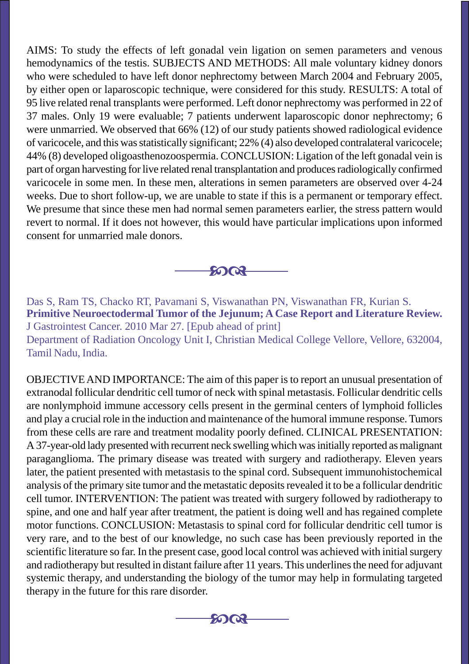AIMS: To study the effects of left gonadal vein ligation on semen parameters and venous hemodynamics of the testis. SUBJECTS AND METHODS: All male voluntary kidney donors who were scheduled to have left donor nephrectomy between March 2004 and February 2005, by either open or laparoscopic technique, were considered for this study. RESULTS: A total of 95 live related renal transplants were performed. Left donor nephrectomy was performed in 22 of 37 males. Only 19 were evaluable; 7 patients underwent laparoscopic donor nephrectomy; 6 were unmarried. We observed that 66% (12) of our study patients showed radiological evidence of varicocele, and this was statistically significant; 22% (4) also developed contralateral varicocele; 44% (8) developed oligoasthenozoospermia. CONCLUSION: Ligation of the left gonadal vein is part of organ harvesting for live related renal transplantation and produces radiologically confirmed varicocele in some men. In these men, alterations in semen parameters are observed over 4-24 weeks. Due to short follow-up, we are unable to state if this is a permanent or temporary effect. We presume that since these men had normal semen parameters earlier, the stress pattern would revert to normal. If it does not however, this would have particular implications upon informed consent for unmarried male donors.



Das S, Ram TS, Chacko RT, Pavamani S, Viswanathan PN, Viswanathan FR, Kurian S. **Primitive Neuroectodermal Tumor of the Jejunum; A Case Report and Literature Review.** J Gastrointest Cancer. 2010 Mar 27. [Epub ahead of print] Department of Radiation Oncology Unit I, Christian Medical College Vellore, Vellore, 632004, Tamil Nadu, India.

OBJECTIVE AND IMPORTANCE: The aim of this paper is to report an unusual presentation of extranodal follicular dendritic cell tumor of neck with spinal metastasis. Follicular dendritic cells are nonlymphoid immune accessory cells present in the germinal centers of lymphoid follicles and play a crucial role in the induction and maintenance of the humoral immune response. Tumors from these cells are rare and treatment modality poorly defined. CLINICAL PRESENTATION: A 37-year-old lady presented with recurrent neck swelling which was initially reported as malignant paraganglioma. The primary disease was treated with surgery and radiotherapy. Eleven years later, the patient presented with metastasis to the spinal cord. Subsequent immunohistochemical analysis of the primary site tumor and the metastatic deposits revealed it to be a follicular dendritic cell tumor. INTERVENTION: The patient was treated with surgery followed by radiotherapy to spine, and one and half year after treatment, the patient is doing well and has regained complete motor functions. CONCLUSION: Metastasis to spinal cord for follicular dendritic cell tumor is very rare, and to the best of our knowledge, no such case has been previously reported in the scientific literature so far. In the present case, good local control was achieved with initial surgery and radiotherapy but resulted in distant failure after 11 years. This underlines the need for adjuvant systemic therapy, and understanding the biology of the tumor may help in formulating targeted therapy in the future for this rare disorder.

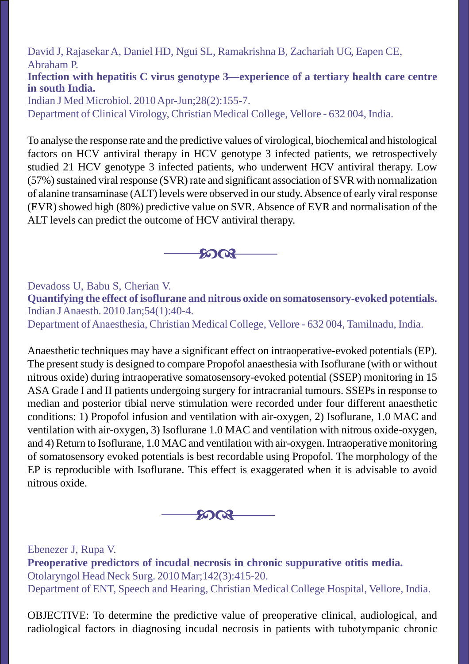David J, Rajasekar A, Daniel HD, Ngui SL, Ramakrishna B, Zachariah UG, Eapen CE, Abraham P. **Infection with hepatitis C virus genotype 3—experience of a tertiary health care centre in south India.** Indian J Med Microbiol. 2010 Apr-Jun;28(2):155-7. Department of Clinical Virology, Christian Medical College, Vellore - 632 004, India.

To analyse the response rate and the predictive values of virological, biochemical and histological factors on HCV antiviral therapy in HCV genotype 3 infected patients, we retrospectively studied 21 HCV genotype 3 infected patients, who underwent HCV antiviral therapy. Low (57%) sustained viral response (SVR) rate and significant association of SVR with normalization of alanine transaminase (ALT) levels were observed in our study. Absence of early viral response (EVR) showed high (80%) predictive value on SVR. Absence of EVR and normalisation of the ALT levels can predict the outcome of HCV antiviral therapy.



Devadoss U, Babu S, Cherian V.

**Quantifying the effect of isoflurane and nitrous oxide on somatosensory-evoked potentials.** Indian J Anaesth. 2010 Jan;54(1):40-4.

Department of Anaesthesia, Christian Medical College, Vellore - 632 004, Tamilnadu, India.

Anaesthetic techniques may have a significant effect on intraoperative-evoked potentials (EP). The present study is designed to compare Propofol anaesthesia with Isoflurane (with or without nitrous oxide) during intraoperative somatosensory-evoked potential (SSEP) monitoring in 15 ASA Grade I and II patients undergoing surgery for intracranial tumours. SSEPs in response to median and posterior tibial nerve stimulation were recorded under four different anaesthetic conditions: 1) Propofol infusion and ventilation with air-oxygen, 2) Isoflurane, 1.0 MAC and ventilation with air-oxygen, 3) Isoflurane 1.0 MAC and ventilation with nitrous oxide-oxygen, and 4) Return to Isoflurane, 1.0 MAC and ventilation with air-oxygen. Intraoperative monitoring of somatosensory evoked potentials is best recordable using Propofol. The morphology of the EP is reproducible with Isoflurane. This effect is exaggerated when it is advisable to avoid nitrous oxide.



Ebenezer J, Rupa V. **Preoperative predictors of incudal necrosis in chronic suppurative otitis media.** Otolaryngol Head Neck Surg. 2010 Mar;142(3):415-20. Department of ENT, Speech and Hearing, Christian Medical College Hospital, Vellore, India.

OBJECTIVE: To determine the predictive value of preoperative clinical, audiological, and radiological factors in diagnosing incudal necrosis in patients with tubotympanic chronic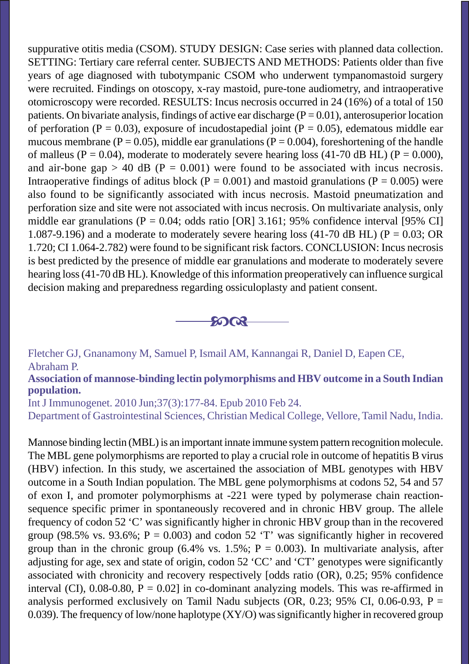suppurative otitis media (CSOM). STUDY DESIGN: Case series with planned data collection. SETTING: Tertiary care referral center. SUBJECTS AND METHODS: Patients older than five years of age diagnosed with tubotympanic CSOM who underwent tympanomastoid surgery were recruited. Findings on otoscopy, x-ray mastoid, pure-tone audiometry, and intraoperative otomicroscopy were recorded. RESULTS: Incus necrosis occurred in 24 (16%) of a total of 150 patients. On bivariate analysis, findings of active ear discharge  $(P = 0.01)$ , anterosuperior location of perforation (P = 0.03), exposure of incudostapedial joint (P = 0.05), edematous middle ear mucous membrane ( $P = 0.05$ ), middle ear granulations ( $P = 0.004$ ), foreshortening of the handle of malleus (P = 0.04), moderate to moderately severe hearing loss (41-70 dB HL) (P = 0.000), and air-bone gap  $> 40$  dB (P = 0.001) were found to be associated with incus necrosis. Intraoperative findings of aditus block ( $P = 0.001$ ) and mastoid granulations ( $P = 0.005$ ) were also found to be significantly associated with incus necrosis. Mastoid pneumatization and perforation size and site were not associated with incus necrosis. On multivariate analysis, only middle ear granulations ( $P = 0.04$ ; odds ratio [OR] 3.161; 95% confidence interval [95% CI] 1.087-9.196) and a moderate to moderately severe hearing loss (41-70 dB HL) ( $P = 0.03$ ; OR 1.720; CI 1.064-2.782) were found to be significant risk factors. CONCLUSION: Incus necrosis is best predicted by the presence of middle ear granulations and moderate to moderately severe hearing loss (41-70 dB HL). Knowledge of this information preoperatively can influence surgical decision making and preparedness regarding ossiculoplasty and patient consent.



Fletcher GJ, Gnanamony M, Samuel P, Ismail AM, Kannangai R, Daniel D, Eapen CE, Abraham P.

#### **Association of mannose-binding lectin polymorphisms and HBV outcome in a South Indian population.**

Int J Immunogenet. 2010 Jun;37(3):177-84. Epub 2010 Feb 24.

Department of Gastrointestinal Sciences, Christian Medical College, Vellore, Tamil Nadu, India.

Mannose binding lectin (MBL) is an important innate immune system pattern recognition molecule. The MBL gene polymorphisms are reported to play a crucial role in outcome of hepatitis B virus (HBV) infection. In this study, we ascertained the association of MBL genotypes with HBV outcome in a South Indian population. The MBL gene polymorphisms at codons 52, 54 and 57 of exon I, and promoter polymorphisms at -221 were typed by polymerase chain reactionsequence specific primer in spontaneously recovered and in chronic HBV group. The allele frequency of codon 52 'C' was significantly higher in chronic HBV group than in the recovered group (98.5% vs. 93.6%;  $P = 0.003$ ) and codon 52 'T' was significantly higher in recovered group than in the chronic group  $(6.4\%$  vs. 1.5%; P = 0.003). In multivariate analysis, after adjusting for age, sex and state of origin, codon 52 'CC' and 'CT' genotypes were significantly associated with chronicity and recovery respectively [odds ratio (OR), 0.25; 95% confidence interval (CI),  $0.08-0.80$ ,  $P = 0.02$ ] in co-dominant analyzing models. This was re-affirmed in analysis performed exclusively on Tamil Nadu subjects (OR, 0.23; 95% CI, 0.06-0.93,  $P =$ 0.039). The frequency of low/none haplotype (XY/O) was significantly higher in recovered group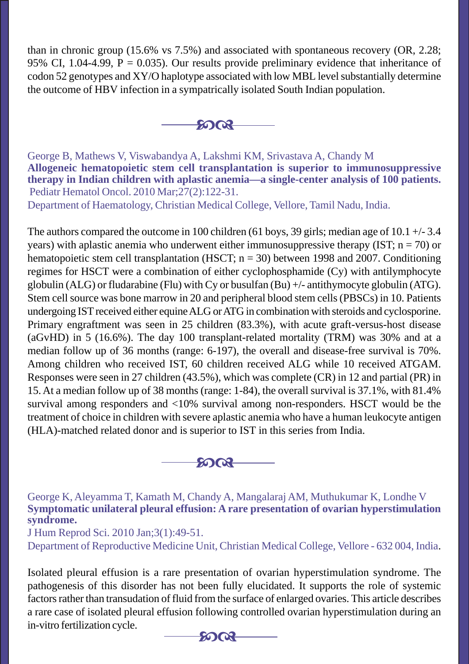than in chronic group (15.6% vs 7.5%) and associated with spontaneous recovery (OR, 2.28; 95% CI, 1.04-4.99,  $P = 0.035$ ). Our results provide preliminary evidence that inheritance of codon 52 genotypes and XY/O haplotype associated with low MBL level substantially determine the outcome of HBV infection in a sympatrically isolated South Indian population.



George B, Mathews V, Viswabandya A, Lakshmi KM, Srivastava A, Chandy M **Allogeneic hematopoietic stem cell transplantation is superior to immunosuppressive therapy in Indian children with aplastic anemia—a single-center analysis of 100 patients.** Pediatr Hematol Oncol. 2010 Mar;27(2):122-31. Department of Haematology, Christian Medical College, Vellore, Tamil Nadu, India.

The authors compared the outcome in 100 children (61 boys, 39 girls; median age of 10.1  $+/- 3.4$ years) with aplastic anemia who underwent either immunosuppressive therapy (IST;  $n = 70$ ) or hematopoietic stem cell transplantation (HSCT;  $n = 30$ ) between 1998 and 2007. Conditioning regimes for HSCT were a combination of either cyclophosphamide (Cy) with antilymphocyte globulin (ALG) or fludarabine (Flu) with Cy or busulfan (Bu) +/- antithymocyte globulin (ATG). Stem cell source was bone marrow in 20 and peripheral blood stem cells (PBSCs) in 10. Patients undergoing IST received either equine ALG or ATG in combination with steroids and cyclosporine. Primary engraftment was seen in 25 children (83.3%), with acute graft-versus-host disease (aGvHD) in 5 (16.6%). The day 100 transplant-related mortality (TRM) was 30% and at a median follow up of 36 months (range: 6-197), the overall and disease-free survival is 70%. Among children who received IST, 60 children received ALG while 10 received ATGAM. Responses were seen in 27 children (43.5%), which was complete (CR) in 12 and partial (PR) in 15. At a median follow up of 38 months (range: 1-84), the overall survival is 37.1%, with 81.4% survival among responders and <10% survival among non-responders. HSCT would be the treatment of choice in children with severe aplastic anemia who have a human leukocyte antigen (HLA)-matched related donor and is superior to IST in this series from India.



George K, Aleyamma T, Kamath M, Chandy A, Mangalaraj AM, Muthukumar K, Londhe V **Symptomatic unilateral pleural effusion: A rare presentation of ovarian hyperstimulation syndrome.**

J Hum Reprod Sci. 2010 Jan;3(1):49-51.

Department of Reproductive Medicine Unit, Christian Medical College, Vellore - 632 004, India.

Isolated pleural effusion is a rare presentation of ovarian hyperstimulation syndrome. The pathogenesis of this disorder has not been fully elucidated. It supports the role of systemic factors rather than transudation of fluid from the surface of enlarged ovaries. This article describes a rare case of isolated pleural effusion following controlled ovarian hyperstimulation during an in-vitro fertilization cycle.

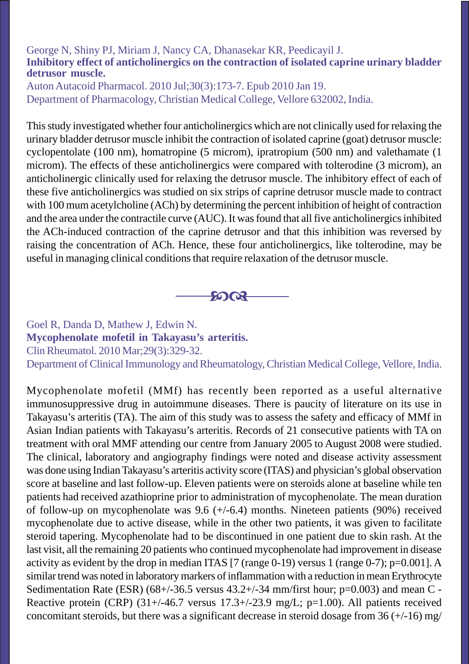#### George N, Shiny PJ, Miriam J, Nancy CA, Dhanasekar KR, Peedicayil J. **Inhibitory effect of anticholinergics on the contraction of isolated caprine urinary bladder detrusor muscle.**

Auton Autacoid Pharmacol. 2010 Jul;30(3):173-7. Epub 2010 Jan 19. Department of Pharmacology, Christian Medical College, Vellore 632002, India.

This study investigated whether four anticholinergics which are not clinically used for relaxing the urinary bladder detrusor muscle inhibit the contraction of isolated caprine (goat) detrusor muscle: cyclopentolate (100 nm), homatropine (5 microm), ipratropium (500 nm) and valethamate (1 microm). The effects of these anticholinergics were compared with tolterodine (3 microm), an anticholinergic clinically used for relaxing the detrusor muscle. The inhibitory effect of each of these five anticholinergics was studied on six strips of caprine detrusor muscle made to contract with 100 mum acetylcholine (ACh) by determining the percent inhibition of height of contraction and the area under the contractile curve (AUC). It was found that all five anticholinergics inhibited the ACh-induced contraction of the caprine detrusor and that this inhibition was reversed by raising the concentration of ACh. Hence, these four anticholinergics, like tolterodine, may be useful in managing clinical conditions that require relaxation of the detrusor muscle.



Goel R, Danda D, Mathew J, Edwin N. **Mycophenolate mofetil in Takayasu's arteritis.** Clin Rheumatol. 2010 Mar;29(3):329-32. Department of Clinical Immunology and Rheumatology, Christian Medical College, Vellore, India.

Mycophenolate mofetil (MMf) has recently been reported as a useful alternative immunosuppressive drug in autoimmune diseases. There is paucity of literature on its use in Takayasu's arteritis (TA). The aim of this study was to assess the safety and efficacy of MMf in Asian Indian patients with Takayasu's arteritis. Records of 21 consecutive patients with TA on treatment with oral MMF attending our centre from January 2005 to August 2008 were studied. The clinical, laboratory and angiography findings were noted and disease activity assessment was done using Indian Takayasu's arteritis activity score (ITAS) and physician's global observation score at baseline and last follow-up. Eleven patients were on steroids alone at baseline while ten patients had received azathioprine prior to administration of mycophenolate. The mean duration of follow-up on mycophenolate was 9.6 (+/-6.4) months. Nineteen patients (90%) received mycophenolate due to active disease, while in the other two patients, it was given to facilitate steroid tapering. Mycophenolate had to be discontinued in one patient due to skin rash. At the last visit, all the remaining 20 patients who continued mycophenolate had improvement in disease activity as evident by the drop in median ITAS [7 (range 0-19) versus 1 (range 0-7); p=0.001]. A similar trend was noted in laboratory markers of inflammation with a reduction in mean Erythrocyte Sedimentation Rate (ESR)  $(68+/36.5 \text{ versus } 43.2+/34 \text{ mm/first hour}; p=0.003)$  and mean C -Reactive protein (CRP)  $(31+/46.7$  versus  $17.3+/23.9$  mg/L;  $p=1.00$ ). All patients received concomitant steroids, but there was a significant decrease in steroid dosage from  $36 (+/-16)$  mg/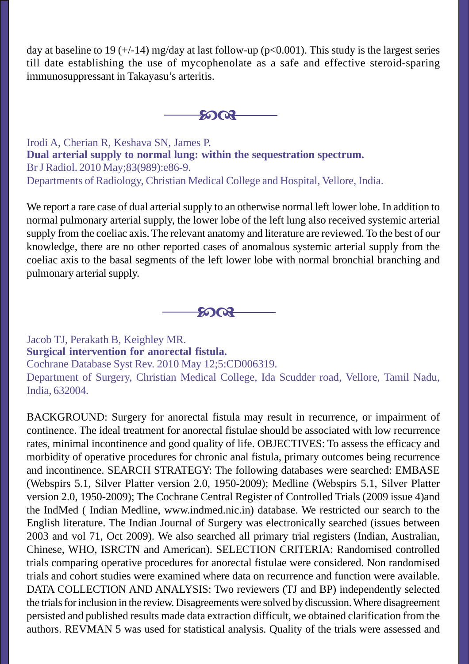day at baseline to 19 ( $+/-14$ ) mg/day at last follow-up ( $p<0.001$ ). This study is the largest series till date establishing the use of mycophenolate as a safe and effective steroid-sparing immunosuppressant in Takayasu's arteritis.



Irodi A, Cherian R, Keshava SN, James P. **Dual arterial supply to normal lung: within the sequestration spectrum.** Br J Radiol. 2010 May;83(989):e86-9. Departments of Radiology, Christian Medical College and Hospital, Vellore, India.

We report a rare case of dual arterial supply to an otherwise normal left lower lobe. In addition to normal pulmonary arterial supply, the lower lobe of the left lung also received systemic arterial supply from the coeliac axis. The relevant anatomy and literature are reviewed. To the best of our knowledge, there are no other reported cases of anomalous systemic arterial supply from the coeliac axis to the basal segments of the left lower lobe with normal bronchial branching and pulmonary arterial supply.



Jacob TJ, Perakath B, Keighley MR. **Surgical intervention for anorectal fistula.** Cochrane Database Syst Rev. 2010 May 12;5:CD006319. Department of Surgery, Christian Medical College, Ida Scudder road, Vellore, Tamil Nadu, India, 632004.

BACKGROUND: Surgery for anorectal fistula may result in recurrence, or impairment of continence. The ideal treatment for anorectal fistulae should be associated with low recurrence rates, minimal incontinence and good quality of life. OBJECTIVES: To assess the efficacy and morbidity of operative procedures for chronic anal fistula, primary outcomes being recurrence and incontinence. SEARCH STRATEGY: The following databases were searched: EMBASE (Webspirs 5.1, Silver Platter version 2.0, 1950-2009); Medline (Webspirs 5.1, Silver Platter version 2.0, 1950-2009); The Cochrane Central Register of Controlled Trials (2009 issue 4)and the IndMed ( Indian Medline, www.indmed.nic.in) database. We restricted our search to the English literature. The Indian Journal of Surgery was electronically searched (issues between 2003 and vol 71, Oct 2009). We also searched all primary trial registers (Indian, Australian, Chinese, WHO, ISRCTN and American). SELECTION CRITERIA: Randomised controlled trials comparing operative procedures for anorectal fistulae were considered. Non randomised trials and cohort studies were examined where data on recurrence and function were available. DATA COLLECTION AND ANALYSIS: Two reviewers (TJ and BP) independently selected the trials for inclusion in the review. Disagreements were solved by discussion. Where disagreement persisted and published results made data extraction difficult, we obtained clarification from the authors. REVMAN 5 was used for statistical analysis. Quality of the trials were assessed and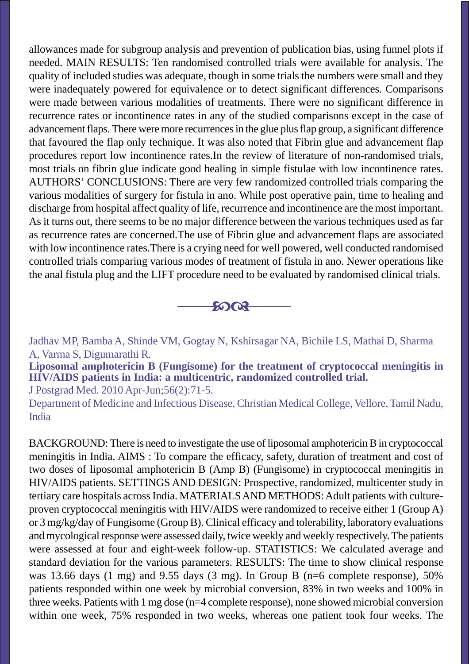allowances made for subgroup analysis and prevention of publication bias, using funnel plots if needed. MAIN RESULTS: Ten randomised controlled trials were available for analysis. The quality of included studies was adequate, though in some trials the numbers were small and they were inadequately powered for equivalence or to detect significant differences. Comparisons were made between various modalities of treatments. There were no significant difference in recurrence rates or incontinence rates in any of the studied comparisons except in the case of advancement flaps. There were more recurrences in the glue plus flap group, a significant difference that favoured the flap only technique. It was also noted that Fibrin glue and advancement flap procedures report low incontinence rates.In the review of literature of non-randomised trials, most trials on fibrin glue indicate good healing in simple fistulae with low incontinence rates. AUTHORS' CONCLUSIONS: There are very few randomized controlled trials comparing the various modalities of surgery for fistula in ano. While post operative pain, time to healing and discharge from hospital affect quality of life, recurrence and incontinence are the most important. As it turns out, there seems to be no major difference between the various techniques used as far as recurrence rates are concerned.The use of Fibrin glue and advancement flaps are associated with low incontinence rates.There is a crying need for well powered, well conducted randomised controlled trials comparing various modes of treatment of fistula in ano. Newer operations like the anal fistula plug and the LIFT procedure need to be evaluated by randomised clinical trials.



Jadhav MP, Bamba A, Shinde VM, Gogtay N, Kshirsagar NA, Bichile LS, Mathai D, Sharma A, Varma S, Digumarathi R.

**Liposomal amphotericin B (Fungisome) for the treatment of cryptococcal meningitis in HIV/AIDS patients in India: a multicentric, randomized controlled trial.**

J Postgrad Med. 2010 Apr-Jun;56(2):71-5.

Department of Medicine and Infectious Disease, Christian Medical College, Vellore, Tamil Nadu, India

BACKGROUND: There is need to investigate the use of liposomal amphotericin B in cryptococcal meningitis in India. AIMS : To compare the efficacy, safety, duration of treatment and cost of two doses of liposomal amphotericin B (Amp B) (Fungisome) in cryptococcal meningitis in HIV/AIDS patients. SETTINGS AND DESIGN: Prospective, randomized, multicenter study in tertiary care hospitals across India. MATERIALS AND METHODS: Adult patients with cultureproven cryptococcal meningitis with HIV/AIDS were randomized to receive either 1 (Group A) or 3 mg/kg/day of Fungisome (Group B). Clinical efficacy and tolerability, laboratory evaluations and mycological response were assessed daily, twice weekly and weekly respectively. The patients were assessed at four and eight-week follow-up. STATISTICS: We calculated average and standard deviation for the various parameters. RESULTS: The time to show clinical response was 13.66 days (1 mg) and 9.55 days (3 mg). In Group B (n=6 complete response), 50% patients responded within one week by microbial conversion, 83% in two weeks and 100% in three weeks. Patients with 1 mg dose (n=4 complete response), none showed microbial conversion within one week, 75% responded in two weeks, whereas one patient took four weeks. The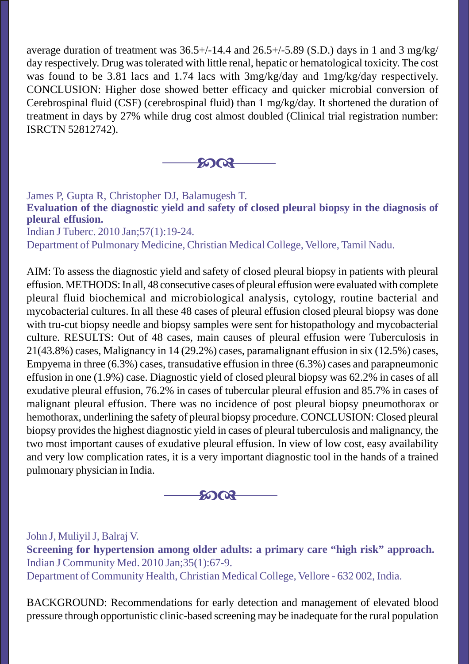average duration of treatment was  $36.5+/14.4$  and  $26.5+/5.89$  (S.D.) days in 1 and 3 mg/kg/ day respectively. Drug was tolerated with little renal, hepatic or hematological toxicity. The cost was found to be 3.81 lacs and 1.74 lacs with 3mg/kg/day and 1mg/kg/day respectively. CONCLUSION: Higher dose showed better efficacy and quicker microbial conversion of Cerebrospinal fluid (CSF) (cerebrospinal fluid) than 1 mg/kg/day. It shortened the duration of treatment in days by 27% while drug cost almost doubled (Clinical trial registration number: ISRCTN 52812742).



## James P, Gupta R, Christopher DJ, Balamugesh T. **Evaluation of the diagnostic yield and safety of closed pleural biopsy in the diagnosis of pleural effusion.** Indian J Tuberc. 2010 Jan;57(1):19-24.

Department of Pulmonary Medicine, Christian Medical College, Vellore, Tamil Nadu.

AIM: To assess the diagnostic yield and safety of closed pleural biopsy in patients with pleural effusion. METHODS: In all, 48 consecutive cases of pleural effusion were evaluated with complete pleural fluid biochemical and microbiological analysis, cytology, routine bacterial and mycobacterial cultures. In all these 48 cases of pleural effusion closed pleural biopsy was done with tru-cut biopsy needle and biopsy samples were sent for histopathology and mycobacterial culture. RESULTS: Out of 48 cases, main causes of pleural effusion were Tuberculosis in 21(43.8%) cases, Malignancy in 14 (29.2%) cases, paramalignant effusion in six (12.5%) cases, Empyema in three (6.3%) cases, transudative effusion in three (6.3%) cases and parapneumonic effusion in one (1.9%) case. Diagnostic yield of closed pleural biopsy was 62.2% in cases of all exudative pleural effusion, 76.2% in cases of tubercular pleural effusion and 85.7% in cases of malignant pleural effusion. There was no incidence of post pleural biopsy pneumothorax or hemothorax, underlining the safety of pleural biopsy procedure. CONCLUSION: Closed pleural biopsy provides the highest diagnostic yield in cases of pleural tuberculosis and malignancy, the two most important causes of exudative pleural effusion. In view of low cost, easy availability and very low complication rates, it is a very important diagnostic tool in the hands of a trained pulmonary physician in India.



## John J, Muliyil J, Balraj V.

**Screening for hypertension among older adults: a primary care "high risk" approach.** Indian J Community Med. 2010 Jan;35(1):67-9. Department of Community Health, Christian Medical College, Vellore - 632 002, India.

BACKGROUND: Recommendations for early detection and management of elevated blood pressure through opportunistic clinic-based screening may be inadequate for the rural population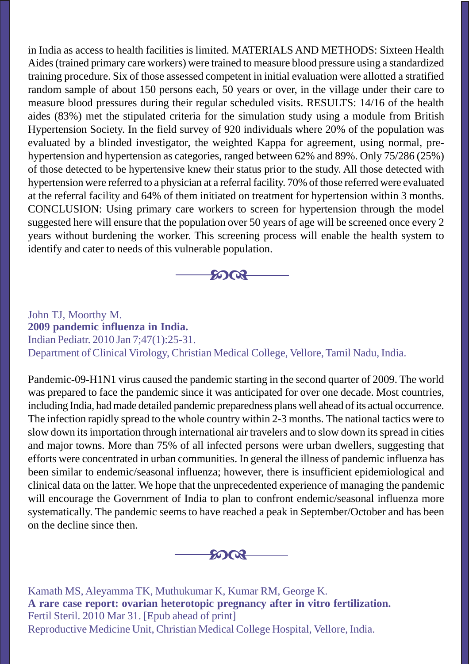in India as access to health facilities is limited. MATERIALS AND METHODS: Sixteen Health Aides (trained primary care workers) were trained to measure blood pressure using a standardized training procedure. Six of those assessed competent in initial evaluation were allotted a stratified random sample of about 150 persons each, 50 years or over, in the village under their care to measure blood pressures during their regular scheduled visits. RESULTS: 14/16 of the health aides (83%) met the stipulated criteria for the simulation study using a module from British Hypertension Society. In the field survey of 920 individuals where 20% of the population was evaluated by a blinded investigator, the weighted Kappa for agreement, using normal, prehypertension and hypertension as categories, ranged between 62% and 89%. Only 75/286 (25%) of those detected to be hypertensive knew their status prior to the study. All those detected with hypertension were referred to a physician at a referral facility. 70% of those referred were evaluated at the referral facility and 64% of them initiated on treatment for hypertension within 3 months. CONCLUSION: Using primary care workers to screen for hypertension through the model suggested here will ensure that the population over 50 years of age will be screened once every 2 years without burdening the worker. This screening process will enable the health system to identify and cater to needs of this vulnerable population.



John TJ, Moorthy M. **2009 pandemic influenza in India.** Indian Pediatr. 2010 Jan 7;47(1):25-31. Department of Clinical Virology, Christian Medical College, Vellore, Tamil Nadu, India.

Pandemic-09-H1N1 virus caused the pandemic starting in the second quarter of 2009. The world was prepared to face the pandemic since it was anticipated for over one decade. Most countries, including India, had made detailed pandemic preparedness plans well ahead of its actual occurrence. The infection rapidly spread to the whole country within 2-3 months. The national tactics were to slow down its importation through international air travelers and to slow down its spread in cities and major towns. More than 75% of all infected persons were urban dwellers, suggesting that efforts were concentrated in urban communities. In general the illness of pandemic influenza has been similar to endemic/seasonal influenza; however, there is insufficient epidemiological and clinical data on the latter. We hope that the unprecedented experience of managing the pandemic will encourage the Government of India to plan to confront endemic/seasonal influenza more systematically. The pandemic seems to have reached a peak in September/October and has been on the decline since then.



Kamath MS, Aleyamma TK, Muthukumar K, Kumar RM, George K. **A rare case report: ovarian heterotopic pregnancy after in vitro fertilization.** Fertil Steril. 2010 Mar 31. [Epub ahead of print] Reproductive Medicine Unit, Christian Medical College Hospital, Vellore, India.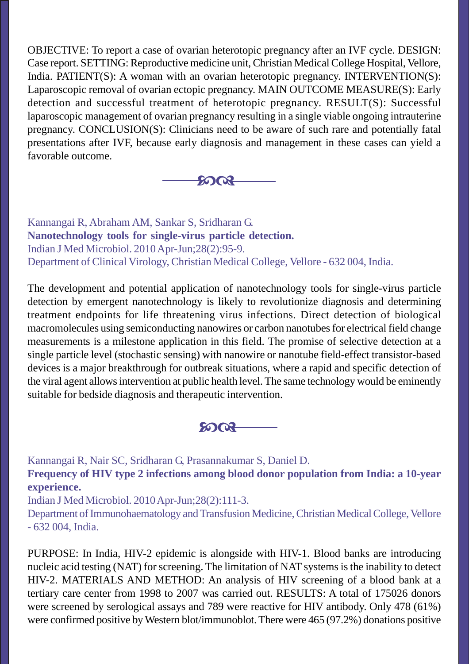OBJECTIVE: To report a case of ovarian heterotopic pregnancy after an IVF cycle. DESIGN: Case report. SETTING: Reproductive medicine unit, Christian Medical College Hospital, Vellore, India. PATIENT(S): A woman with an ovarian heterotopic pregnancy. INTERVENTION(S): Laparoscopic removal of ovarian ectopic pregnancy. MAIN OUTCOME MEASURE(S): Early detection and successful treatment of heterotopic pregnancy. RESULT(S): Successful laparoscopic management of ovarian pregnancy resulting in a single viable ongoing intrauterine pregnancy. CONCLUSION(S): Clinicians need to be aware of such rare and potentially fatal presentations after IVF, because early diagnosis and management in these cases can yield a favorable outcome.



Kannangai R, Abraham AM, Sankar S, Sridharan G. **Nanotechnology tools for single-virus particle detection.** Indian J Med Microbiol. 2010 Apr-Jun;28(2):95-9. Department of Clinical Virology, Christian Medical College, Vellore - 632 004, India.

The development and potential application of nanotechnology tools for single-virus particle detection by emergent nanotechnology is likely to revolutionize diagnosis and determining treatment endpoints for life threatening virus infections. Direct detection of biological macromolecules using semiconducting nanowires or carbon nanotubes for electrical field change measurements is a milestone application in this field. The promise of selective detection at a single particle level (stochastic sensing) with nanowire or nanotube field-effect transistor-based devices is a major breakthrough for outbreak situations, where a rapid and specific detection of the viral agent allows intervention at public health level. The same technology would be eminently suitable for bedside diagnosis and therapeutic intervention.



Kannangai R, Nair SC, Sridharan G, Prasannakumar S, Daniel D.

**Frequency of HIV type 2 infections among blood donor population from India: a 10-year experience.**

Indian J Med Microbiol. 2010 Apr-Jun;28(2):111-3.

Department of Immunohaematology and Transfusion Medicine, Christian Medical College, Vellore - 632 004, India.

PURPOSE: In India, HIV-2 epidemic is alongside with HIV-1. Blood banks are introducing nucleic acid testing (NAT) for screening. The limitation of NAT systems is the inability to detect HIV-2. MATERIALS AND METHOD: An analysis of HIV screening of a blood bank at a tertiary care center from 1998 to 2007 was carried out. RESULTS: A total of 175026 donors were screened by serological assays and 789 were reactive for HIV antibody. Only 478 (61%) were confirmed positive by Western blot/immunoblot. There were 465 (97.2%) donations positive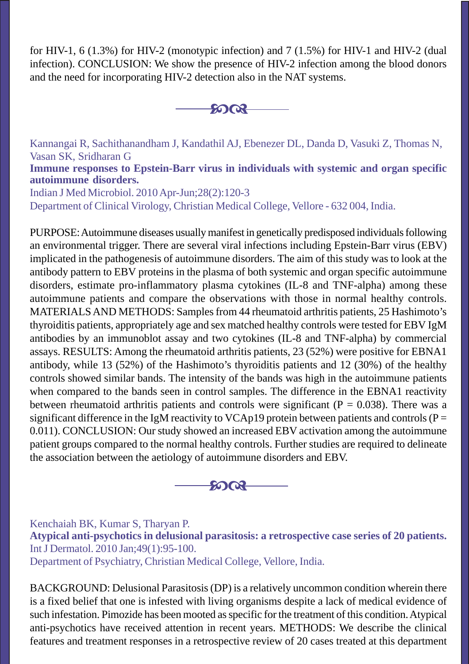for HIV-1, 6 (1.3%) for HIV-2 (monotypic infection) and 7 (1.5%) for HIV-1 and HIV-2 (dual infection). CONCLUSION: We show the presence of HIV-2 infection among the blood donors and the need for incorporating HIV-2 detection also in the NAT systems.



Kannangai R, Sachithanandham J, Kandathil AJ, Ebenezer DL, Danda D, Vasuki Z, Thomas N, Vasan SK, Sridharan G **Immune responses to Epstein-Barr virus in individuals with systemic and organ specific autoimmune disorders.** Indian J Med Microbiol. 2010 Apr-Jun;28(2):120-3 Department of Clinical Virology, Christian Medical College, Vellore - 632 004, India.

PURPOSE: Autoimmune diseases usually manifest in genetically predisposed individuals following an environmental trigger. There are several viral infections including Epstein-Barr virus (EBV) implicated in the pathogenesis of autoimmune disorders. The aim of this study was to look at the antibody pattern to EBV proteins in the plasma of both systemic and organ specific autoimmune disorders, estimate pro-inflammatory plasma cytokines (IL-8 and TNF-alpha) among these autoimmune patients and compare the observations with those in normal healthy controls. MATERIALS AND METHODS: Samples from 44 rheumatoid arthritis patients, 25 Hashimoto's thyroiditis patients, appropriately age and sex matched healthy controls were tested for EBV IgM antibodies by an immunoblot assay and two cytokines (IL-8 and TNF-alpha) by commercial assays. RESULTS: Among the rheumatoid arthritis patients, 23 (52%) were positive for EBNA1 antibody, while 13 (52%) of the Hashimoto's thyroiditis patients and 12 (30%) of the healthy controls showed similar bands. The intensity of the bands was high in the autoimmune patients when compared to the bands seen in control samples. The difference in the EBNA1 reactivity between rheumatoid arthritis patients and controls were significant ( $P = 0.038$ ). There was a significant difference in the IgM reactivity to VCAp19 protein between patients and controls ( $P =$ 0.011). CONCLUSION: Our study showed an increased EBV activation among the autoimmune patient groups compared to the normal healthy controls. Further studies are required to delineate the association between the aetiology of autoimmune disorders and EBV.



Kenchaiah BK, Kumar S, Tharyan P.

**Atypical anti-psychotics in delusional parasitosis: a retrospective case series of 20 patients.** Int J Dermatol. 2010 Jan;49(1):95-100.

Department of Psychiatry, Christian Medical College, Vellore, India.

BACKGROUND: Delusional Parasitosis (DP) is a relatively uncommon condition wherein there is a fixed belief that one is infested with living organisms despite a lack of medical evidence of such infestation. Pimozide has been mooted as specific for the treatment of this condition. Atypical anti-psychotics have received attention in recent years. METHODS: We describe the clinical features and treatment responses in a retrospective review of 20 cases treated at this department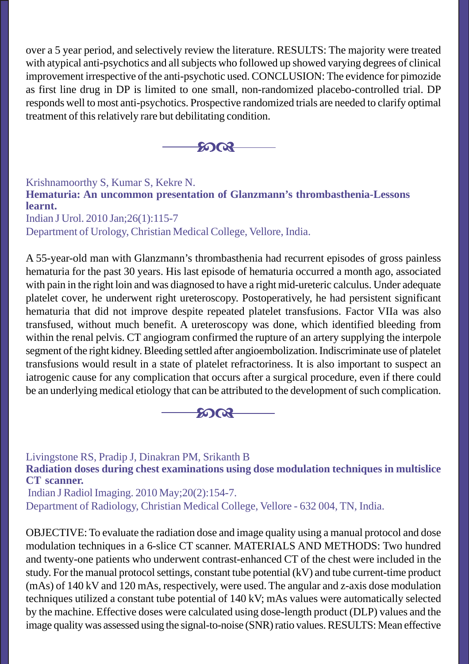over a 5 year period, and selectively review the literature. RESULTS: The majority were treated with atypical anti-psychotics and all subjects who followed up showed varying degrees of clinical improvement irrespective of the anti-psychotic used. CONCLUSION: The evidence for pimozide as first line drug in DP is limited to one small, non-randomized placebo-controlled trial. DP responds well to most anti-psychotics. Prospective randomized trials are needed to clarify optimal treatment of this relatively rare but debilitating condition.



Krishnamoorthy S, Kumar S, Kekre N.

**Hematuria: An uncommon presentation of Glanzmann's thrombasthenia-Lessons learnt.** Indian J Urol. 2010 Jan;26(1):115-7

Department of Urology, Christian Medical College, Vellore, India.

A 55-year-old man with Glanzmann's thrombasthenia had recurrent episodes of gross painless hematuria for the past 30 years. His last episode of hematuria occurred a month ago, associated with pain in the right loin and was diagnosed to have a right mid-ureteric calculus. Under adequate platelet cover, he underwent right ureteroscopy. Postoperatively, he had persistent significant hematuria that did not improve despite repeated platelet transfusions. Factor VIIa was also transfused, without much benefit. A ureteroscopy was done, which identified bleeding from within the renal pelvis. CT angiogram confirmed the rupture of an artery supplying the interpole segment of the right kidney. Bleeding settled after angioembolization. Indiscriminate use of platelet transfusions would result in a state of platelet refractoriness. It is also important to suspect an iatrogenic cause for any complication that occurs after a surgical procedure, even if there could be an underlying medical etiology that can be attributed to the development of such complication.



Livingstone RS, Pradip J, Dinakran PM, Srikanth B

**Radiation doses during chest examinations using dose modulation techniques in multislice CT scanner.**

 Indian J Radiol Imaging. 2010 May;20(2):154-7. Department of Radiology, Christian Medical College, Vellore - 632 004, TN, India.

OBJECTIVE: To evaluate the radiation dose and image quality using a manual protocol and dose modulation techniques in a 6-slice CT scanner. MATERIALS AND METHODS: Two hundred and twenty-one patients who underwent contrast-enhanced CT of the chest were included in the study. For the manual protocol settings, constant tube potential (kV) and tube current-time product (mAs) of 140 kV and 120 mAs, respectively, were used. The angular and z-axis dose modulation techniques utilized a constant tube potential of 140 kV; mAs values were automatically selected by the machine. Effective doses were calculated using dose-length product (DLP) values and the image quality was assessed using the signal-to-noise (SNR) ratio values. RESULTS: Mean effective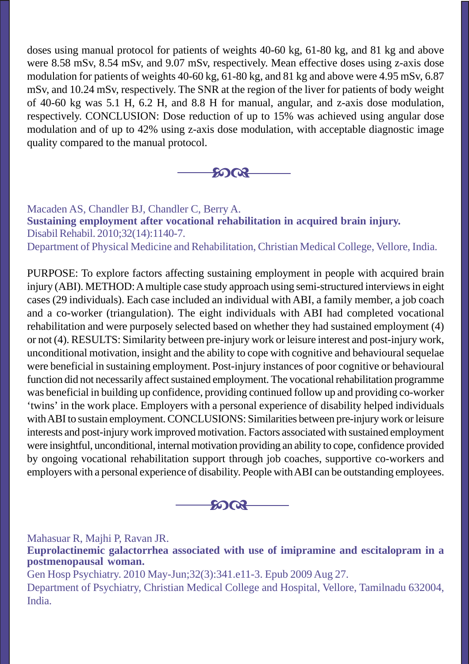doses using manual protocol for patients of weights 40-60 kg, 61-80 kg, and 81 kg and above were 8.58 mSv, 8.54 mSv, and 9.07 mSv, respectively. Mean effective doses using z-axis dose modulation for patients of weights 40-60 kg, 61-80 kg, and 81 kg and above were 4.95 mSv, 6.87 mSv, and 10.24 mSv, respectively. The SNR at the region of the liver for patients of body weight of 40-60 kg was 5.1 H, 6.2 H, and 8.8 H for manual, angular, and z-axis dose modulation, respectively. CONCLUSION: Dose reduction of up to 15% was achieved using angular dose modulation and of up to 42% using z-axis dose modulation, with acceptable diagnostic image quality compared to the manual protocol.



Macaden AS, Chandler BJ, Chandler C, Berry A. **Sustaining employment after vocational rehabilitation in acquired brain injury.** Disabil Rehabil. 2010;32(14):1140-7. Department of Physical Medicine and Rehabilitation, Christian Medical College, Vellore, India.

PURPOSE: To explore factors affecting sustaining employment in people with acquired brain injury (ABI). METHOD: A multiple case study approach using semi-structured interviews in eight cases (29 individuals). Each case included an individual with ABI, a family member, a job coach and a co-worker (triangulation). The eight individuals with ABI had completed vocational rehabilitation and were purposely selected based on whether they had sustained employment (4) or not (4). RESULTS: Similarity between pre-injury work or leisure interest and post-injury work, unconditional motivation, insight and the ability to cope with cognitive and behavioural sequelae were beneficial in sustaining employment. Post-injury instances of poor cognitive or behavioural function did not necessarily affect sustained employment. The vocational rehabilitation programme was beneficial in building up confidence, providing continued follow up and providing co-worker 'twins' in the work place. Employers with a personal experience of disability helped individuals with ABI to sustain employment. CONCLUSIONS: Similarities between pre-injury work or leisure interests and post-injury work improved motivation. Factors associated with sustained employment were insightful, unconditional, internal motivation providing an ability to cope, confidence provided by ongoing vocational rehabilitation support through job coaches, supportive co-workers and employers with a personal experience of disability. People with ABI can be outstanding employees.



Mahasuar R, Majhi P, Ravan JR.

**Euprolactinemic galactorrhea associated with use of imipramine and escitalopram in a postmenopausal woman.**

Gen Hosp Psychiatry. 2010 May-Jun;32(3):341.e11-3. Epub 2009 Aug 27.

Department of Psychiatry, Christian Medical College and Hospital, Vellore, Tamilnadu 632004, India.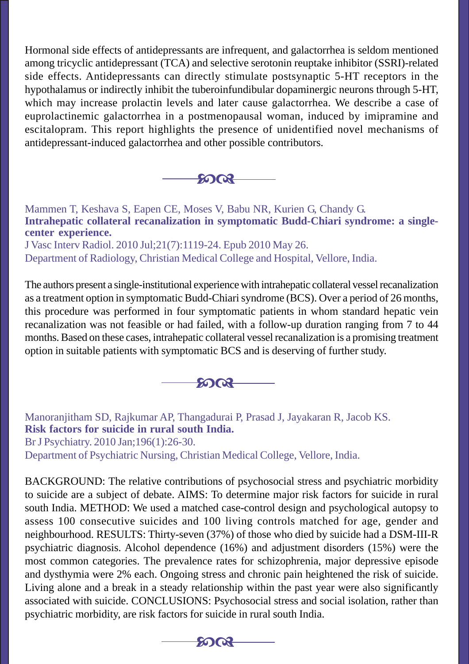Hormonal side effects of antidepressants are infrequent, and galactorrhea is seldom mentioned among tricyclic antidepressant (TCA) and selective serotonin reuptake inhibitor (SSRI)-related side effects. Antidepressants can directly stimulate postsynaptic 5-HT receptors in the hypothalamus or indirectly inhibit the tuberoinfundibular dopaminergic neurons through 5-HT, which may increase prolactin levels and later cause galactorrhea. We describe a case of euprolactinemic galactorrhea in a postmenopausal woman, induced by imipramine and escitalopram. This report highlights the presence of unidentified novel mechanisms of antidepressant-induced galactorrhea and other possible contributors.



Mammen T, Keshava S, Eapen CE, Moses V, Babu NR, Kurien G, Chandy G. **Intrahepatic collateral recanalization in symptomatic Budd-Chiari syndrome: a singlecenter experience.** J Vasc Interv Radiol. 2010 Jul;21(7):1119-24. Epub 2010 May 26.

Department of Radiology, Christian Medical College and Hospital, Vellore, India.

The authors present a single-institutional experience with intrahepatic collateral vessel recanalization as a treatment option in symptomatic Budd-Chiari syndrome (BCS). Over a period of 26 months, this procedure was performed in four symptomatic patients in whom standard hepatic vein recanalization was not feasible or had failed, with a follow-up duration ranging from 7 to 44 months. Based on these cases, intrahepatic collateral vessel recanalization is a promising treatment option in suitable patients with symptomatic BCS and is deserving of further study.



Manoranjitham SD, Rajkumar AP, Thangadurai P, Prasad J, Jayakaran R, Jacob KS. **Risk factors for suicide in rural south India.** Br J Psychiatry. 2010 Jan;196(1):26-30. Department of Psychiatric Nursing, Christian Medical College, Vellore, India.

BACKGROUND: The relative contributions of psychosocial stress and psychiatric morbidity to suicide are a subject of debate. AIMS: To determine major risk factors for suicide in rural south India. METHOD: We used a matched case-control design and psychological autopsy to assess 100 consecutive suicides and 100 living controls matched for age, gender and neighbourhood. RESULTS: Thirty-seven (37%) of those who died by suicide had a DSM-III-R psychiatric diagnosis. Alcohol dependence (16%) and adjustment disorders (15%) were the most common categories. The prevalence rates for schizophrenia, major depressive episode and dysthymia were 2% each. Ongoing stress and chronic pain heightened the risk of suicide. Living alone and a break in a steady relationship within the past year were also significantly associated with suicide. CONCLUSIONS: Psychosocial stress and social isolation, rather than psychiatric morbidity, are risk factors for suicide in rural south India.

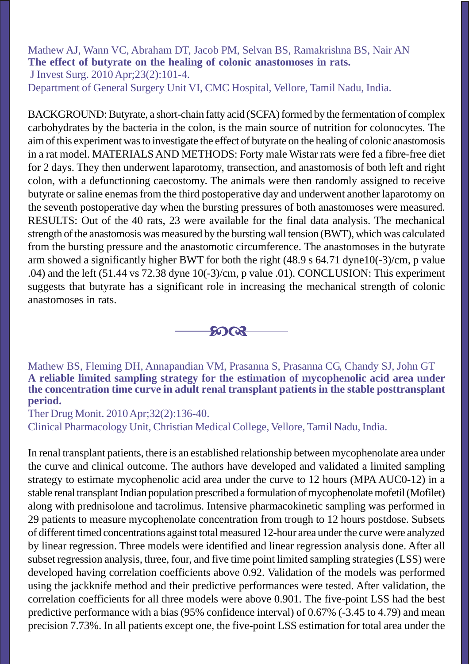Mathew AJ, Wann VC, Abraham DT, Jacob PM, Selvan BS, Ramakrishna BS, Nair AN **The effect of butyrate on the healing of colonic anastomoses in rats.** J Invest Surg. 2010 Apr;23(2):101-4. Department of General Surgery Unit VI, CMC Hospital, Vellore, Tamil Nadu, India.

BACKGROUND: Butyrate, a short-chain fatty acid (SCFA) formed by the fermentation of complex carbohydrates by the bacteria in the colon, is the main source of nutrition for colonocytes. The aim of this experiment was to investigate the effect of butyrate on the healing of colonic anastomosis in a rat model. MATERIALS AND METHODS: Forty male Wistar rats were fed a fibre-free diet for 2 days. They then underwent laparotomy, transection, and anastomosis of both left and right colon, with a defunctioning caecostomy. The animals were then randomly assigned to receive butyrate or saline enemas from the third postoperative day and underwent another laparotomy on the seventh postoperative day when the bursting pressures of both anastomoses were measured. RESULTS: Out of the 40 rats, 23 were available for the final data analysis. The mechanical strength of the anastomosis was measured by the bursting wall tension (BWT), which was calculated from the bursting pressure and the anastomotic circumference. The anastomoses in the butyrate arm showed a significantly higher BWT for both the right (48.9 s 64.71 dyne10(-3)/cm, p value .04) and the left (51.44 vs 72.38 dyne 10(-3)/cm, p value .01). CONCLUSION: This experiment suggests that butyrate has a significant role in increasing the mechanical strength of colonic anastomoses in rats.



Mathew BS, Fleming DH, Annapandian VM, Prasanna S, Prasanna CG, Chandy SJ, John GT **A reliable limited sampling strategy for the estimation of mycophenolic acid area under the concentration time curve in adult renal transplant patients in the stable posttransplant period.**

Ther Drug Monit. 2010 Apr;32(2):136-40. Clinical Pharmacology Unit, Christian Medical College, Vellore, Tamil Nadu, India.

In renal transplant patients, there is an established relationship between mycophenolate area under the curve and clinical outcome. The authors have developed and validated a limited sampling strategy to estimate mycophenolic acid area under the curve to 12 hours (MPA AUC0-12) in a stable renal transplant Indian population prescribed a formulation of mycophenolate mofetil (Mofilet) along with prednisolone and tacrolimus. Intensive pharmacokinetic sampling was performed in 29 patients to measure mycophenolate concentration from trough to 12 hours postdose. Subsets of different timed concentrations against total measured 12-hour area under the curve were analyzed by linear regression. Three models were identified and linear regression analysis done. After all subset regression analysis, three, four, and five time point limited sampling strategies (LSS) were developed having correlation coefficients above 0.92. Validation of the models was performed using the jackknife method and their predictive performances were tested. After validation, the correlation coefficients for all three models were above 0.901. The five-point LSS had the best predictive performance with a bias (95% confidence interval) of 0.67% (-3.45 to 4.79) and mean precision 7.73%. In all patients except one, the five-point LSS estimation for total area under the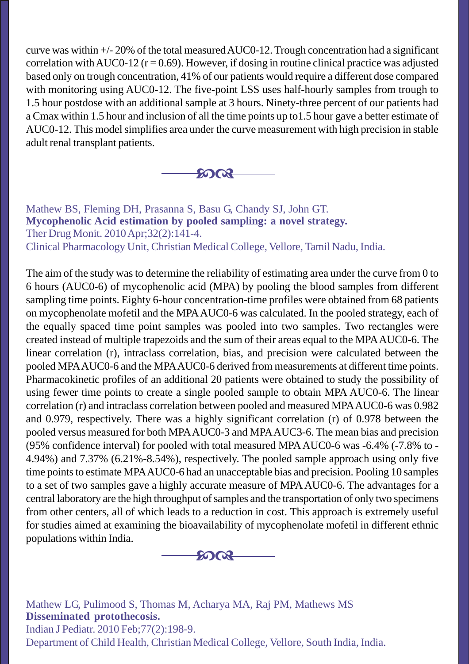curve was within +/- 20% of the total measured AUC0-12. Trough concentration had a significant correlation with AUC0-12 ( $r = 0.69$ ). However, if dosing in routine clinical practice was adjusted based only on trough concentration, 41% of our patients would require a different dose compared with monitoring using AUC0-12. The five-point LSS uses half-hourly samples from trough to 1.5 hour postdose with an additional sample at 3 hours. Ninety-three percent of our patients had a Cmax within 1.5 hour and inclusion of all the time points up to1.5 hour gave a better estimate of AUC0-12. This model simplifies area under the curve measurement with high precision in stable adult renal transplant patients.



Mathew BS, Fleming DH, Prasanna S, Basu G, Chandy SJ, John GT. **Mycophenolic Acid estimation by pooled sampling: a novel strategy.** Ther Drug Monit. 2010 Apr;32(2):141-4. Clinical Pharmacology Unit, Christian Medical College, Vellore, Tamil Nadu, India.

The aim of the study was to determine the reliability of estimating area under the curve from 0 to 6 hours (AUC0-6) of mycophenolic acid (MPA) by pooling the blood samples from different sampling time points. Eighty 6-hour concentration-time profiles were obtained from 68 patients on mycophenolate mofetil and the MPA AUC0-6 was calculated. In the pooled strategy, each of the equally spaced time point samples was pooled into two samples. Two rectangles were created instead of multiple trapezoids and the sum of their areas equal to the MPA AUC0-6. The linear correlation (r), intraclass correlation, bias, and precision were calculated between the pooled MPA AUC0-6 and the MPA AUC0-6 derived from measurements at different time points. Pharmacokinetic profiles of an additional 20 patients were obtained to study the possibility of using fewer time points to create a single pooled sample to obtain MPA AUC0-6. The linear correlation (r) and intraclass correlation between pooled and measured MPA AUC0-6 was 0.982 and 0.979, respectively. There was a highly significant correlation (r) of 0.978 between the pooled versus measured for both MPA AUC0-3 and MPA AUC3-6. The mean bias and precision (95% confidence interval) for pooled with total measured MPA AUC0-6 was -6.4% (-7.8% to - 4.94%) and 7.37% (6.21%-8.54%), respectively. The pooled sample approach using only five time points to estimate MPA AUC0-6 had an unacceptable bias and precision. Pooling 10 samples to a set of two samples gave a highly accurate measure of MPA AUC0-6. The advantages for a central laboratory are the high throughput of samples and the transportation of only two specimens from other centers, all of which leads to a reduction in cost. This approach is extremely useful for studies aimed at examining the bioavailability of mycophenolate mofetil in different ethnic populations within India.



Mathew LG, Pulimood S, Thomas M, Acharya MA, Raj PM, Mathews MS **Disseminated protothecosis.** Indian J Pediatr. 2010 Feb;77(2):198-9. Department of Child Health, Christian Medical College, Vellore, South India, India.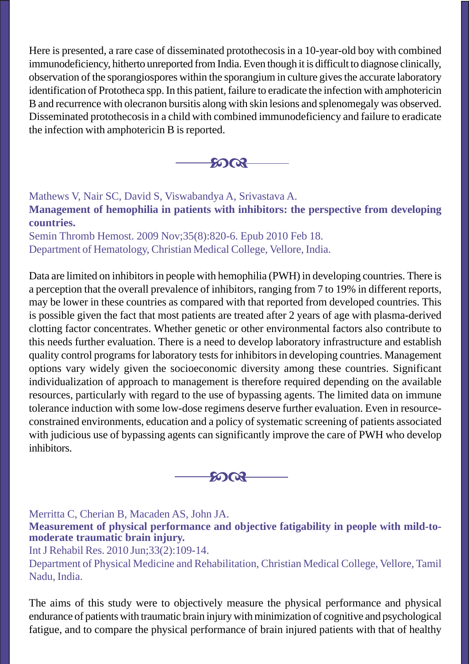Here is presented, a rare case of disseminated protothecosis in a 10-year-old boy with combined immunodeficiency, hitherto unreported from India. Even though it is difficult to diagnose clinically, observation of the sporangiospores within the sporangium in culture gives the accurate laboratory identification of Prototheca spp. In this patient, failure to eradicate the infection with amphotericin B and recurrence with olecranon bursitis along with skin lesions and splenomegaly was observed. Disseminated protothecosis in a child with combined immunodeficiency and failure to eradicate the infection with amphotericin B is reported.



Mathews V, Nair SC, David S, Viswabandya A, Srivastava A.

**Management of hemophilia in patients with inhibitors: the perspective from developing countries.**

Semin Thromb Hemost. 2009 Nov;35(8):820-6. Epub 2010 Feb 18. Department of Hematology, Christian Medical College, Vellore, India.

Data are limited on inhibitors in people with hemophilia (PWH) in developing countries. There is a perception that the overall prevalence of inhibitors, ranging from 7 to 19% in different reports, may be lower in these countries as compared with that reported from developed countries. This is possible given the fact that most patients are treated after 2 years of age with plasma-derived clotting factor concentrates. Whether genetic or other environmental factors also contribute to this needs further evaluation. There is a need to develop laboratory infrastructure and establish quality control programs for laboratory tests for inhibitors in developing countries. Management options vary widely given the socioeconomic diversity among these countries. Significant individualization of approach to management is therefore required depending on the available resources, particularly with regard to the use of bypassing agents. The limited data on immune tolerance induction with some low-dose regimens deserve further evaluation. Even in resourceconstrained environments, education and a policy of systematic screening of patients associated with judicious use of bypassing agents can significantly improve the care of PWH who develop inhibitors.



Merritta C, Cherian B, Macaden AS, John JA. **Measurement of physical performance and objective fatigability in people with mild-tomoderate traumatic brain injury.**

Int J Rehabil Res. 2010 Jun;33(2):109-14.

Department of Physical Medicine and Rehabilitation, Christian Medical College, Vellore, Tamil Nadu, India.

The aims of this study were to objectively measure the physical performance and physical endurance of patients with traumatic brain injury with minimization of cognitive and psychological fatigue, and to compare the physical performance of brain injured patients with that of healthy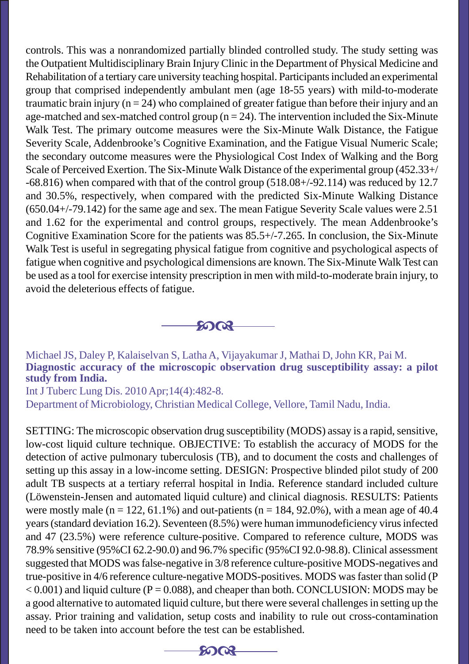controls. This was a nonrandomized partially blinded controlled study. The study setting was the Outpatient Multidisciplinary Brain Injury Clinic in the Department of Physical Medicine and Rehabilitation of a tertiary care university teaching hospital. Participants included an experimental group that comprised independently ambulant men (age 18-55 years) with mild-to-moderate traumatic brain injury ( $n = 24$ ) who complained of greater fatigue than before their injury and an age-matched and sex-matched control group  $(n = 24)$ . The intervention included the Six-Minute Walk Test. The primary outcome measures were the Six-Minute Walk Distance, the Fatigue Severity Scale, Addenbrooke's Cognitive Examination, and the Fatigue Visual Numeric Scale; the secondary outcome measures were the Physiological Cost Index of Walking and the Borg Scale of Perceived Exertion. The Six-Minute Walk Distance of the experimental group (452.33+/ -68.816) when compared with that of the control group (518.08+/-92.114) was reduced by 12.7 and 30.5%, respectively, when compared with the predicted Six-Minute Walking Distance (650.04+/-79.142) for the same age and sex. The mean Fatigue Severity Scale values were 2.51 and 1.62 for the experimental and control groups, respectively. The mean Addenbrooke's Cognitive Examination Score for the patients was 85.5+/-7.265. In conclusion, the Six-Minute Walk Test is useful in segregating physical fatigue from cognitive and psychological aspects of fatigue when cognitive and psychological dimensions are known. The Six-Minute Walk Test can be used as a tool for exercise intensity prescription in men with mild-to-moderate brain injury, to avoid the deleterious effects of fatigue.



Michael JS, Daley P, Kalaiselvan S, Latha A, Vijayakumar J, Mathai D, John KR, Pai M. **Diagnostic accuracy of the microscopic observation drug susceptibility assay: a pilot study from India.**

Int J Tuberc Lung Dis. 2010 Apr;14(4):482-8.

Department of Microbiology, Christian Medical College, Vellore, Tamil Nadu, India.

SETTING: The microscopic observation drug susceptibility (MODS) assay is a rapid, sensitive, low-cost liquid culture technique. OBJECTIVE: To establish the accuracy of MODS for the detection of active pulmonary tuberculosis (TB), and to document the costs and challenges of setting up this assay in a low-income setting. DESIGN: Prospective blinded pilot study of 200 adult TB suspects at a tertiary referral hospital in India. Reference standard included culture (Löwenstein-Jensen and automated liquid culture) and clinical diagnosis. RESULTS: Patients were mostly male ( $n = 122, 61.1\%$ ) and out-patients ( $n = 184, 92.0\%$ ), with a mean age of 40.4 years (standard deviation 16.2). Seventeen (8.5%) were human immunodeficiency virus infected and 47 (23.5%) were reference culture-positive. Compared to reference culture, MODS was 78.9% sensitive (95%CI 62.2-90.0) and 96.7% specific (95%CI 92.0-98.8). Clinical assessment suggested that MODS was false-negative in 3/8 reference culture-positive MODS-negatives and true-positive in 4/6 reference culture-negative MODS-positives. MODS was faster than solid (P  $< 0.001$ ) and liquid culture (P = 0.088), and cheaper than both. CONCLUSION: MODS may be a good alternative to automated liquid culture, but there were several challenges in setting up the assay. Prior training and validation, setup costs and inability to rule out cross-contamination need to be taken into account before the test can be established.

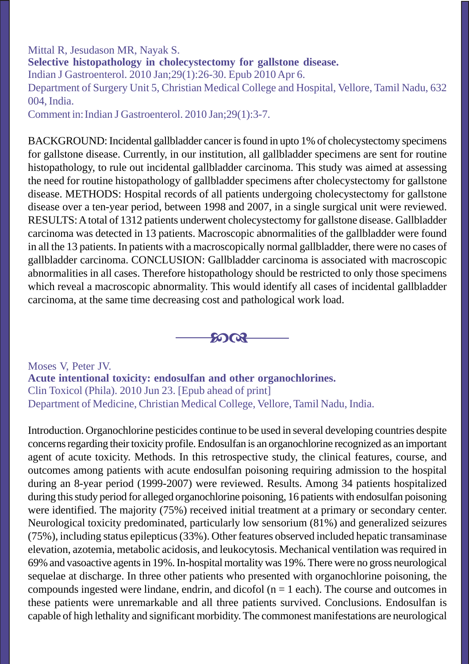Mittal R, Jesudason MR, Nayak S. **Selective histopathology in cholecystectomy for gallstone disease.** Indian J Gastroenterol. 2010 Jan;29(1):26-30. Epub 2010 Apr 6. Department of Surgery Unit 5, Christian Medical College and Hospital, Vellore, Tamil Nadu, 632 004, India.

Comment in: Indian J Gastroenterol. 2010 Jan: 29(1): 3-7.

BACKGROUND: Incidental gallbladder cancer is found in upto 1% of cholecystectomy specimens for gallstone disease. Currently, in our institution, all gallbladder specimens are sent for routine histopathology, to rule out incidental gallbladder carcinoma. This study was aimed at assessing the need for routine histopathology of gallbladder specimens after cholecystectomy for gallstone disease. METHODS: Hospital records of all patients undergoing cholecystectomy for gallstone disease over a ten-year period, between 1998 and 2007, in a single surgical unit were reviewed. RESULTS: A total of 1312 patients underwent cholecystectomy for gallstone disease. Gallbladder carcinoma was detected in 13 patients. Macroscopic abnormalities of the gallbladder were found in all the 13 patients. In patients with a macroscopically normal gallbladder, there were no cases of gallbladder carcinoma. CONCLUSION: Gallbladder carcinoma is associated with macroscopic abnormalities in all cases. Therefore histopathology should be restricted to only those specimens which reveal a macroscopic abnormality. This would identify all cases of incidental gallbladder carcinoma, at the same time decreasing cost and pathological work load.



Moses V, Peter JV. **Acute intentional toxicity: endosulfan and other organochlorines.** Clin Toxicol (Phila). 2010 Jun 23. [Epub ahead of print] Department of Medicine, Christian Medical College, Vellore, Tamil Nadu, India.

Introduction. Organochlorine pesticides continue to be used in several developing countries despite concerns regarding their toxicity profile. Endosulfan is an organochlorine recognized as an important agent of acute toxicity. Methods. In this retrospective study, the clinical features, course, and outcomes among patients with acute endosulfan poisoning requiring admission to the hospital during an 8-year period (1999-2007) were reviewed. Results. Among 34 patients hospitalized during this study period for alleged organochlorine poisoning, 16 patients with endosulfan poisoning were identified. The majority (75%) received initial treatment at a primary or secondary center. Neurological toxicity predominated, particularly low sensorium (81%) and generalized seizures (75%), including status epilepticus (33%). Other features observed included hepatic transaminase elevation, azotemia, metabolic acidosis, and leukocytosis. Mechanical ventilation was required in 69% and vasoactive agents in 19%. In-hospital mortality was 19%. There were no gross neurological sequelae at discharge. In three other patients who presented with organochlorine poisoning, the compounds ingested were lindane, endrin, and dicofol  $(n = 1$  each). The course and outcomes in these patients were unremarkable and all three patients survived. Conclusions. Endosulfan is capable of high lethality and significant morbidity. The commonest manifestations are neurological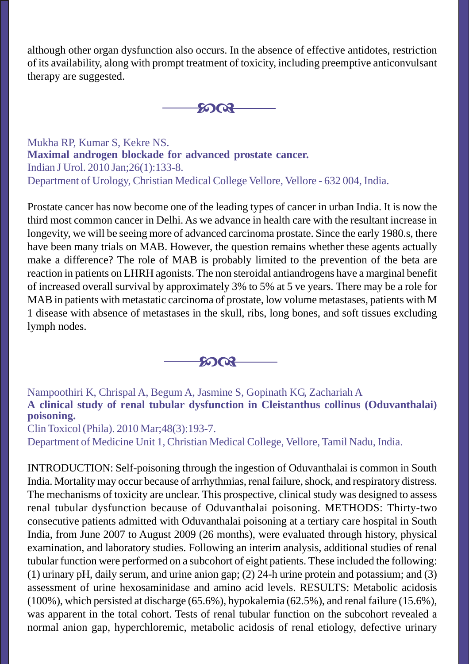although other organ dysfunction also occurs. In the absence of effective antidotes, restriction of its availability, along with prompt treatment of toxicity, including preemptive anticonvulsant therapy are suggested.



Mukha RP, Kumar S, Kekre NS. **Maximal androgen blockade for advanced prostate cancer.** Indian J Urol. 2010 Jan;26(1):133-8. Department of Urology, Christian Medical College Vellore, Vellore - 632 004, India.

Prostate cancer has now become one of the leading types of cancer in urban India. It is now the third most common cancer in Delhi. As we advance in health care with the resultant increase in longevity, we will be seeing more of advanced carcinoma prostate. Since the early 1980.s, there have been many trials on MAB. However, the question remains whether these agents actually make a difference? The role of MAB is probably limited to the prevention of the beta are reaction in patients on LHRH agonists. The non steroidal antiandrogens have a marginal benefit of increased overall survival by approximately 3% to 5% at 5 ve years. There may be a role for MAB in patients with metastatic carcinoma of prostate, low volume metastases, patients with M 1 disease with absence of metastases in the skull, ribs, long bones, and soft tissues excluding lymph nodes.



Nampoothiri K, Chrispal A, Begum A, Jasmine S, Gopinath KG, Zachariah A **A clinical study of renal tubular dysfunction in Cleistanthus collinus (Oduvanthalai) poisoning.** Clin Toxicol (Phila). 2010 Mar;48(3):193-7.

Department of Medicine Unit 1, Christian Medical College, Vellore, Tamil Nadu, India.

INTRODUCTION: Self-poisoning through the ingestion of Oduvanthalai is common in South India. Mortality may occur because of arrhythmias, renal failure, shock, and respiratory distress. The mechanisms of toxicity are unclear. This prospective, clinical study was designed to assess renal tubular dysfunction because of Oduvanthalai poisoning. METHODS: Thirty-two consecutive patients admitted with Oduvanthalai poisoning at a tertiary care hospital in South India, from June 2007 to August 2009 (26 months), were evaluated through history, physical examination, and laboratory studies. Following an interim analysis, additional studies of renal tubular function were performed on a subcohort of eight patients. These included the following: (1) urinary pH, daily serum, and urine anion gap; (2) 24-h urine protein and potassium; and (3) assessment of urine hexosaminidase and amino acid levels. RESULTS: Metabolic acidosis (100%), which persisted at discharge (65.6%), hypokalemia (62.5%), and renal failure (15.6%), was apparent in the total cohort. Tests of renal tubular function on the subcohort revealed a normal anion gap, hyperchloremic, metabolic acidosis of renal etiology, defective urinary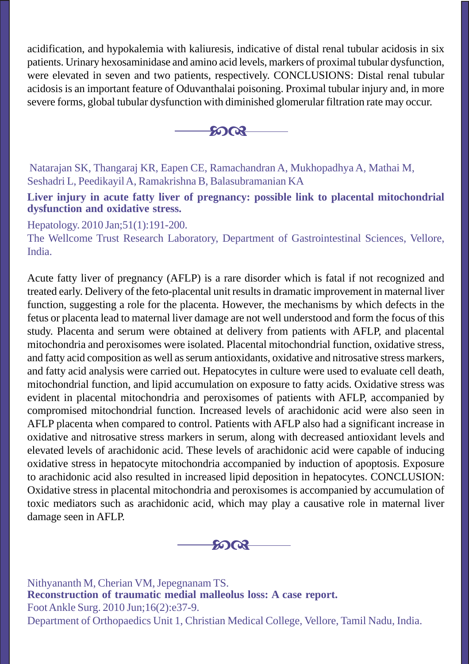acidification, and hypokalemia with kaliuresis, indicative of distal renal tubular acidosis in six patients. Urinary hexosaminidase and amino acid levels, markers of proximal tubular dysfunction, were elevated in seven and two patients, respectively. CONCLUSIONS: Distal renal tubular acidosis is an important feature of Oduvanthalai poisoning. Proximal tubular injury and, in more severe forms, global tubular dysfunction with diminished glomerular filtration rate may occur.



Natarajan SK, Thangaraj KR, Eapen CE, Ramachandran A, Mukhopadhya A, Mathai M, Seshadri L, Peedikayil A, Ramakrishna B, Balasubramanian KA

**Liver injury in acute fatty liver of pregnancy: possible link to placental mitochondrial dysfunction and oxidative stress.**

Hepatology. 2010 Jan;51(1):191-200.

The Wellcome Trust Research Laboratory, Department of Gastrointestinal Sciences, Vellore, India.

Acute fatty liver of pregnancy (AFLP) is a rare disorder which is fatal if not recognized and treated early. Delivery of the feto-placental unit results in dramatic improvement in maternal liver function, suggesting a role for the placenta. However, the mechanisms by which defects in the fetus or placenta lead to maternal liver damage are not well understood and form the focus of this study. Placenta and serum were obtained at delivery from patients with AFLP, and placental mitochondria and peroxisomes were isolated. Placental mitochondrial function, oxidative stress, and fatty acid composition as well as serum antioxidants, oxidative and nitrosative stress markers, and fatty acid analysis were carried out. Hepatocytes in culture were used to evaluate cell death, mitochondrial function, and lipid accumulation on exposure to fatty acids. Oxidative stress was evident in placental mitochondria and peroxisomes of patients with AFLP, accompanied by compromised mitochondrial function. Increased levels of arachidonic acid were also seen in AFLP placenta when compared to control. Patients with AFLP also had a significant increase in oxidative and nitrosative stress markers in serum, along with decreased antioxidant levels and elevated levels of arachidonic acid. These levels of arachidonic acid were capable of inducing oxidative stress in hepatocyte mitochondria accompanied by induction of apoptosis. Exposure to arachidonic acid also resulted in increased lipid deposition in hepatocytes. CONCLUSION: Oxidative stress in placental mitochondria and peroxisomes is accompanied by accumulation of toxic mediators such as arachidonic acid, which may play a causative role in maternal liver damage seen in AFLP.

 $-500$ 

Nithyananth M, Cherian VM, Jepegnanam TS. **Reconstruction of traumatic medial malleolus loss: A case report.** Foot Ankle Surg. 2010 Jun;16(2):e37-9. Department of Orthopaedics Unit 1, Christian Medical College, Vellore, Tamil Nadu, India.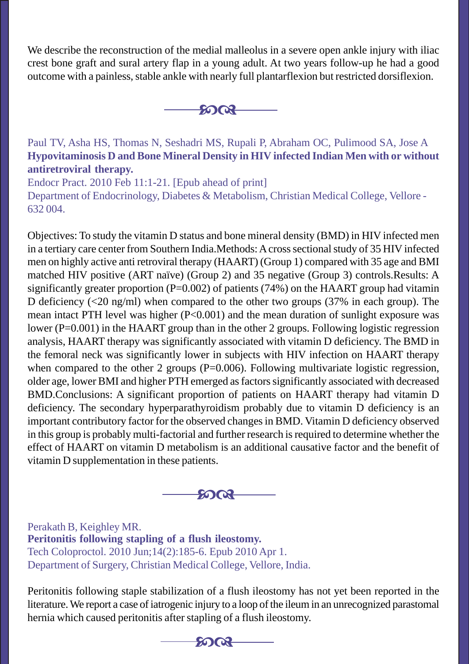We describe the reconstruction of the medial malleolus in a severe open ankle injury with iliac crest bone graft and sural artery flap in a young adult. At two years follow-up he had a good outcome with a painless, stable ankle with nearly full plantarflexion but restricted dorsiflexion.



Paul TV, Asha HS, Thomas N, Seshadri MS, Rupali P, Abraham OC, Pulimood SA, Jose A **Hypovitaminosis D and Bone Mineral Density in HIV infected Indian Men with or without antiretroviral therapy.**

Endocr Pract. 2010 Feb 11:1-21. [Epub ahead of print] Department of Endocrinology, Diabetes & Metabolism, Christian Medical College, Vellore - 632 004.

Objectives: To study the vitamin D status and bone mineral density (BMD) in HIV infected men in a tertiary care center from Southern India.Methods: A cross sectional study of 35 HIV infected men on highly active anti retroviral therapy (HAART) (Group 1) compared with 35 age and BMI matched HIV positive (ART naïve) (Group 2) and 35 negative (Group 3) controls.Results: A significantly greater proportion ( $P=0.002$ ) of patients (74%) on the HAART group had vitamin D deficiency (<20 ng/ml) when compared to the other two groups (37% in each group). The mean intact PTH level was higher (P<0.001) and the mean duration of sunlight exposure was lower (P=0.001) in the HAART group than in the other 2 groups. Following logistic regression analysis, HAART therapy was significantly associated with vitamin D deficiency. The BMD in the femoral neck was significantly lower in subjects with HIV infection on HAART therapy when compared to the other 2 groups  $(P=0.006)$ . Following multivariate logistic regression, older age, lower BMI and higher PTH emerged as factors significantly associated with decreased BMD.Conclusions: A significant proportion of patients on HAART therapy had vitamin D deficiency. The secondary hyperparathyroidism probably due to vitamin D deficiency is an important contributory factor for the observed changes in BMD. Vitamin D deficiency observed in this group is probably multi-factorial and further research is required to determine whether the effect of HAART on vitamin D metabolism is an additional causative factor and the benefit of vitamin D supplementation in these patients.



Perakath B, Keighley MR. **Peritonitis following stapling of a flush ileostomy.** Tech Coloproctol. 2010 Jun;14(2):185-6. Epub 2010 Apr 1. Department of Surgery, Christian Medical College, Vellore, India.

Peritonitis following staple stabilization of a flush ileostomy has not yet been reported in the literature. We report a case of iatrogenic injury to a loop of the ileum in an unrecognized parastomal hernia which caused peritonitis after stapling of a flush ileostomy.

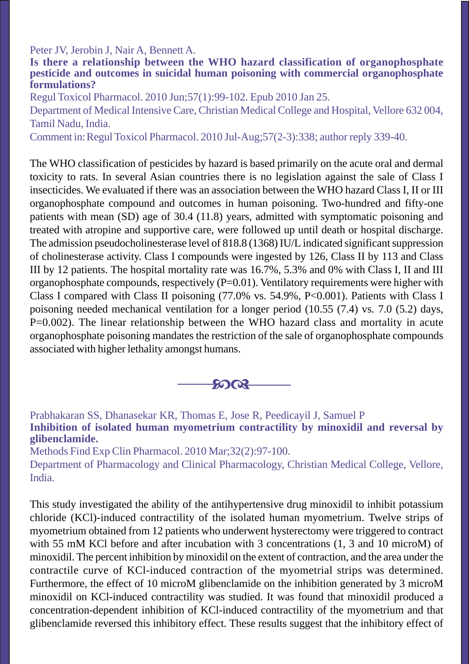#### Peter JV, Jerobin J, Nair A, Bennett A.

#### **Is there a relationship between the WHO hazard classification of organophosphate pesticide and outcomes in suicidal human poisoning with commercial organophosphate formulations?**

Regul Toxicol Pharmacol. 2010 Jun;57(1):99-102. Epub 2010 Jan 25.

Department of Medical Intensive Care, Christian Medical College and Hospital, Vellore 632 004, Tamil Nadu, India.

Comment in:Regul Toxicol Pharmacol. 2010 Jul-Aug;57(2-3):338; author reply 339-40.

The WHO classification of pesticides by hazard is based primarily on the acute oral and dermal toxicity to rats. In several Asian countries there is no legislation against the sale of Class I insecticides. We evaluated if there was an association between the WHO hazard Class I, II or III organophosphate compound and outcomes in human poisoning. Two-hundred and fifty-one patients with mean (SD) age of 30.4 (11.8) years, admitted with symptomatic poisoning and treated with atropine and supportive care, were followed up until death or hospital discharge. The admission pseudocholinesterase level of 818.8 (1368) IU/L indicated significant suppression of cholinesterase activity. Class I compounds were ingested by 126, Class II by 113 and Class III by 12 patients. The hospital mortality rate was 16.7%, 5.3% and 0% with Class I, II and III organophosphate compounds, respectively (P=0.01). Ventilatory requirements were higher with Class I compared with Class II poisoning (77.0% vs. 54.9%, P<0.001). Patients with Class I poisoning needed mechanical ventilation for a longer period (10.55 (7.4) vs. 7.0 (5.2) days, P=0.002). The linear relationship between the WHO hazard class and mortality in acute organophosphate poisoning mandates the restriction of the sale of organophosphate compounds associated with higher lethality amongst humans.



Prabhakaran SS, Dhanasekar KR, Thomas E, Jose R, Peedicayil J, Samuel P **Inhibition of isolated human myometrium contractility by minoxidil and reversal by glibenclamide.**

Methods Find Exp Clin Pharmacol. 2010 Mar;32(2):97-100.

Department of Pharmacology and Clinical Pharmacology, Christian Medical College, Vellore, India.

This study investigated the ability of the antihypertensive drug minoxidil to inhibit potassium chloride (KCl)-induced contractility of the isolated human myometrium. Twelve strips of myometrium obtained from 12 patients who underwent hysterectomy were triggered to contract with 55 mM KCl before and after incubation with 3 concentrations  $(1, 3 \text{ and } 10 \text{ microM})$  of minoxidil. The percent inhibition by minoxidil on the extent of contraction, and the area under the contractile curve of KCl-induced contraction of the myometrial strips was determined. Furthermore, the effect of 10 microM glibenclamide on the inhibition generated by 3 microM minoxidil on KCl-induced contractility was studied. It was found that minoxidil produced a concentration-dependent inhibition of KCl-induced contractility of the myometrium and that glibenclamide reversed this inhibitory effect. These results suggest that the inhibitory effect of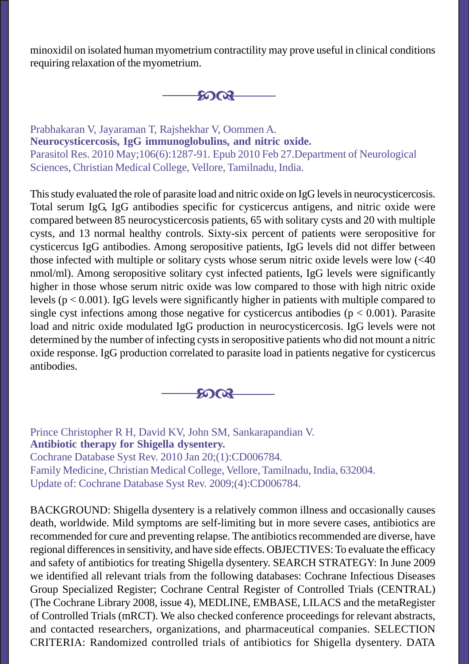minoxidil on isolated human myometrium contractility may prove useful in clinical conditions requiring relaxation of the myometrium.

Prabhakaran V, Jayaraman T, Rajshekhar V, Oommen A. **Neurocysticercosis, IgG immunoglobulins, and nitric oxide.** Parasitol Res. 2010 May;106(6):1287-91. Epub 2010 Feb 27.Department of Neurological Sciences, Christian Medical College, Vellore, Tamilnadu, India.

 $-50Q$ 

This study evaluated the role of parasite load and nitric oxide on IgG levels in neurocysticercosis. Total serum IgG, IgG antibodies specific for cysticercus antigens, and nitric oxide were compared between 85 neurocysticercosis patients, 65 with solitary cysts and 20 with multiple cysts, and 13 normal healthy controls. Sixty-six percent of patients were seropositive for cysticercus IgG antibodies. Among seropositive patients, IgG levels did not differ between those infected with multiple or solitary cysts whose serum nitric oxide levels were low (<40 nmol/ml). Among seropositive solitary cyst infected patients, IgG levels were significantly higher in those whose serum nitric oxide was low compared to those with high nitric oxide levels ( $p < 0.001$ ). IgG levels were significantly higher in patients with multiple compared to single cyst infections among those negative for cysticercus antibodies ( $p < 0.001$ ). Parasite load and nitric oxide modulated IgG production in neurocysticercosis. IgG levels were not determined by the number of infecting cysts in seropositive patients who did not mount a nitric oxide response. IgG production correlated to parasite load in patients negative for cysticercus antibodies.



Prince Christopher R H, David KV, John SM, Sankarapandian V. **Antibiotic therapy for Shigella dysentery.** Cochrane Database Syst Rev. 2010 Jan 20;(1):CD006784. Family Medicine, Christian Medical College, Vellore, Tamilnadu, India, 632004. Update of: Cochrane Database Syst Rev. 2009;(4):CD006784.

BACKGROUND: Shigella dysentery is a relatively common illness and occasionally causes death, worldwide. Mild symptoms are self-limiting but in more severe cases, antibiotics are recommended for cure and preventing relapse. The antibiotics recommended are diverse, have regional differences in sensitivity, and have side effects. OBJECTIVES: To evaluate the efficacy and safety of antibiotics for treating Shigella dysentery. SEARCH STRATEGY: In June 2009 we identified all relevant trials from the following databases: Cochrane Infectious Diseases Group Specialized Register; Cochrane Central Register of Controlled Trials (CENTRAL) (The Cochrane Library 2008, issue 4), MEDLINE, EMBASE, LILACS and the metaRegister of Controlled Trials (mRCT). We also checked conference proceedings for relevant abstracts, and contacted researchers, organizations, and pharmaceutical companies. SELECTION CRITERIA: Randomized controlled trials of antibiotics for Shigella dysentery. DATA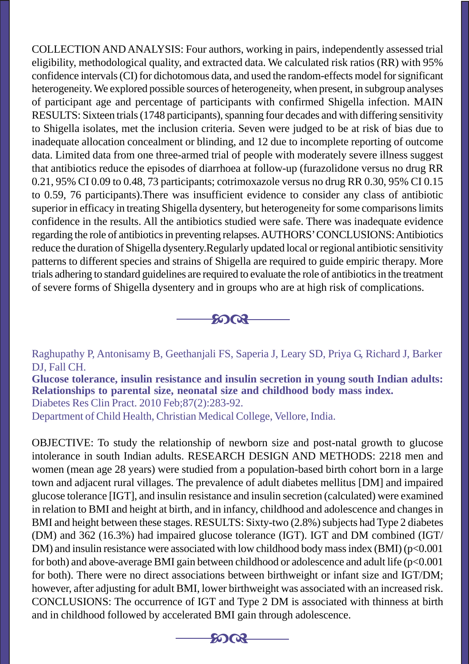COLLECTION AND ANALYSIS: Four authors, working in pairs, independently assessed trial eligibility, methodological quality, and extracted data. We calculated risk ratios (RR) with 95% confidence intervals (CI) for dichotomous data, and used the random-effects model for significant heterogeneity. We explored possible sources of heterogeneity, when present, in subgroup analyses of participant age and percentage of participants with confirmed Shigella infection. MAIN RESULTS: Sixteen trials (1748 participants), spanning four decades and with differing sensitivity to Shigella isolates, met the inclusion criteria. Seven were judged to be at risk of bias due to inadequate allocation concealment or blinding, and 12 due to incomplete reporting of outcome data. Limited data from one three-armed trial of people with moderately severe illness suggest that antibiotics reduce the episodes of diarrhoea at follow-up (furazolidone versus no drug RR 0.21, 95% CI 0.09 to 0.48, 73 participants; cotrimoxazole versus no drug RR 0.30, 95% CI 0.15 to 0.59, 76 participants).There was insufficient evidence to consider any class of antibiotic superior in efficacy in treating Shigella dysentery, but heterogeneity for some comparisons limits confidence in the results. All the antibiotics studied were safe. There was inadequate evidence regarding the role of antibiotics in preventing relapses. AUTHORS' CONCLUSIONS: Antibiotics reduce the duration of Shigella dysentery.Regularly updated local or regional antibiotic sensitivity patterns to different species and strains of Shigella are required to guide empiric therapy. More trials adhering to standard guidelines are required to evaluate the role of antibiotics in the treatment of severe forms of Shigella dysentery and in groups who are at high risk of complications.



Raghupathy P, Antonisamy B, Geethanjali FS, Saperia J, Leary SD, Priya G, Richard J, Barker DJ, Fall CH.

**Glucose tolerance, insulin resistance and insulin secretion in young south Indian adults: Relationships to parental size, neonatal size and childhood body mass index.**

Diabetes Res Clin Pract. 2010 Feb;87(2):283-92.

Department of Child Health, Christian Medical College, Vellore, India.

OBJECTIVE: To study the relationship of newborn size and post-natal growth to glucose intolerance in south Indian adults. RESEARCH DESIGN AND METHODS: 2218 men and women (mean age 28 years) were studied from a population-based birth cohort born in a large town and adjacent rural villages. The prevalence of adult diabetes mellitus [DM] and impaired glucose tolerance [IGT], and insulin resistance and insulin secretion (calculated) were examined in relation to BMI and height at birth, and in infancy, childhood and adolescence and changes in BMI and height between these stages. RESULTS: Sixty-two (2.8%) subjects had Type 2 diabetes (DM) and 362 (16.3%) had impaired glucose tolerance (IGT). IGT and DM combined (IGT/ DM) and insulin resistance were associated with low childhood body mass index (BMI) ( $p<0.001$ ) for both) and above-average BMI gain between childhood or adolescence and adult life  $(p<0.001$ for both). There were no direct associations between birthweight or infant size and IGT/DM; however, after adjusting for adult BMI, lower birthweight was associated with an increased risk. CONCLUSIONS: The occurrence of IGT and Type 2 DM is associated with thinness at birth and in childhood followed by accelerated BMI gain through adolescence.

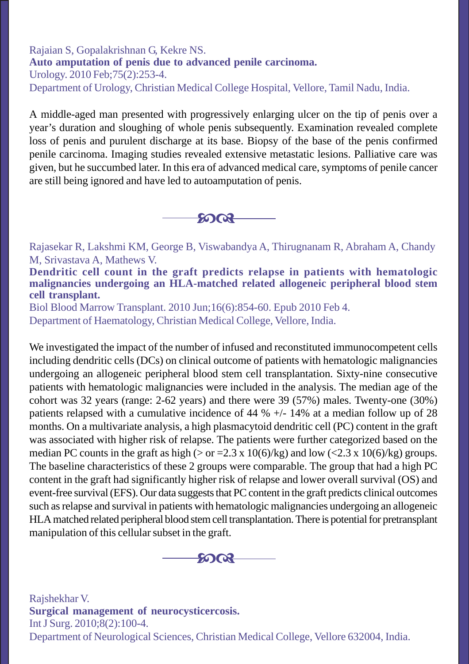Rajaian S, Gopalakrishnan G, Kekre NS. **Auto amputation of penis due to advanced penile carcinoma.** Urology. 2010 Feb;75(2):253-4. Department of Urology, Christian Medical College Hospital, Vellore, Tamil Nadu, India.

A middle-aged man presented with progressively enlarging ulcer on the tip of penis over a year's duration and sloughing of whole penis subsequently. Examination revealed complete loss of penis and purulent discharge at its base. Biopsy of the base of the penis confirmed penile carcinoma. Imaging studies revealed extensive metastatic lesions. Palliative care was given, but he succumbed later. In this era of advanced medical care, symptoms of penile cancer are still being ignored and have led to autoamputation of penis.

 $\mathcal{F}$ 

Rajasekar R, Lakshmi KM, George B, Viswabandya A, Thirugnanam R, Abraham A, Chandy M, Srivastava A, Mathews V.

**Dendritic cell count in the graft predicts relapse in patients with hematologic malignancies undergoing an HLA-matched related allogeneic peripheral blood stem cell transplant.**

Biol Blood Marrow Transplant. 2010 Jun;16(6):854-60. Epub 2010 Feb 4. Department of Haematology, Christian Medical College, Vellore, India.

We investigated the impact of the number of infused and reconstituted immunocompetent cells including dendritic cells (DCs) on clinical outcome of patients with hematologic malignancies undergoing an allogeneic peripheral blood stem cell transplantation. Sixty-nine consecutive patients with hematologic malignancies were included in the analysis. The median age of the cohort was 32 years (range: 2-62 years) and there were 39 (57%) males. Twenty-one (30%) patients relapsed with a cumulative incidence of 44 % +/- 14% at a median follow up of 28 months. On a multivariate analysis, a high plasmacytoid dendritic cell (PC) content in the graft was associated with higher risk of relapse. The patients were further categorized based on the median PC counts in the graft as high ( $>$  or  $=$  2.3 x 10(6)/kg) and low ( $\lt$  2.3 x 10(6)/kg) groups. The baseline characteristics of these 2 groups were comparable. The group that had a high PC content in the graft had significantly higher risk of relapse and lower overall survival (OS) and event-free survival (EFS). Our data suggests that PC content in the graft predicts clinical outcomes such as relapse and survival in patients with hematologic malignancies undergoing an allogeneic HLA matched related peripheral blood stem cell transplantation. There is potential for pretransplant manipulation of this cellular subset in the graft.



Rajshekhar V. **Surgical management of neurocysticercosis.** Int J Surg. 2010;8(2):100-4. Department of Neurological Sciences, Christian Medical College, Vellore 632004, India.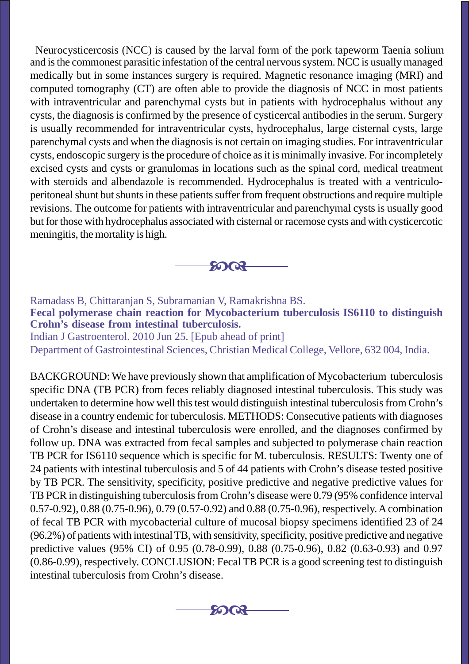and is the commonest parasitic infestation of the central nervous system. NCC is usually managed medically but in some instances surgery is required. Magnetic resonance imaging (MRI) and computed tomography (CT) are often able to provide the diagnosis of NCC in most patients with intraventricular and parenchymal cysts but in patients with hydrocephalus without any cysts, the diagnosis is confirmed by the presence of cysticercal antibodies in the serum. Surgery is usually recommended for intraventricular cysts, hydrocephalus, large cisternal cysts, large parenchymal cysts and when the diagnosis is not certain on imaging studies. For intraventricular cysts, endoscopic surgery is the procedure of choice as it is minimally invasive. For incompletely excised cysts and cysts or granulomas in locations such as the spinal cord, medical treatment with steroids and albendazole is recommended. Hydrocephalus is treated with a ventriculoperitoneal shunt but shunts in these patients suffer from frequent obstructions and require multiple revisions. The outcome for patients with intraventricular and parenchymal cysts is usually good but for those with hydrocephalus associated with cisternal or racemose cysts and with cysticercotic meningitis, the mortality is high. Neurocysticercosis (NCC) is caused by the larval form of the pork tapeworm Taenia solium



Ramadass B, Chittaranjan S, Subramanian V, Ramakrishna BS. **Fecal polymerase chain reaction for Mycobacterium tuberculosis IS6110 to distinguish Crohn's disease from intestinal tuberculosis.** Indian J Gastroenterol. 2010 Jun 25. [Epub ahead of print] Department of Gastrointestinal Sciences, Christian Medical College, Vellore, 632 004, India.

BACKGROUND: We have previously shown that amplification of Mycobacterium tuberculosis specific DNA (TB PCR) from feces reliably diagnosed intestinal tuberculosis. This study was undertaken to determine how well this test would distinguish intestinal tuberculosis from Crohn's disease in a country endemic for tuberculosis. METHODS: Consecutive patients with diagnoses of Crohn's disease and intestinal tuberculosis were enrolled, and the diagnoses confirmed by follow up. DNA was extracted from fecal samples and subjected to polymerase chain reaction TB PCR for IS6110 sequence which is specific for M. tuberculosis. RESULTS: Twenty one of 24 patients with intestinal tuberculosis and 5 of 44 patients with Crohn's disease tested positive by TB PCR. The sensitivity, specificity, positive predictive and negative predictive values for TB PCR in distinguishing tuberculosis from Crohn's disease were 0.79 (95% confidence interval 0.57-0.92), 0.88 (0.75-0.96), 0.79 (0.57-0.92) and 0.88 (0.75-0.96), respectively. A combination of fecal TB PCR with mycobacterial culture of mucosal biopsy specimens identified 23 of 24 (96.2%) of patients with intestinal TB, with sensitivity, specificity, positive predictive and negative predictive values (95% CI) of 0.95 (0.78-0.99), 0.88 (0.75-0.96), 0.82 (0.63-0.93) and 0.97 (0.86-0.99), respectively. CONCLUSION: Fecal TB PCR is a good screening test to distinguish intestinal tuberculosis from Crohn's disease.

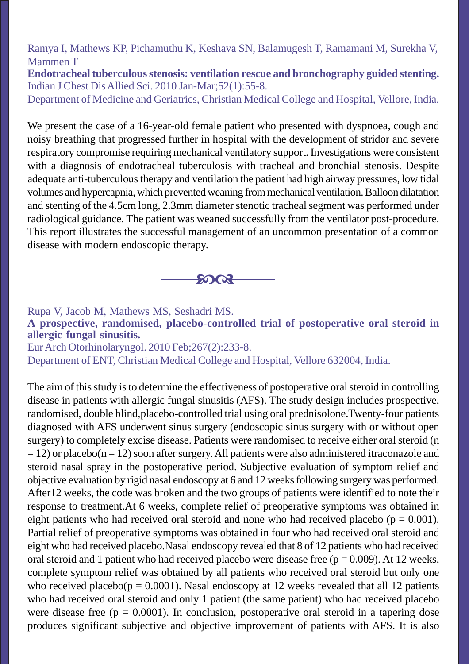Ramya I, Mathews KP, Pichamuthu K, Keshava SN, Balamugesh T, Ramamani M, Surekha V, Mammen T

**Endotracheal tuberculous stenosis: ventilation rescue and bronchography guided stenting.** Indian J Chest Dis Allied Sci. 2010 Jan-Mar;52(1):55-8.

Department of Medicine and Geriatrics, Christian Medical College and Hospital, Vellore, India.

We present the case of a 16-year-old female patient who presented with dyspnoea, cough and noisy breathing that progressed further in hospital with the development of stridor and severe respiratory compromise requiring mechanical ventilatory support. Investigations were consistent with a diagnosis of endotracheal tuberculosis with tracheal and bronchial stenosis. Despite adequate anti-tuberculous therapy and ventilation the patient had high airway pressures, low tidal volumes and hypercapnia, which prevented weaning from mechanical ventilation. Balloon dilatation and stenting of the 4.5cm long, 2.3mm diameter stenotic tracheal segment was performed under radiological guidance. The patient was weaned successfully from the ventilator post-procedure. This report illustrates the successful management of an uncommon presentation of a common disease with modern endoscopic therapy.



Rupa V, Jacob M, Mathews MS, Seshadri MS.

**A prospective, randomised, placebo-controlled trial of postoperative oral steroid in allergic fungal sinusitis.**

Eur Arch Otorhinolaryngol. 2010 Feb;267(2):233-8. Department of ENT, Christian Medical College and Hospital, Vellore 632004, India.

The aim of this study is to determine the effectiveness of postoperative oral steroid in controlling disease in patients with allergic fungal sinusitis (AFS). The study design includes prospective, randomised, double blind,placebo-controlled trial using oral prednisolone.Twenty-four patients diagnosed with AFS underwent sinus surgery (endoscopic sinus surgery with or without open surgery) to completely excise disease. Patients were randomised to receive either oral steroid (n  $= 12$ ) or placebo(n = 12) soon after surgery. All patients were also administered itraconazole and steroid nasal spray in the postoperative period. Subjective evaluation of symptom relief and objective evaluation by rigid nasal endoscopy at 6 and 12 weeks following surgery was performed. After12 weeks, the code was broken and the two groups of patients were identified to note their response to treatment.At 6 weeks, complete relief of preoperative symptoms was obtained in eight patients who had received oral steroid and none who had received placebo ( $p = 0.001$ ). Partial relief of preoperative symptoms was obtained in four who had received oral steroid and eight who had received placebo.Nasal endoscopy revealed that 8 of 12 patients who had received oral steroid and 1 patient who had received placebo were disease free  $(p = 0.009)$ . At 12 weeks, complete symptom relief was obtained by all patients who received oral steroid but only one who received placebo( $p = 0.0001$ ). Nasal endoscopy at 12 weeks revealed that all 12 patients who had received oral steroid and only 1 patient (the same patient) who had received placebo were disease free ( $p = 0.0001$ ). In conclusion, postoperative oral steroid in a tapering dose produces significant subjective and objective improvement of patients with AFS. It is also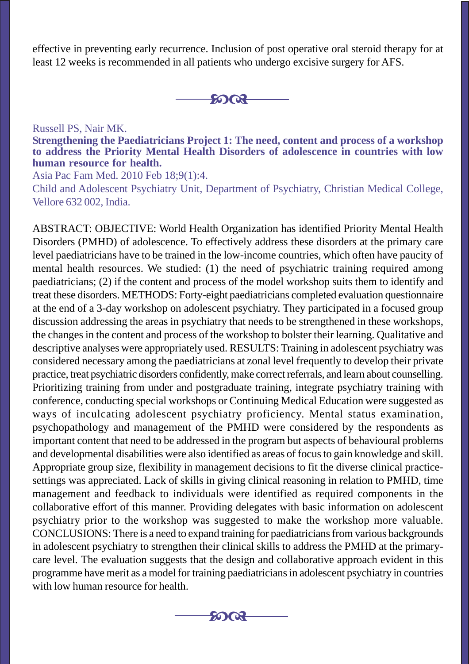effective in preventing early recurrence. Inclusion of post operative oral steroid therapy for at least 12 weeks is recommended in all patients who undergo excisive surgery for AFS.



#### Russell PS, Nair MK. **Strengthening the Paediatricians Project 1: The need, content and process of a workshop to address the Priority Mental Health Disorders of adolescence in countries with low human resource for health.**

Asia Pac Fam Med. 2010 Feb 18;9(1):4.

Child and Adolescent Psychiatry Unit, Department of Psychiatry, Christian Medical College, Vellore 632 002, India.

ABSTRACT: OBJECTIVE: World Health Organization has identified Priority Mental Health Disorders (PMHD) of adolescence. To effectively address these disorders at the primary care level paediatricians have to be trained in the low-income countries, which often have paucity of mental health resources. We studied: (1) the need of psychiatric training required among paediatricians; (2) if the content and process of the model workshop suits them to identify and treat these disorders. METHODS: Forty-eight paediatricians completed evaluation questionnaire at the end of a 3-day workshop on adolescent psychiatry. They participated in a focused group discussion addressing the areas in psychiatry that needs to be strengthened in these workshops, the changes in the content and process of the workshop to bolster their learning. Qualitative and descriptive analyses were appropriately used. RESULTS: Training in adolescent psychiatry was considered necessary among the paediatricians at zonal level frequently to develop their private practice, treat psychiatric disorders confidently, make correct referrals, and learn about counselling. Prioritizing training from under and postgraduate training, integrate psychiatry training with conference, conducting special workshops or Continuing Medical Education were suggested as ways of inculcating adolescent psychiatry proficiency. Mental status examination, psychopathology and management of the PMHD were considered by the respondents as important content that need to be addressed in the program but aspects of behavioural problems and developmental disabilities were also identified as areas of focus to gain knowledge and skill. Appropriate group size, flexibility in management decisions to fit the diverse clinical practicesettings was appreciated. Lack of skills in giving clinical reasoning in relation to PMHD, time management and feedback to individuals were identified as required components in the collaborative effort of this manner. Providing delegates with basic information on adolescent psychiatry prior to the workshop was suggested to make the workshop more valuable. CONCLUSIONS: There is a need to expand training for paediatricians from various backgrounds in adolescent psychiatry to strengthen their clinical skills to address the PMHD at the primarycare level. The evaluation suggests that the design and collaborative approach evident in this programme have merit as a model for training paediatricians in adolescent psychiatry in countries with low human resource for health.

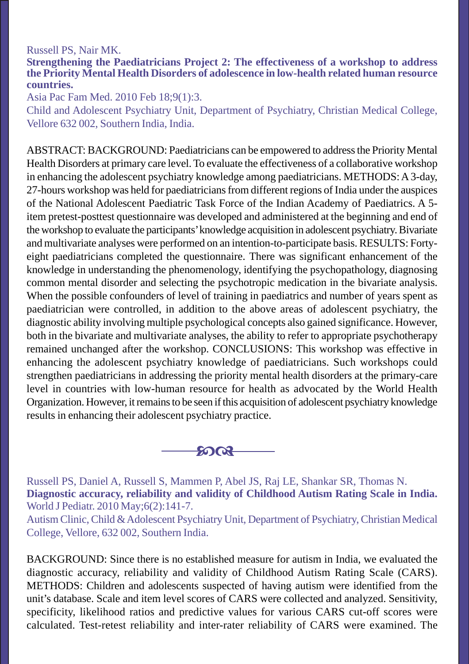#### Russell PS, Nair MK.

#### **Strengthening the Paediatricians Project 2: The effectiveness of a workshop to address the Priority Mental Health Disorders of adolescence in low-health related human resource countries.**

Asia Pac Fam Med. 2010 Feb 18;9(1):3.

Child and Adolescent Psychiatry Unit, Department of Psychiatry, Christian Medical College, Vellore 632 002, Southern India, India.

ABSTRACT: BACKGROUND: Paediatricians can be empowered to address the Priority Mental Health Disorders at primary care level. To evaluate the effectiveness of a collaborative workshop in enhancing the adolescent psychiatry knowledge among paediatricians. METHODS: A 3-day, 27-hours workshop was held for paediatricians from different regions of India under the auspices of the National Adolescent Paediatric Task Force of the Indian Academy of Paediatrics. A 5 item pretest-posttest questionnaire was developed and administered at the beginning and end of the workshop to evaluate the participants' knowledge acquisition in adolescent psychiatry. Bivariate and multivariate analyses were performed on an intention-to-participate basis. RESULTS: Fortyeight paediatricians completed the questionnaire. There was significant enhancement of the knowledge in understanding the phenomenology, identifying the psychopathology, diagnosing common mental disorder and selecting the psychotropic medication in the bivariate analysis. When the possible confounders of level of training in paediatrics and number of years spent as paediatrician were controlled, in addition to the above areas of adolescent psychiatry, the diagnostic ability involving multiple psychological concepts also gained significance. However, both in the bivariate and multivariate analyses, the ability to refer to appropriate psychotherapy remained unchanged after the workshop. CONCLUSIONS: This workshop was effective in enhancing the adolescent psychiatry knowledge of paediatricians. Such workshops could strengthen paediatricians in addressing the priority mental health disorders at the primary-care level in countries with low-human resource for health as advocated by the World Health Organization. However, it remains to be seen if this acquisition of adolescent psychiatry knowledge results in enhancing their adolescent psychiatry practice.



Russell PS, Daniel A, Russell S, Mammen P, Abel JS, Raj LE, Shankar SR, Thomas N. **Diagnostic accuracy, reliability and validity of Childhood Autism Rating Scale in India.** World J Pediatr. 2010 May;6(2):141-7.

Autism Clinic, Child & Adolescent Psychiatry Unit, Department of Psychiatry, Christian Medical College, Vellore, 632 002, Southern India.

BACKGROUND: Since there is no established measure for autism in India, we evaluated the diagnostic accuracy, reliability and validity of Childhood Autism Rating Scale (CARS). METHODS: Children and adolescents suspected of having autism were identified from the unit's database. Scale and item level scores of CARS were collected and analyzed. Sensitivity, specificity, likelihood ratios and predictive values for various CARS cut-off scores were calculated. Test-retest reliability and inter-rater reliability of CARS were examined. The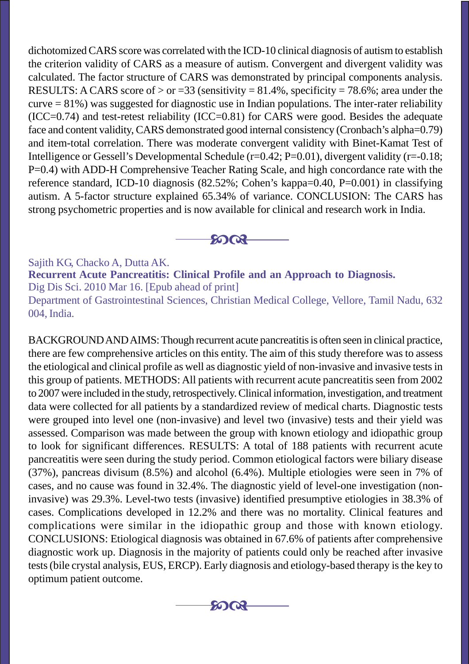dichotomized CARS score was correlated with the ICD-10 clinical diagnosis of autism to establish the criterion validity of CARS as a measure of autism. Convergent and divergent validity was calculated. The factor structure of CARS was demonstrated by principal components analysis. RESULTS: A CARS score of  $>$  or =33 (sensitivity = 81.4%, specificity = 78.6%; area under the curve  $= 81\%$ ) was suggested for diagnostic use in Indian populations. The inter-rater reliability  $(ICC=0.74)$  and test-retest reliability  $(ICC=0.81)$  for CARS were good. Besides the adequate face and content validity, CARS demonstrated good internal consistency (Cronbach's alpha=0.79) and item-total correlation. There was moderate convergent validity with Binet-Kamat Test of Intelligence or Gessell's Developmental Schedule (r=0.42; P=0.01), divergent validity (r=-0.18; P=0.4) with ADD-H Comprehensive Teacher Rating Scale, and high concordance rate with the reference standard, ICD-10 diagnosis (82.52%; Cohen's kappa=0.40, P=0.001) in classifying autism. A 5-factor structure explained 65.34% of variance. CONCLUSION: The CARS has strong psychometric properties and is now available for clinical and research work in India.



Sajith KG, Chacko A, Dutta AK. **Recurrent Acute Pancreatitis: Clinical Profile and an Approach to Diagnosis.** Dig Dis Sci. 2010 Mar 16. [Epub ahead of print] Department of Gastrointestinal Sciences, Christian Medical College, Vellore, Tamil Nadu, 632 004, India.

BACKGROUND AND AIMS: Though recurrent acute pancreatitis is often seen in clinical practice, there are few comprehensive articles on this entity. The aim of this study therefore was to assess the etiological and clinical profile as well as diagnostic yield of non-invasive and invasive tests in this group of patients. METHODS: All patients with recurrent acute pancreatitis seen from 2002 to 2007 were included in the study, retrospectively. Clinical information, investigation, and treatment data were collected for all patients by a standardized review of medical charts. Diagnostic tests were grouped into level one (non-invasive) and level two (invasive) tests and their yield was assessed. Comparison was made between the group with known etiology and idiopathic group to look for significant differences. RESULTS: A total of 188 patients with recurrent acute pancreatitis were seen during the study period. Common etiological factors were biliary disease (37%), pancreas divisum (8.5%) and alcohol (6.4%). Multiple etiologies were seen in 7% of cases, and no cause was found in 32.4%. The diagnostic yield of level-one investigation (noninvasive) was 29.3%. Level-two tests (invasive) identified presumptive etiologies in 38.3% of cases. Complications developed in 12.2% and there was no mortality. Clinical features and complications were similar in the idiopathic group and those with known etiology. CONCLUSIONS: Etiological diagnosis was obtained in 67.6% of patients after comprehensive diagnostic work up. Diagnosis in the majority of patients could only be reached after invasive tests (bile crystal analysis, EUS, ERCP). Early diagnosis and etiology-based therapy is the key to optimum patient outcome.

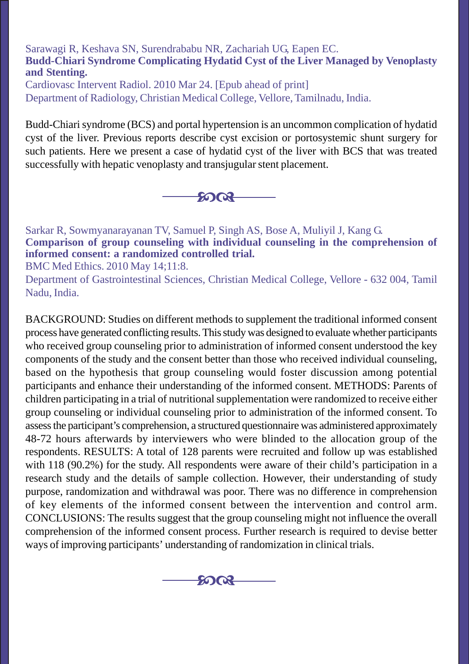Sarawagi R, Keshava SN, Surendrababu NR, Zachariah UG, Eapen EC. **Budd-Chiari Syndrome Complicating Hydatid Cyst of the Liver Managed by Venoplasty and Stenting.**

Cardiovasc Intervent Radiol. 2010 Mar 24. [Epub ahead of print] Department of Radiology, Christian Medical College, Vellore, Tamilnadu, India.

Budd-Chiari syndrome (BCS) and portal hypertension is an uncommon complication of hydatid cyst of the liver. Previous reports describe cyst excision or portosystemic shunt surgery for such patients. Here we present a case of hydatid cyst of the liver with BCS that was treated successfully with hepatic venoplasty and transjugular stent placement.



Sarkar R, Sowmyanarayanan TV, Samuel P, Singh AS, Bose A, Muliyil J, Kang G. **Comparison of group counseling with individual counseling in the comprehension of informed consent: a randomized controlled trial.**

BMC Med Ethics. 2010 May 14;11:8.

Department of Gastrointestinal Sciences, Christian Medical College, Vellore - 632 004, Tamil Nadu, India.

BACKGROUND: Studies on different methods to supplement the traditional informed consent process have generated conflicting results. This study was designed to evaluate whether participants who received group counseling prior to administration of informed consent understood the key components of the study and the consent better than those who received individual counseling, based on the hypothesis that group counseling would foster discussion among potential participants and enhance their understanding of the informed consent. METHODS: Parents of children participating in a trial of nutritional supplementation were randomized to receive either group counseling or individual counseling prior to administration of the informed consent. To assess the participant's comprehension, a structured questionnaire was administered approximately 48-72 hours afterwards by interviewers who were blinded to the allocation group of the respondents. RESULTS: A total of 128 parents were recruited and follow up was established with 118 (90.2%) for the study. All respondents were aware of their child's participation in a research study and the details of sample collection. However, their understanding of study purpose, randomization and withdrawal was poor. There was no difference in comprehension of key elements of the informed consent between the intervention and control arm. CONCLUSIONS: The results suggest that the group counseling might not influence the overall comprehension of the informed consent process. Further research is required to devise better ways of improving participants' understanding of randomization in clinical trials.

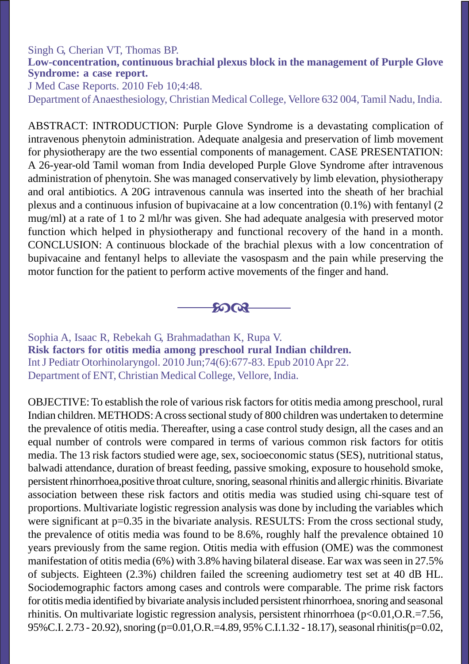#### Singh G, Cherian VT, Thomas BP. **Low-concentration, continuous brachial plexus block in the management of Purple Glove Syndrome: a case report.**

J Med Case Reports. 2010 Feb 10;4:48.

Department of Anaesthesiology, Christian Medical College, Vellore 632 004, Tamil Nadu, India.

ABSTRACT: INTRODUCTION: Purple Glove Syndrome is a devastating complication of intravenous phenytoin administration. Adequate analgesia and preservation of limb movement for physiotherapy are the two essential components of management. CASE PRESENTATION: A 26-year-old Tamil woman from India developed Purple Glove Syndrome after intravenous administration of phenytoin. She was managed conservatively by limb elevation, physiotherapy and oral antibiotics. A 20G intravenous cannula was inserted into the sheath of her brachial plexus and a continuous infusion of bupivacaine at a low concentration (0.1%) with fentanyl (2 mug/ml) at a rate of 1 to 2 ml/hr was given. She had adequate analgesia with preserved motor function which helped in physiotherapy and functional recovery of the hand in a month. CONCLUSION: A continuous blockade of the brachial plexus with a low concentration of bupivacaine and fentanyl helps to alleviate the vasospasm and the pain while preserving the motor function for the patient to perform active movements of the finger and hand.



Sophia A, Isaac R, Rebekah G, Brahmadathan K, Rupa V. **Risk factors for otitis media among preschool rural Indian children.** Int J Pediatr Otorhinolaryngol. 2010 Jun;74(6):677-83. Epub 2010 Apr 22. Department of ENT, Christian Medical College, Vellore, India.

OBJECTIVE: To establish the role of various risk factors for otitis media among preschool, rural Indian children. METHODS: A cross sectional study of 800 children was undertaken to determine the prevalence of otitis media. Thereafter, using a case control study design, all the cases and an equal number of controls were compared in terms of various common risk factors for otitis media. The 13 risk factors studied were age, sex, socioeconomic status (SES), nutritional status, balwadi attendance, duration of breast feeding, passive smoking, exposure to household smoke, persistent rhinorrhoea,positive throat culture, snoring, seasonal rhinitis and allergic rhinitis. Bivariate association between these risk factors and otitis media was studied using chi-square test of proportions. Multivariate logistic regression analysis was done by including the variables which were significant at  $p=0.35$  in the bivariate analysis. RESULTS: From the cross sectional study, the prevalence of otitis media was found to be 8.6%, roughly half the prevalence obtained 10 years previously from the same region. Otitis media with effusion (OME) was the commonest manifestation of otitis media (6%) with 3.8% having bilateral disease. Ear wax was seen in 27.5% of subjects. Eighteen (2.3%) children failed the screening audiometry test set at 40 dB HL. Sociodemographic factors among cases and controls were comparable. The prime risk factors for otitis media identified by bivariate analysis included persistent rhinorrhoea, snoring and seasonal rhinitis. On multivariate logistic regression analysis, persistent rhinorrhoea (p<0.01,O.R.=7.56, 95%C.I. 2.73 - 20.92), snoring (p=0.01,O.R.=4.89, 95% C.I.1.32 - 18.17), seasonal rhinitis(p=0.02,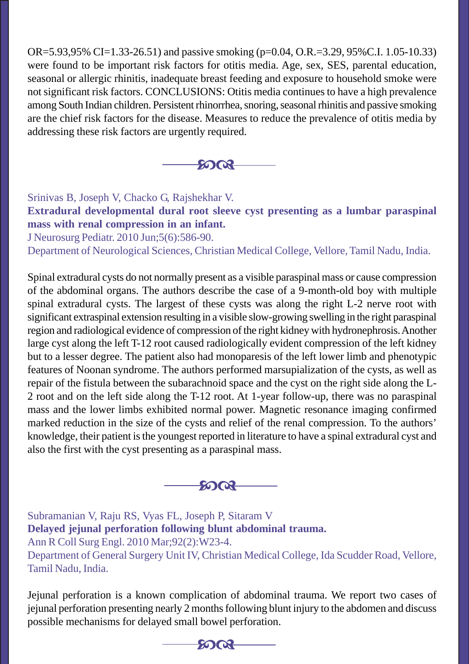OR=5.93,95% CI=1.33-26.51) and passive smoking (p=0.04, O.R.=3.29, 95%C.I. 1.05-10.33) were found to be important risk factors for otitis media. Age, sex, SES, parental education, seasonal or allergic rhinitis, inadequate breast feeding and exposure to household smoke were not significant risk factors. CONCLUSIONS: Otitis media continues to have a high prevalence among South Indian children. Persistent rhinorrhea, snoring, seasonal rhinitis and passive smoking are the chief risk factors for the disease. Measures to reduce the prevalence of otitis media by addressing these risk factors are urgently required.



#### Srinivas B, Joseph V, Chacko G, Rajshekhar V.

**Extradural developmental dural root sleeve cyst presenting as a lumbar paraspinal mass with renal compression in an infant.**

J Neurosurg Pediatr. 2010 Jun;5(6):586-90. Department of Neurological Sciences, Christian Medical College, Vellore, Tamil Nadu, India.

Spinal extradural cysts do not normally present as a visible paraspinal mass or cause compression of the abdominal organs. The authors describe the case of a 9-month-old boy with multiple spinal extradural cysts. The largest of these cysts was along the right L-2 nerve root with significant extraspinal extension resulting in a visible slow-growing swelling in the right paraspinal region and radiological evidence of compression of the right kidney with hydronephrosis. Another large cyst along the left T-12 root caused radiologically evident compression of the left kidney but to a lesser degree. The patient also had monoparesis of the left lower limb and phenotypic features of Noonan syndrome. The authors performed marsupialization of the cysts, as well as repair of the fistula between the subarachnoid space and the cyst on the right side along the L-2 root and on the left side along the T-12 root. At 1-year follow-up, there was no paraspinal mass and the lower limbs exhibited normal power. Magnetic resonance imaging confirmed marked reduction in the size of the cysts and relief of the renal compression. To the authors' knowledge, their patient is the youngest reported in literature to have a spinal extradural cyst and also the first with the cyst presenting as a paraspinal mass.



Subramanian V, Raju RS, Vyas FL, Joseph P, Sitaram V **Delayed jejunal perforation following blunt abdominal trauma.** Ann R Coll Surg Engl. 2010 Mar;92(2):W23-4. Department of General Surgery Unit IV, Christian Medical College, Ida Scudder Road, Vellore, Tamil Nadu, India.

Jejunal perforation is a known complication of abdominal trauma. We report two cases of jejunal perforation presenting nearly 2 months following blunt injury to the abdomen and discuss possible mechanisms for delayed small bowel perforation.

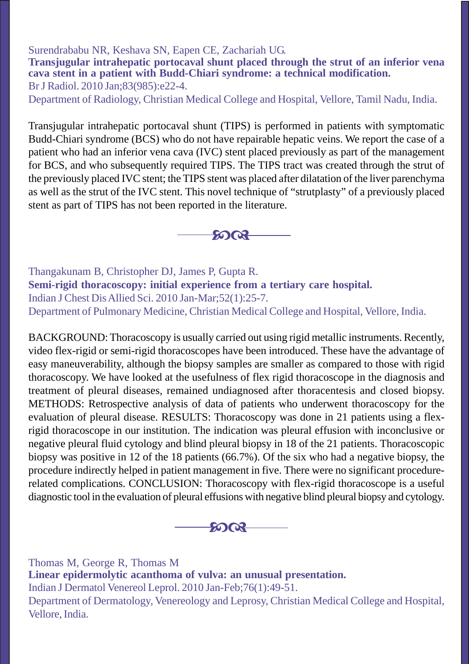Surendrababu NR, Keshava SN, Eapen CE, Zachariah UG. **Transjugular intrahepatic portocaval shunt placed through the strut of an inferior vena cava stent in a patient with Budd-Chiari syndrome: a technical modification.** Br J Radiol. 2010 Jan;83(985):e22-4. Department of Radiology, Christian Medical College and Hospital, Vellore, Tamil Nadu, India.

Transjugular intrahepatic portocaval shunt (TIPS) is performed in patients with symptomatic Budd-Chiari syndrome (BCS) who do not have repairable hepatic veins. We report the case of a patient who had an inferior vena cava (IVC) stent placed previously as part of the management for BCS, and who subsequently required TIPS. The TIPS tract was created through the strut of the previously placed IVC stent; the TIPS stent was placed after dilatation of the liver parenchyma as well as the strut of the IVC stent. This novel technique of "strutplasty" of a previously placed stent as part of TIPS has not been reported in the literature.



Thangakunam B, Christopher DJ, James P, Gupta R. **Semi-rigid thoracoscopy: initial experience from a tertiary care hospital.** Indian J Chest Dis Allied Sci. 2010 Jan-Mar;52(1):25-7. Department of Pulmonary Medicine, Christian Medical College and Hospital, Vellore, India.

BACKGROUND: Thoracoscopy is usually carried out using rigid metallic instruments. Recently, video flex-rigid or semi-rigid thoracoscopes have been introduced. These have the advantage of easy maneuverability, although the biopsy samples are smaller as compared to those with rigid thoracoscopy. We have looked at the usefulness of flex rigid thoracoscope in the diagnosis and treatment of pleural diseases, remained undiagnosed after thoracentesis and closed biopsy. METHODS: Retrospective analysis of data of patients who underwent thoracoscopy for the evaluation of pleural disease. RESULTS: Thoracoscopy was done in 21 patients using a flexrigid thoracoscope in our institution. The indication was pleural effusion with inconclusive or negative pleural fluid cytology and blind pleural biopsy in 18 of the 21 patients. Thoracoscopic biopsy was positive in 12 of the 18 patients (66.7%). Of the six who had a negative biopsy, the procedure indirectly helped in patient management in five. There were no significant procedurerelated complications. CONCLUSION: Thoracoscopy with flex-rigid thoracoscope is a useful diagnostic tool in the evaluation of pleural effusions with negative blind pleural biopsy and cytology.



Thomas M, George R, Thomas M **Linear epidermolytic acanthoma of vulva: an unusual presentation.** Indian J Dermatol Venereol Leprol. 2010 Jan-Feb;76(1):49-51. Department of Dermatology, Venereology and Leprosy, Christian Medical College and Hospital, Vellore, India.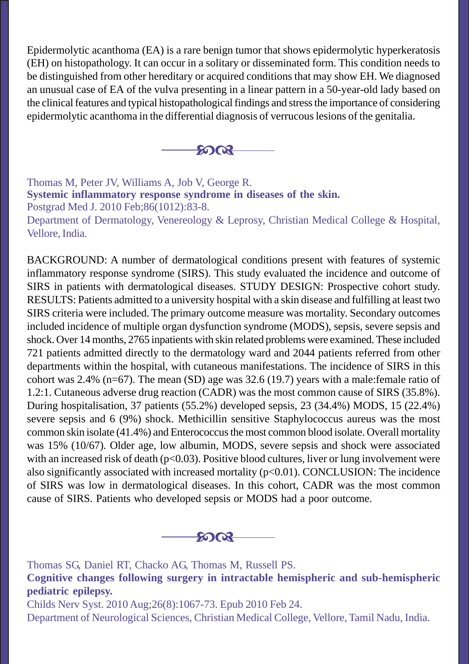Epidermolytic acanthoma (EA) is a rare benign tumor that shows epidermolytic hyperkeratosis (EH) on histopathology. It can occur in a solitary or disseminated form. This condition needs to be distinguished from other hereditary or acquired conditions that may show EH. We diagnosed an unusual case of EA of the vulva presenting in a linear pattern in a 50-year-old lady based on the clinical features and typical histopathological findings and stress the importance of considering epidermolytic acanthoma in the differential diagnosis of verrucous lesions of the genitalia.



Thomas M, Peter JV, Williams A, Job V, George R. **Systemic inflammatory response syndrome in diseases of the skin.** Postgrad Med J. 2010 Feb;86(1012):83-8. Department of Dermatology, Venereology & Leprosy, Christian Medical College & Hospital, Vellore, India.

BACKGROUND: A number of dermatological conditions present with features of systemic inflammatory response syndrome (SIRS). This study evaluated the incidence and outcome of SIRS in patients with dermatological diseases. STUDY DESIGN: Prospective cohort study. RESULTS: Patients admitted to a university hospital with a skin disease and fulfilling at least two SIRS criteria were included. The primary outcome measure was mortality. Secondary outcomes included incidence of multiple organ dysfunction syndrome (MODS), sepsis, severe sepsis and shock. Over 14 months, 2765 inpatients with skin related problems were examined. These included 721 patients admitted directly to the dermatology ward and 2044 patients referred from other departments within the hospital, with cutaneous manifestations. The incidence of SIRS in this cohort was 2.4% (n=67). The mean (SD) age was 32.6 (19.7) years with a male:female ratio of 1.2:1. Cutaneous adverse drug reaction (CADR) was the most common cause of SIRS (35.8%). During hospitalisation, 37 patients (55.2%) developed sepsis, 23 (34.4%) MODS, 15 (22.4%) severe sepsis and 6 (9%) shock. Methicillin sensitive Staphylococcus aureus was the most common skin isolate (41.4%) and Enterococcus the most common blood isolate. Overall mortality was 15% (10/67). Older age, low albumin, MODS, severe sepsis and shock were associated with an increased risk of death (p<0.03). Positive blood cultures, liver or lung involvement were also significantly associated with increased mortality  $(p<0.01)$ . CONCLUSION: The incidence of SIRS was low in dermatological diseases. In this cohort, CADR was the most common cause of SIRS. Patients who developed sepsis or MODS had a poor outcome.



Thomas SG, Daniel RT, Chacko AG, Thomas M, Russell PS.

**Cognitive changes following surgery in intractable hemispheric and sub-hemispheric pediatric epilepsy.**

Childs Nerv Syst. 2010 Aug;26(8):1067-73. Epub 2010 Feb 24.

Department of Neurological Sciences, Christian Medical College, Vellore, Tamil Nadu, India.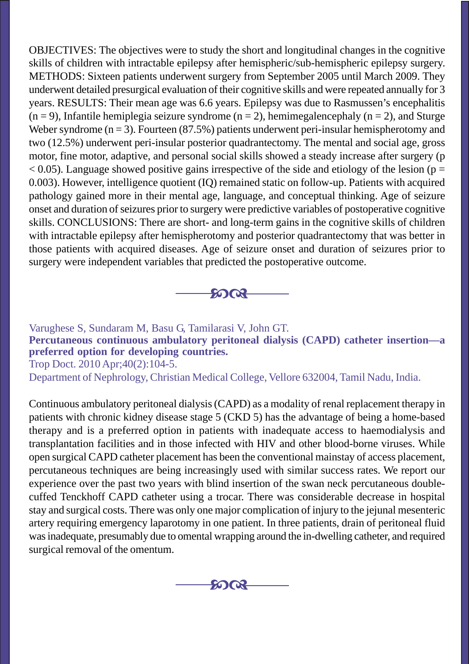OBJECTIVES: The objectives were to study the short and longitudinal changes in the cognitive skills of children with intractable epilepsy after hemispheric/sub-hemispheric epilepsy surgery. METHODS: Sixteen patients underwent surgery from September 2005 until March 2009. They underwent detailed presurgical evaluation of their cognitive skills and were repeated annually for 3 years. RESULTS: Their mean age was 6.6 years. Epilepsy was due to Rasmussen's encephalitis  $(n = 9)$ , Infantile hemiplegia seizure syndrome  $(n = 2)$ , hemimegalencephaly  $(n = 2)$ , and Sturge Weber syndrome  $(n = 3)$ . Fourteen (87.5%) patients underwent peri-insular hemispherotomy and two (12.5%) underwent peri-insular posterior quadrantectomy. The mental and social age, gross motor, fine motor, adaptive, and personal social skills showed a steady increase after surgery (p  $\leq$  0.05). Language showed positive gains irrespective of the side and etiology of the lesion (p = 0.003). However, intelligence quotient (IQ) remained static on follow-up. Patients with acquired pathology gained more in their mental age, language, and conceptual thinking. Age of seizure onset and duration of seizures prior to surgery were predictive variables of postoperative cognitive skills. CONCLUSIONS: There are short- and long-term gains in the cognitive skills of children with intractable epilepsy after hemispherotomy and posterior quadrantectomy that was better in those patients with acquired diseases. Age of seizure onset and duration of seizures prior to surgery were independent variables that predicted the postoperative outcome.



Varughese S, Sundaram M, Basu G, Tamilarasi V, John GT. **Percutaneous continuous ambulatory peritoneal dialysis (CAPD) catheter insertion—a preferred option for developing countries.**

Trop Doct. 2010 Apr;40(2):104-5.

Department of Nephrology, Christian Medical College, Vellore 632004, Tamil Nadu, India.

Continuous ambulatory peritoneal dialysis (CAPD) as a modality of renal replacement therapy in patients with chronic kidney disease stage 5 (CKD 5) has the advantage of being a home-based therapy and is a preferred option in patients with inadequate access to haemodialysis and transplantation facilities and in those infected with HIV and other blood-borne viruses. While open surgical CAPD catheter placement has been the conventional mainstay of access placement, percutaneous techniques are being increasingly used with similar success rates. We report our experience over the past two years with blind insertion of the swan neck percutaneous doublecuffed Tenckhoff CAPD catheter using a trocar. There was considerable decrease in hospital stay and surgical costs. There was only one major complication of injury to the jejunal mesenteric artery requiring emergency laparotomy in one patient. In three patients, drain of peritoneal fluid was inadequate, presumably due to omental wrapping around the in-dwelling catheter, and required surgical removal of the omentum.

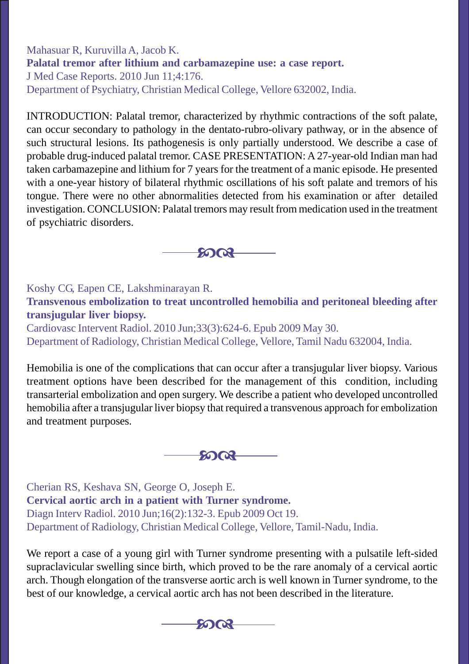## Mahasuar R, Kuruvilla A, Jacob K. **Palatal tremor after lithium and carbamazepine use: a case report.** J Med Case Reports. 2010 Jun 11;4:176. Department of Psychiatry, Christian Medical College, Vellore 632002, India.

INTRODUCTION: Palatal tremor, characterized by rhythmic contractions of the soft palate, can occur secondary to pathology in the dentato-rubro-olivary pathway, or in the absence of such structural lesions. Its pathogenesis is only partially understood. We describe a case of probable drug-induced palatal tremor. CASE PRESENTATION: A 27-year-old Indian man had taken carbamazepine and lithium for 7 years for the treatment of a manic episode. He presented with a one-year history of bilateral rhythmic oscillations of his soft palate and tremors of his tongue. There were no other abnormalities detected from his examination or after detailed investigation. CONCLUSION: Palatal tremors may result from medication used in the treatment of psychiatric disorders.



#### Koshy CG, Eapen CE, Lakshminarayan R.

**Transvenous embolization to treat uncontrolled hemobilia and peritoneal bleeding after transjugular liver biopsy.**

Cardiovasc Intervent Radiol. 2010 Jun;33(3):624-6. Epub 2009 May 30. Department of Radiology, Christian Medical College, Vellore, Tamil Nadu 632004, India.

Hemobilia is one of the complications that can occur after a transjugular liver biopsy. Various treatment options have been described for the management of this condition, including transarterial embolization and open surgery. We describe a patient who developed uncontrolled hemobilia after a transjugular liver biopsy that required a transvenous approach for embolization and treatment purposes.



Cherian RS, Keshava SN, George O, Joseph E. **Cervical aortic arch in a patient with Turner syndrome.** Diagn Interv Radiol. 2010 Jun;16(2):132-3. Epub 2009 Oct 19. Department of Radiology, Christian Medical College, Vellore, Tamil-Nadu, India.

We report a case of a young girl with Turner syndrome presenting with a pulsatile left-sided supraclavicular swelling since birth, which proved to be the rare anomaly of a cervical aortic arch. Though elongation of the transverse aortic arch is well known in Turner syndrome, to the best of our knowledge, a cervical aortic arch has not been described in the literature.

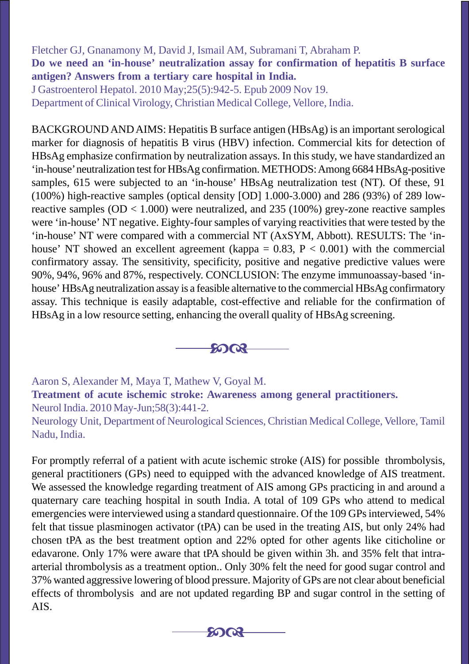Fletcher GJ, Gnanamony M, David J, Ismail AM, Subramani T, Abraham P. **Do we need an 'in-house' neutralization assay for confirmation of hepatitis B surface antigen? Answers from a tertiary care hospital in India.**

J Gastroenterol Hepatol. 2010 May;25(5):942-5. Epub 2009 Nov 19. Department of Clinical Virology, Christian Medical College, Vellore, India.

BACKGROUND AND AIMS: Hepatitis B surface antigen (HBsAg) is an important serological marker for diagnosis of hepatitis B virus (HBV) infection. Commercial kits for detection of HBsAg emphasize confirmation by neutralization assays. In this study, we have standardized an 'in-house' neutralization test for HBsAg confirmation. METHODS: Among 6684 HBsAg-positive samples, 615 were subjected to an 'in-house' HBsAg neutralization test (NT). Of these, 91 (100%) high-reactive samples (optical density [OD] 1.000-3.000) and 286 (93%) of 289 lowreactive samples  $(OD < 1.000)$  were neutralized, and 235 (100%) grey-zone reactive samples were 'in-house' NT negative. Eighty-four samples of varying reactivities that were tested by the 'in-house' NT were compared with a commercial NT (AxSYM, Abbott). RESULTS: The 'inhouse' NT showed an excellent agreement (kappa =  $0.83$ , P <  $0.001$ ) with the commercial confirmatory assay. The sensitivity, specificity, positive and negative predictive values were 90%, 94%, 96% and 87%, respectively. CONCLUSION: The enzyme immunoassay-based 'inhouse' HBsAg neutralization assay is a feasible alternative to the commercial HBsAg confirmatory assay. This technique is easily adaptable, cost-effective and reliable for the confirmation of HBsAg in a low resource setting, enhancing the overall quality of HBsAg screening.



Aaron S, Alexander M, Maya T, Mathew V, Goyal M. **Treatment of acute ischemic stroke: Awareness among general practitioners.** Neurol India. 2010 May-Jun;58(3):441-2. Neurology Unit, Department of Neurological Sciences, Christian Medical College, Vellore, Tamil Nadu, India.

For promptly referral of a patient with acute ischemic stroke (AIS) for possible thrombolysis, general practitioners (GPs) need to equipped with the advanced knowledge of AIS treatment. We assessed the knowledge regarding treatment of AIS among GPs practicing in and around a quaternary care teaching hospital in south India. A total of 109 GPs who attend to medical emergencies were interviewed using a standard questionnaire. Of the 109 GPs interviewed, 54% felt that tissue plasminogen activator (tPA) can be used in the treating AIS, but only 24% had chosen tPA as the best treatment option and 22% opted for other agents like citicholine or edavarone. Only 17% were aware that tPA should be given within 3h. and 35% felt that intraarterial thrombolysis as a treatment option.. Only 30% felt the need for good sugar control and 37% wanted aggressive lowering of blood pressure. Majority of GPs are not clear about beneficial effects of thrombolysis and are not updated regarding BP and sugar control in the setting of AIS.

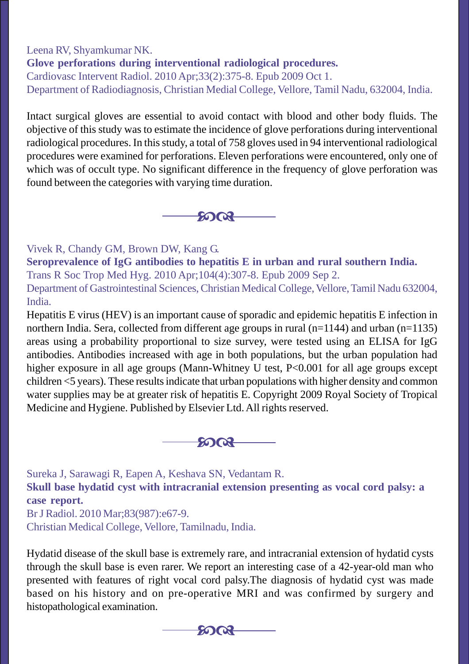## Leena RV, Shyamkumar NK. **Glove perforations during interventional radiological procedures.** Cardiovasc Intervent Radiol. 2010 Apr;33(2):375-8. Epub 2009 Oct 1. Department of Radiodiagnosis, Christian Medial College, Vellore, Tamil Nadu, 632004, India.

Intact surgical gloves are essential to avoid contact with blood and other body fluids. The objective of this study was to estimate the incidence of glove perforations during interventional radiological procedures. In this study, a total of 758 gloves used in 94 interventional radiological procedures were examined for perforations. Eleven perforations were encountered, only one of which was of occult type. No significant difference in the frequency of glove perforation was found between the categories with varying time duration.



Vivek R, Chandy GM, Brown DW, Kang G.

**Seroprevalence of IgG antibodies to hepatitis E in urban and rural southern India.** Trans R Soc Trop Med Hyg. 2010 Apr;104(4):307-8. Epub 2009 Sep 2.

Department of Gastrointestinal Sciences, Christian Medical College, Vellore, Tamil Nadu 632004, India.

Hepatitis E virus (HEV) is an important cause of sporadic and epidemic hepatitis E infection in northern India. Sera, collected from different age groups in rural (n=1144) and urban (n=1135) areas using a probability proportional to size survey, were tested using an ELISA for IgG antibodies. Antibodies increased with age in both populations, but the urban population had higher exposure in all age groups (Mann-Whitney U test, P<0.001 for all age groups except children <5 years). These results indicate that urban populations with higher density and common water supplies may be at greater risk of hepatitis E. Copyright 2009 Royal Society of Tropical Medicine and Hygiene. Published by Elsevier Ltd. All rights reserved.



Sureka J, Sarawagi R, Eapen A, Keshava SN, Vedantam R. **Skull base hydatid cyst with intracranial extension presenting as vocal cord palsy: a case report.** Br J Radiol. 2010 Mar;83(987):e67-9.

Christian Medical College, Vellore, Tamilnadu, India.

Hydatid disease of the skull base is extremely rare, and intracranial extension of hydatid cysts through the skull base is even rarer. We report an interesting case of a 42-year-old man who presented with features of right vocal cord palsy.The diagnosis of hydatid cyst was made based on his history and on pre-operative MRI and was confirmed by surgery and histopathological examination.

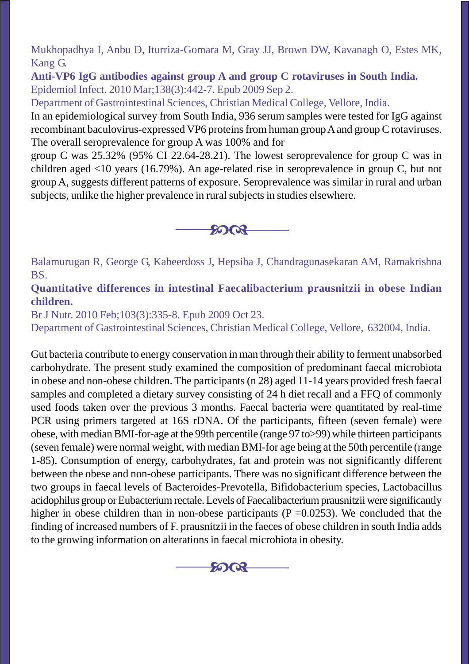Mukhopadhya I, Anbu D, Iturriza-Gomara M, Gray JJ, Brown DW, Kavanagh O, Estes MK, Kang G.

**Anti-VP6 IgG antibodies against group A and group C rotaviruses in South India.** Epidemiol Infect. 2010 Mar;138(3):442-7. Epub 2009 Sep 2.

Department of Gastrointestinal Sciences, Christian Medical College, Vellore, India.

In an epidemiological survey from South India, 936 serum samples were tested for IgG against recombinant baculovirus-expressed VP6 proteins from human group A and group C rotaviruses. The overall seroprevalence for group A was 100% and for

group C was 25.32% (95% CI 22.64-28.21). The lowest seroprevalence for group C was in children aged <10 years (16.79%). An age-related rise in seroprevalence in group C, but not group A, suggests different patterns of exposure. Seroprevalence was similar in rural and urban subjects, unlike the higher prevalence in rural subjects in studies elsewhere.

 $-50Q$ ി

Balamurugan R, George G, Kabeerdoss J, Hepsiba J, Chandragunasekaran AM, Ramakrishna BS.

**Quantitative differences in intestinal Faecalibacterium prausnitzii in obese Indian children.**

Br J Nutr. 2010 Feb;103(3):335-8. Epub 2009 Oct 23.

Department of Gastrointestinal Sciences, Christian Medical College, Vellore, 632004, India.

Gut bacteria contribute to energy conservation in man through their ability to ferment unabsorbed carbohydrate. The present study examined the composition of predominant faecal microbiota in obese and non-obese children. The participants (n 28) aged 11-14 years provided fresh faecal samples and completed a dietary survey consisting of 24 h diet recall and a FFQ of commonly used foods taken over the previous 3 months. Faecal bacteria were quantitated by real-time PCR using primers targeted at 16S rDNA. Of the participants, fifteen (seven female) were obese, with median BMI-for-age at the 99th percentile (range 97 to>99) while thirteen participants (seven female) were normal weight, with median BMI-for age being at the 50th percentile (range 1-85). Consumption of energy, carbohydrates, fat and protein was not significantly different between the obese and non-obese participants. There was no significant difference between the two groups in faecal levels of Bacteroides-Prevotella, Bifidobacterium species, Lactobacillus acidophilus group or Eubacterium rectale. Levels of Faecalibacterium prausnitzii were significantly higher in obese children than in non-obese participants  $(P = 0.0253)$ . We concluded that the finding of increased numbers of F. prausnitzii in the faeces of obese children in south India adds to the growing information on alterations in faecal microbiota in obesity.

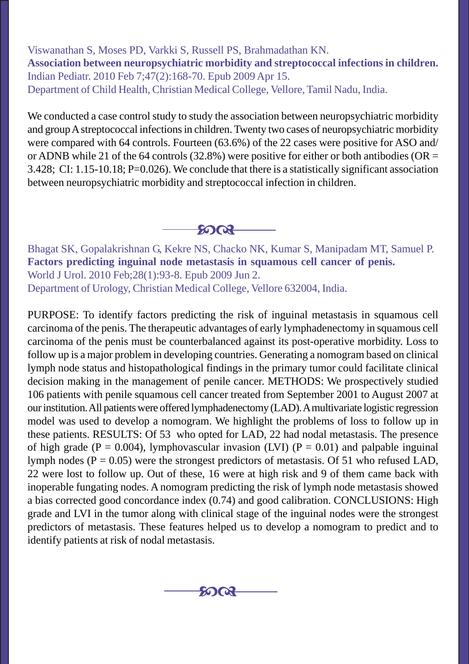Viswanathan S, Moses PD, Varkki S, Russell PS, Brahmadathan KN. **Association between neuropsychiatric morbidity and streptococcal infections in children.** Indian Pediatr. 2010 Feb 7;47(2):168-70. Epub 2009 Apr 15. Department of Child Health, Christian Medical College, Vellore, Tamil Nadu, India.

We conducted a case control study to study the association between neuropsychiatric morbidity and group A streptococcal infections in children. Twenty two cases of neuropsychiatric morbidity were compared with 64 controls. Fourteen (63.6%) of the 22 cases were positive for ASO and/ or ADNB while 21 of the 64 controls (32.8%) were positive for either or both antibodies (OR = 3.428; CI: 1.15-10.18; P=0.026). We conclude that there is a statistically significant association between neuropsychiatric morbidity and streptococcal infection in children.

 $-60$ വി

Bhagat SK, Gopalakrishnan G, Kekre NS, Chacko NK, Kumar S, Manipadam MT, Samuel P. **Factors predicting inguinal node metastasis in squamous cell cancer of penis.** World J Urol. 2010 Feb;28(1):93-8. Epub 2009 Jun 2. Department of Urology, Christian Medical College, Vellore 632004, India.

PURPOSE: To identify factors predicting the risk of inguinal metastasis in squamous cell carcinoma of the penis. The therapeutic advantages of early lymphadenectomy in squamous cell carcinoma of the penis must be counterbalanced against its post-operative morbidity. Loss to follow up is a major problem in developing countries. Generating a nomogram based on clinical lymph node status and histopathological findings in the primary tumor could facilitate clinical decision making in the management of penile cancer. METHODS: We prospectively studied 106 patients with penile squamous cell cancer treated from September 2001 to August 2007 at our institution. All patients were offered lymphadenectomy (LAD). A multivariate logistic regression model was used to develop a nomogram. We highlight the problems of loss to follow up in these patients. RESULTS: Of 53 who opted for LAD, 22 had nodal metastasis. The presence of high grade ( $P = 0.004$ ), lymphovascular invasion (LVI) ( $P = 0.01$ ) and palpable inguinal lymph nodes ( $P = 0.05$ ) were the strongest predictors of metastasis. Of 51 who refused LAD, 22 were lost to follow up. Out of these, 16 were at high risk and 9 of them came back with inoperable fungating nodes. A nomogram predicting the risk of lymph node metastasis showed a bias corrected good concordance index (0.74) and good calibration. CONCLUSIONS: High grade and LVI in the tumor along with clinical stage of the inguinal nodes were the strongest predictors of metastasis. These features helped us to develop a nomogram to predict and to identify patients at risk of nodal metastasis.

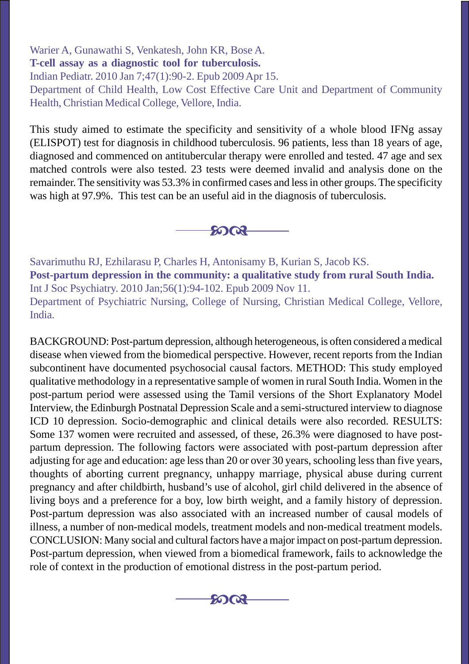Warier A, Gunawathi S, Venkatesh, John KR, Bose A. **T-cell assay as a diagnostic tool for tuberculosis.** Indian Pediatr. 2010 Jan 7;47(1):90-2. Epub 2009 Apr 15. Department of Child Health, Low Cost Effective Care Unit and Department of Community Health, Christian Medical College, Vellore, India.

This study aimed to estimate the specificity and sensitivity of a whole blood IFNg assay (ELISPOT) test for diagnosis in childhood tuberculosis. 96 patients, less than 18 years of age, diagnosed and commenced on antitubercular therapy were enrolled and tested. 47 age and sex matched controls were also tested. 23 tests were deemed invalid and analysis done on the remainder. The sensitivity was 53.3% in confirmed cases and less in other groups. The specificity was high at 97.9%. This test can be an useful aid in the diagnosis of tuberculosis.

 $-500$ 

Savarimuthu RJ, Ezhilarasu P, Charles H, Antonisamy B, Kurian S, Jacob KS. **Post-partum depression in the community: a qualitative study from rural South India.** Int J Soc Psychiatry. 2010 Jan;56(1):94-102. Epub 2009 Nov 11. Department of Psychiatric Nursing, College of Nursing, Christian Medical College, Vellore, India.

BACKGROUND: Post-partum depression, although heterogeneous, is often considered a medical disease when viewed from the biomedical perspective. However, recent reports from the Indian subcontinent have documented psychosocial causal factors. METHOD: This study employed qualitative methodology in a representative sample of women in rural South India. Women in the post-partum period were assessed using the Tamil versions of the Short Explanatory Model Interview, the Edinburgh Postnatal Depression Scale and a semi-structured interview to diagnose ICD 10 depression. Socio-demographic and clinical details were also recorded. RESULTS: Some 137 women were recruited and assessed, of these, 26.3% were diagnosed to have postpartum depression. The following factors were associated with post-partum depression after adjusting for age and education: age less than 20 or over 30 years, schooling less than five years, thoughts of aborting current pregnancy, unhappy marriage, physical abuse during current pregnancy and after childbirth, husband's use of alcohol, girl child delivered in the absence of living boys and a preference for a boy, low birth weight, and a family history of depression. Post-partum depression was also associated with an increased number of causal models of illness, a number of non-medical models, treatment models and non-medical treatment models. CONCLUSION: Many social and cultural factors have a major impact on post-partum depression. Post-partum depression, when viewed from a biomedical framework, fails to acknowledge the role of context in the production of emotional distress in the post-partum period.

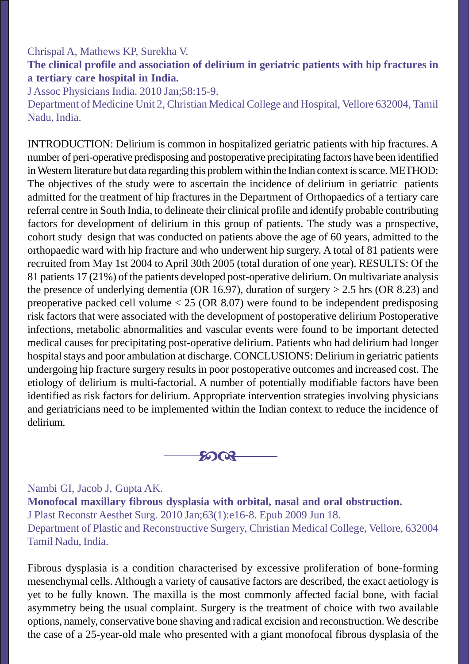Chrispal A, Mathews KP, Surekha V.

## **The clinical profile and association of delirium in geriatric patients with hip fractures in a tertiary care hospital in India.**

J Assoc Physicians India. 2010 Jan;58:15-9.

Department of Medicine Unit 2, Christian Medical College and Hospital, Vellore 632004, Tamil Nadu, India.

INTRODUCTION: Delirium is common in hospitalized geriatric patients with hip fractures. A number of peri-operative predisposing and postoperative precipitating factors have been identified in Western literature but data regarding this problem within the Indian context is scarce. METHOD: The objectives of the study were to ascertain the incidence of delirium in geriatric patients admitted for the treatment of hip fractures in the Department of Orthopaedics of a tertiary care referral centre in South India, to delineate their clinical profile and identify probable contributing factors for development of delirium in this group of patients. The study was a prospective, cohort study design that was conducted on patients above the age of 60 years, admitted to the orthopaedic ward with hip fracture and who underwent hip surgery. A total of 81 patients were recruited from May 1st 2004 to April 30th 2005 (total duration of one year). RESULTS: Of the 81 patients 17 (21%) of the patients developed post-operative delirium. On multivariate analysis the presence of underlying dementia (OR 16.97), duration of surgery  $> 2.5$  hrs (OR 8.23) and preoperative packed cell volume  $<$  25 (OR 8.07) were found to be independent predisposing risk factors that were associated with the development of postoperative delirium Postoperative infections, metabolic abnormalities and vascular events were found to be important detected medical causes for precipitating post-operative delirium. Patients who had delirium had longer hospital stays and poor ambulation at discharge. CONCLUSIONS: Delirium in geriatric patients undergoing hip fracture surgery results in poor postoperative outcomes and increased cost. The etiology of delirium is multi-factorial. A number of potentially modifiable factors have been identified as risk factors for delirium. Appropriate intervention strategies involving physicians and geriatricians need to be implemented within the Indian context to reduce the incidence of delirium.



Nambi GI, Jacob J, Gupta AK. **Monofocal maxillary fibrous dysplasia with orbital, nasal and oral obstruction.** J Plast Reconstr Aesthet Surg. 2010 Jan;63(1):e16-8. Epub 2009 Jun 18. Department of Plastic and Reconstructive Surgery, Christian Medical College, Vellore, 632004 Tamil Nadu, India.

Fibrous dysplasia is a condition characterised by excessive proliferation of bone-forming mesenchymal cells. Although a variety of causative factors are described, the exact aetiology is yet to be fully known. The maxilla is the most commonly affected facial bone, with facial asymmetry being the usual complaint. Surgery is the treatment of choice with two available options, namely, conservative bone shaving and radical excision and reconstruction. We describe the case of a 25-year-old male who presented with a giant monofocal fibrous dysplasia of the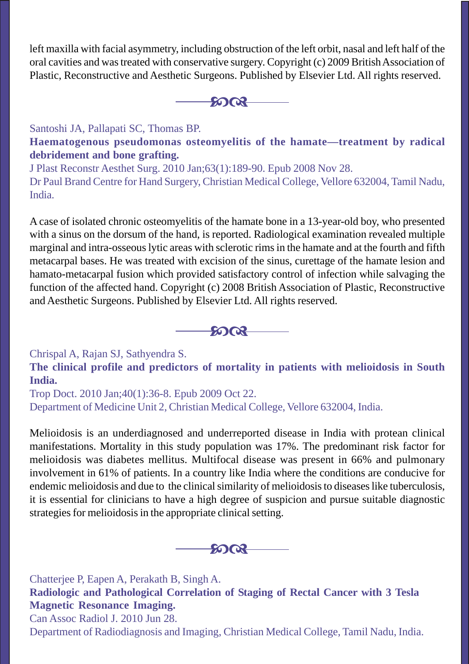left maxilla with facial asymmetry, including obstruction of the left orbit, nasal and left half of the oral cavities and was treated with conservative surgery. Copyright (c) 2009 British Association of Plastic, Reconstructive and Aesthetic Surgeons. Published by Elsevier Ltd. All rights reserved.



## Santoshi JA, Pallapati SC, Thomas BP.

**Haematogenous pseudomonas osteomyelitis of the hamate—treatment by radical debridement and bone grafting.**

J Plast Reconstr Aesthet Surg. 2010 Jan;63(1):189-90. Epub 2008 Nov 28. Dr Paul Brand Centre for Hand Surgery, Christian Medical College, Vellore 632004, Tamil Nadu, India.

A case of isolated chronic osteomyelitis of the hamate bone in a 13-year-old boy, who presented with a sinus on the dorsum of the hand, is reported. Radiological examination revealed multiple marginal and intra-osseous lytic areas with sclerotic rims in the hamate and at the fourth and fifth metacarpal bases. He was treated with excision of the sinus, curettage of the hamate lesion and hamato-metacarpal fusion which provided satisfactory control of infection while salvaging the function of the affected hand. Copyright (c) 2008 British Association of Plastic, Reconstructive and Aesthetic Surgeons. Published by Elsevier Ltd. All rights reserved.



Chrispal A, Rajan SJ, Sathyendra S.

**The clinical profile and predictors of mortality in patients with melioidosis in South India.**

Trop Doct. 2010 Jan;40(1):36-8. Epub 2009 Oct 22. Department of Medicine Unit 2, Christian Medical College, Vellore 632004, India.

Melioidosis is an underdiagnosed and underreported disease in India with protean clinical manifestations. Mortality in this study population was 17%. The predominant risk factor for melioidosis was diabetes mellitus. Multifocal disease was present in 66% and pulmonary involvement in 61% of patients. In a country like India where the conditions are conducive for endemic melioidosis and due to the clinical similarity of melioidosis to diseases like tuberculosis, it is essential for clinicians to have a high degree of suspicion and pursue suitable diagnostic strategies for melioidosis in the appropriate clinical setting.



Chatterjee P, Eapen A, Perakath B, Singh A. **Radiologic and Pathological Correlation of Staging of Rectal Cancer with 3 Tesla Magnetic Resonance Imaging.** Can Assoc Radiol J. 2010 Jun 28.

Department of Radiodiagnosis and Imaging, Christian Medical College, Tamil Nadu, India.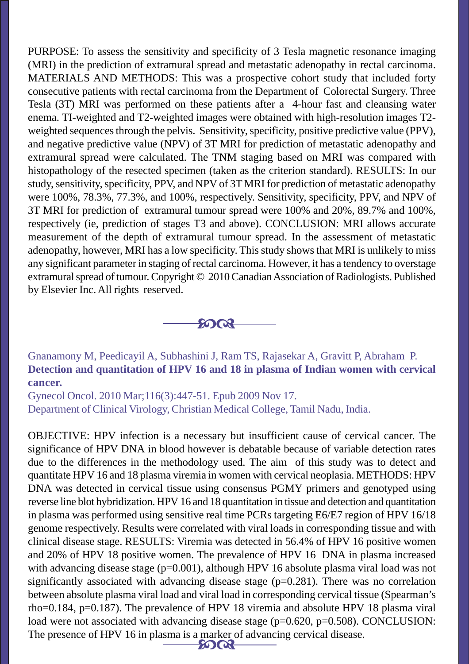PURPOSE: To assess the sensitivity and specificity of 3 Tesla magnetic resonance imaging (MRI) in the prediction of extramural spread and metastatic adenopathy in rectal carcinoma. MATERIALS AND METHODS: This was a prospective cohort study that included forty consecutive patients with rectal carcinoma from the Department of Colorectal Surgery. Three Tesla (3T) MRI was performed on these patients after a 4-hour fast and cleansing water enema. TI-weighted and T2-weighted images were obtained with high-resolution images T2 weighted sequences through the pelvis. Sensitivity, specificity, positive predictive value (PPV), and negative predictive value (NPV) of 3T MRI for prediction of metastatic adenopathy and extramural spread were calculated. The TNM staging based on MRI was compared with histopathology of the resected specimen (taken as the criterion standard). RESULTS: In our study, sensitivity, specificity, PPV, and NPV of 3T MRI for prediction of metastatic adenopathy were 100%, 78.3%, 77.3%, and 100%, respectively. Sensitivity, specificity, PPV, and NPV of 3T MRI for prediction of extramural tumour spread were 100% and 20%, 89.7% and 100%, respectively (ie, prediction of stages T3 and above). CONCLUSION: MRI allows accurate measurement of the depth of extramural tumour spread. In the assessment of metastatic adenopathy, however, MRI has a low specificity. This study shows that MRI is unlikely to miss any significant parameter in staging of rectal carcinoma. However, it has a tendency to overstage extramural spread of tumour. Copyright © 2010 Canadian Association of Radiologists. Published by Elsevier Inc. All rights reserved.



Gnanamony M, Peedicayil A, Subhashini J, Ram TS, Rajasekar A, Gravitt P, Abraham P. **Detection and quantitation of HPV 16 and 18 in plasma of Indian women with cervical cancer.**

Gynecol Oncol. 2010 Mar;116(3):447-51. Epub 2009 Nov 17. Department of Clinical Virology, Christian Medical College, Tamil Nadu, India.

OBJECTIVE: HPV infection is a necessary but insufficient cause of cervical cancer. The significance of HPV DNA in blood however is debatable because of variable detection rates due to the differences in the methodology used. The aim of this study was to detect and quantitate HPV 16 and 18 plasma viremia in women with cervical neoplasia. METHODS: HPV DNA was detected in cervical tissue using consensus PGMY primers and genotyped using reverse line blot hybridization. HPV 16 and 18 quantitation in tissue and detection and quantitation in plasma was performed using sensitive real time PCRs targeting E6/E7 region of HPV 16/18 genome respectively. Results were correlated with viral loads in corresponding tissue and with clinical disease stage. RESULTS: Viremia was detected in 56.4% of HPV 16 positive women and 20% of HPV 18 positive women. The prevalence of HPV 16 DNA in plasma increased with advancing disease stage (p=0.001), although HPV 16 absolute plasma viral load was not significantly associated with advancing disease stage  $(p=0.281)$ . There was no correlation between absolute plasma viral load and viral load in corresponding cervical tissue (Spearman's rho=0.184, p=0.187). The prevalence of HPV 18 viremia and absolute HPV 18 plasma viral load were not associated with advancing disease stage (p=0.620, p=0.508). CONCLUSION: The presence of HPV 16 in plasma is a marker of advancing cervical disease.

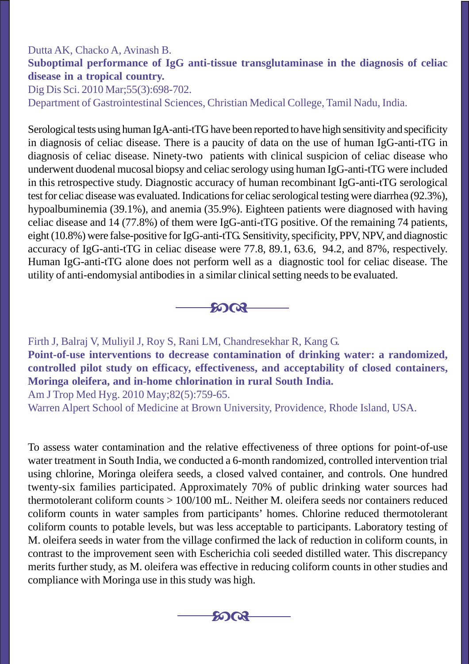## Dutta AK, Chacko A, Avinash B. **Suboptimal performance of IgG anti-tissue transglutaminase in the diagnosis of celiac disease in a tropical country.**

Dig Dis Sci. 2010 Mar;55(3):698-702. Department of Gastrointestinal Sciences, Christian Medical College, Tamil Nadu, India.

Serological tests using human IgA-anti-tTG have been reported to have high sensitivity and specificity in diagnosis of celiac disease. There is a paucity of data on the use of human IgG-anti-tTG in diagnosis of celiac disease. Ninety-two patients with clinical suspicion of celiac disease who underwent duodenal mucosal biopsy and celiac serology using human IgG-anti-tTG were included in this retrospective study. Diagnostic accuracy of human recombinant IgG-anti-tTG serological test for celiac disease was evaluated. Indications for celiac serological testing were diarrhea (92.3%), hypoalbuminemia (39.1%), and anemia (35.9%). Eighteen patients were diagnosed with having celiac disease and 14 (77.8%) of them were IgG-anti-tTG positive. Of the remaining 74 patients, eight (10.8%) were false-positive for IgG-anti-tTG. Sensitivity, specificity, PPV, NPV, and diagnostic accuracy of IgG-anti-tTG in celiac disease were 77.8, 89.1, 63.6, 94.2, and 87%, respectively. Human IgG-anti-tTG alone does not perform well as a diagnostic tool for celiac disease. The utility of anti-endomysial antibodies in a similar clinical setting needs to be evaluated.



Firth J, Balraj V, Muliyil J, Roy S, Rani LM, Chandresekhar R, Kang G. **Point-of-use interventions to decrease contamination of drinking water: a randomized, controlled pilot study on efficacy, effectiveness, and acceptability of closed containers, Moringa oleifera, and in-home chlorination in rural South India.** Am J Trop Med Hyg. 2010 May;82(5):759-65.

Warren Alpert School of Medicine at Brown University, Providence, Rhode Island, USA.

To assess water contamination and the relative effectiveness of three options for point-of-use water treatment in South India, we conducted a 6-month randomized, controlled intervention trial using chlorine, Moringa oleifera seeds, a closed valved container, and controls. One hundred twenty-six families participated. Approximately 70% of public drinking water sources had thermotolerant coliform counts > 100/100 mL. Neither M. oleifera seeds nor containers reduced coliform counts in water samples from participants' homes. Chlorine reduced thermotolerant coliform counts to potable levels, but was less acceptable to participants. Laboratory testing of M. oleifera seeds in water from the village confirmed the lack of reduction in coliform counts, in contrast to the improvement seen with Escherichia coli seeded distilled water. This discrepancy merits further study, as M. oleifera was effective in reducing coliform counts in other studies and compliance with Moringa use in this study was high.

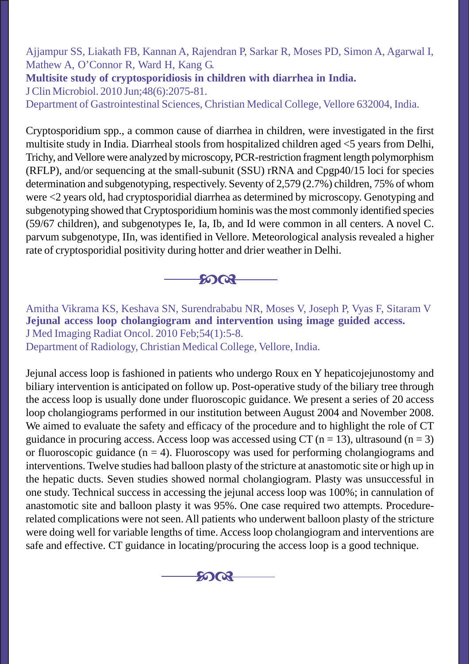Ajjampur SS, Liakath FB, Kannan A, Rajendran P, Sarkar R, Moses PD, Simon A, Agarwal I, Mathew A, O'Connor R, Ward H, Kang G.

**Multisite study of cryptosporidiosis in children with diarrhea in India.**

J Clin Microbiol. 2010 Jun;48(6):2075-81.

Department of Gastrointestinal Sciences, Christian Medical College, Vellore 632004, India.

Cryptosporidium spp., a common cause of diarrhea in children, were investigated in the first multisite study in India. Diarrheal stools from hospitalized children aged <5 years from Delhi, Trichy, and Vellore were analyzed by microscopy, PCR-restriction fragment length polymorphism (RFLP), and/or sequencing at the small-subunit (SSU) rRNA and Cpgp40/15 loci for species determination and subgenotyping, respectively. Seventy of 2,579 (2.7%) children, 75% of whom were <2 years old, had cryptosporidial diarrhea as determined by microscopy. Genotyping and subgenotyping showed that Cryptosporidium hominis was the most commonly identified species (59/67 children), and subgenotypes Ie, Ia, Ib, and Id were common in all centers. A novel C. parvum subgenotype, IIn, was identified in Vellore. Meteorological analysis revealed a higher rate of cryptosporidial positivity during hotter and drier weather in Delhi.



Amitha Vikrama KS, Keshava SN, Surendrababu NR, Moses V, Joseph P, Vyas F, Sitaram V **Jejunal access loop cholangiogram and intervention using image guided access.** J Med Imaging Radiat Oncol. 2010 Feb;54(1):5-8. Department of Radiology, Christian Medical College, Vellore, India.

Jejunal access loop is fashioned in patients who undergo Roux en Y hepaticojejunostomy and biliary intervention is anticipated on follow up. Post-operative study of the biliary tree through the access loop is usually done under fluoroscopic guidance. We present a series of 20 access loop cholangiograms performed in our institution between August 2004 and November 2008. We aimed to evaluate the safety and efficacy of the procedure and to highlight the role of CT guidance in procuring access. Access loop was accessed using  $CT$  (n = 13), ultrasound (n = 3) or fluoroscopic guidance  $(n = 4)$ . Fluoroscopy was used for performing cholangiograms and interventions. Twelve studies had balloon plasty of the stricture at anastomotic site or high up in the hepatic ducts. Seven studies showed normal cholangiogram. Plasty was unsuccessful in one study. Technical success in accessing the jejunal access loop was 100%; in cannulation of anastomotic site and balloon plasty it was 95%. One case required two attempts. Procedurerelated complications were not seen. All patients who underwent balloon plasty of the stricture were doing well for variable lengths of time. Access loop cholangiogram and interventions are safe and effective. CT guidance in locating/procuring the access loop is a good technique.

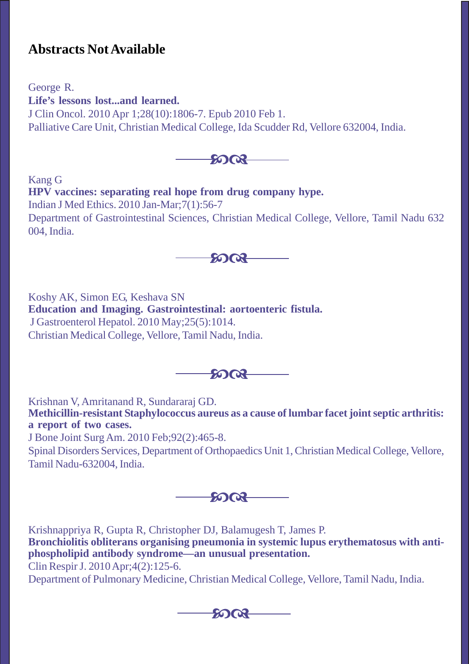## **Abstracts Not Available**

George R. **Life's lessons lost...and learned.** J Clin Oncol. 2010 Apr 1;28(10):1806-7. Epub 2010 Feb 1. Palliative Care Unit, Christian Medical College, Ida Scudder Rd, Vellore 632004, India.



Kang G **HPV vaccines: separating real hope from drug company hype.** Indian J Med Ethics. 2010 Jan-Mar;7(1):56-7 Department of Gastrointestinal Sciences, Christian Medical College, Vellore, Tamil Nadu 632 004, India.



Koshy AK, Simon EG, Keshava SN **Education and Imaging. Gastrointestinal: aortoenteric fistula.** J Gastroenterol Hepatol. 2010 May;25(5):1014. Christian Medical College, Vellore, Tamil Nadu, India.



Krishnan V, Amritanand R, Sundararaj GD. **Methicillin-resistant Staphylococcus aureus as a cause of lumbar facet joint septic arthritis: a report of two cases.** J Bone Joint Surg Am. 2010 Feb;92(2):465-8. Spinal Disorders Services, Department of Orthopaedics Unit 1, Christian Medical College, Vellore, Tamil Nadu-632004, India.



Krishnappriya R, Gupta R, Christopher DJ, Balamugesh T, James P. **Bronchiolitis obliterans organising pneumonia in systemic lupus erythematosus with antiphospholipid antibody syndrome—an unusual presentation.** Clin Respir J. 2010 Apr;4(2):125-6.

Department of Pulmonary Medicine, Christian Medical College, Vellore, Tamil Nadu, India.

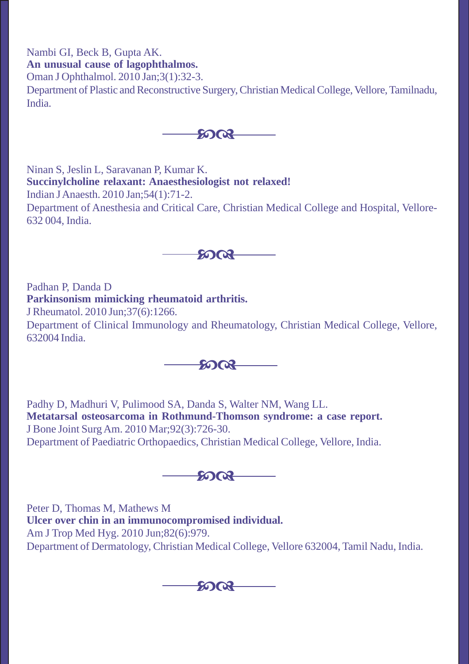Nambi GI, Beck B, Gupta AK. **An unusual cause of lagophthalmos.** Oman J Ophthalmol. 2010 Jan;3(1):32-3.

Department of Plastic and Reconstructive Surgery, Christian Medical College, Vellore, Tamilnadu, India.



Ninan S, Jeslin L, Saravanan P, Kumar K. **Succinylcholine relaxant: Anaesthesiologist not relaxed!** Indian J Anaesth. 2010 Jan;54(1):71-2.

Department of Anesthesia and Critical Care, Christian Medical College and Hospital, Vellore-632 004, India.

 $\overline{\phantom{a}}$ ങ $\overline{\phantom{a}}$ 

Padhan P, Danda D **Parkinsonism mimicking rheumatoid arthritis.** J Rheumatol. 2010 Jun;37(6):1266. Department of Clinical Immunology and Rheumatology, Christian Medical College, Vellore, 632004 India.



Padhy D, Madhuri V, Pulimood SA, Danda S, Walter NM, Wang LL. **Metatarsal osteosarcoma in Rothmund-Thomson syndrome: a case report.** J Bone Joint Surg Am. 2010 Mar;92(3):726-30. Department of Paediatric Orthopaedics, Christian Medical College, Vellore, India.



Peter D, Thomas M, Mathews M **Ulcer over chin in an immunocompromised individual.** Am J Trop Med Hyg. 2010 Jun;82(6):979. Department of Dermatology, Christian Medical College, Vellore 632004, Tamil Nadu, India.

 $-500$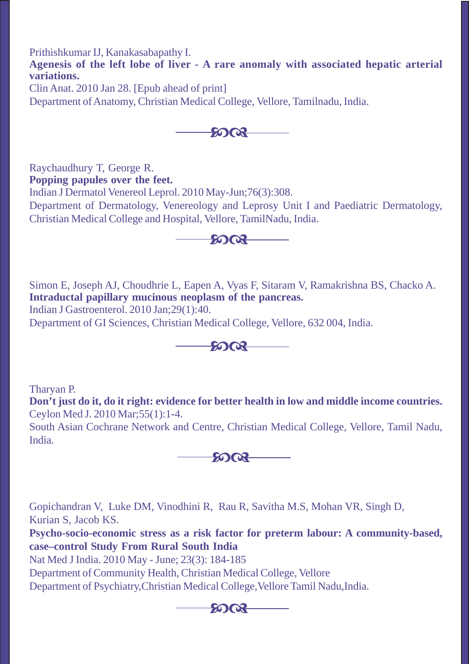Prithishkumar IJ, Kanakasabapathy I. **Agenesis of the left lobe of liver - A rare anomaly with associated hepatic arterial variations.**

Clin Anat. 2010 Jan 28. [Epub ahead of print] Department of Anatomy, Christian Medical College, Vellore, Tamilnadu, India.



Raychaudhury T, George R. **Popping papules over the feet.** Indian J Dermatol Venereol Leprol. 2010 May-Jun;76(3):308.

Department of Dermatology, Venereology and Leprosy Unit I and Paediatric Dermatology, Christian Medical College and Hospital, Vellore, TamilNadu, India.



Simon E, Joseph AJ, Choudhrie L, Eapen A, Vyas F, Sitaram V, Ramakrishna BS, Chacko A. **Intraductal papillary mucinous neoplasm of the pancreas.**

Indian J Gastroenterol. 2010 Jan;29(1):40.

Department of GI Sciences, Christian Medical College, Vellore, 632 004, India.



Tharyan P.

**Don't just do it, do it right: evidence for better health in low and middle income countries.** Ceylon Med J. 2010 Mar;55(1):1-4.

South Asian Cochrane Network and Centre, Christian Medical College, Vellore, Tamil Nadu, India.



Gopichandran V, Luke DM, Vinodhini R, Rau R, Savitha M.S, Mohan VR, Singh D, Kurian S, Jacob KS.

**Psycho-socio-economic stress as a risk factor for preterm labour: A community-based, case–control Study From Rural South India**

Nat Med J India. 2010 May - June; 23(3): 184-185

Department of Community Health, Christian Medical College, Vellore

Department of Psychiatry,Christian Medical College,Vellore Tamil Nadu,India.

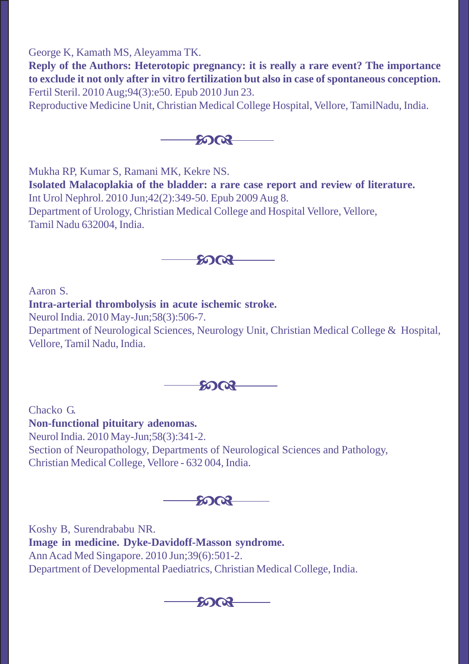George K, Kamath MS, Aleyamma TK.

**Reply of the Authors: Heterotopic pregnancy: it is really a rare event? The importance to exclude it not only after in vitro fertilization but also in case of spontaneous conception.** Fertil Steril. 2010 Aug;94(3):e50. Epub 2010 Jun 23.

Reproductive Medicine Unit, Christian Medical College Hospital, Vellore, TamilNadu, India.



Mukha RP, Kumar S, Ramani MK, Kekre NS. **Isolated Malacoplakia of the bladder: a rare case report and review of literature.** Int Urol Nephrol. 2010 Jun;42(2):349-50. Epub 2009 Aug 8. Department of Urology, Christian Medical College and Hospital Vellore, Vellore, Tamil Nadu 632004, India.

 $5003$ 

Aaron S.

#### **Intra-arterial thrombolysis in acute ischemic stroke.**

Neurol India. 2010 May-Jun;58(3):506-7.

Department of Neurological Sciences, Neurology Unit, Christian Medical College & Hospital, Vellore, Tamil Nadu, India.

 $\sim$   $\sim$   $\sim$ 

Chacko G. **Non-functional pituitary adenomas.** Neurol India. 2010 May-Jun;58(3):341-2. Section of Neuropathology, Departments of Neurological Sciences and Pathology, Christian Medical College, Vellore - 632 004, India.

 $-50$ Q $-$ 

Koshy B, Surendrababu NR. **Image in medicine. Dyke-Davidoff-Masson syndrome.** Ann Acad Med Singapore. 2010 Jun;39(6):501-2. Department of Developmental Paediatrics, Christian Medical College, India.

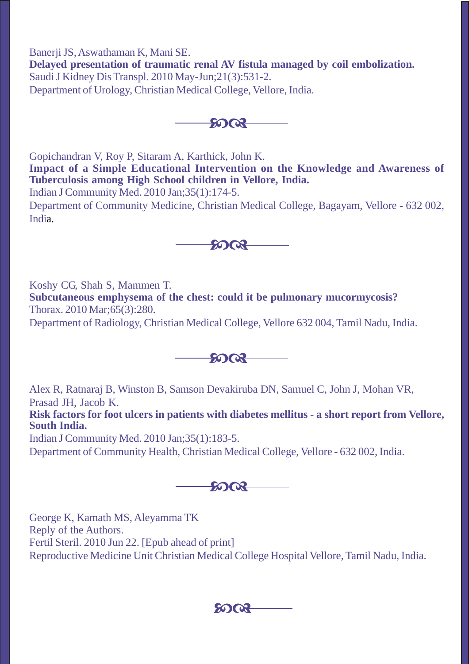Banerji JS, Aswathaman K, Mani SE. **Delayed presentation of traumatic renal AV fistula managed by coil embolization.** Saudi J Kidney Dis Transpl. 2010 May-Jun;21(3):531-2. Department of Urology, Christian Medical College, Vellore, India.

 $-500$ 

Gopichandran V, Roy P, Sitaram A, Karthick, John K. **Impact of a Simple Educational Intervention on the Knowledge and Awareness of Tuberculosis among High School children in Vellore, India.**

Indian J Community Med. 2010 Jan;35(1):174-5.

Department of Community Medicine, Christian Medical College, Bagayam, Vellore - 632 002, India.



Koshy CG, Shah S, Mammen T.

**Subcutaneous emphysema of the chest: could it be pulmonary mucormycosis?** Thorax. 2010 Mar;65(3):280.

Department of Radiology, Christian Medical College, Vellore 632 004, Tamil Nadu, India.



Alex R, Ratnaraj B, Winston B, Samson Devakiruba DN, Samuel C, John J, Mohan VR, Prasad JH, Jacob K. **Risk factors for foot ulcers in patients with diabetes mellitus - a short report from Vellore, South India.** Indian J Community Med. 2010 Jan;35(1):183-5. Department of Community Health, Christian Medical College, Vellore - 632 002, India.

$$
\longrightarrow 5003
$$

George K, Kamath MS, Aleyamma TK Reply of the Authors. Fertil Steril. 2010 Jun 22. [Epub ahead of print] Reproductive Medicine Unit Christian Medical College Hospital Vellore, Tamil Nadu, India.

 $-50Q$